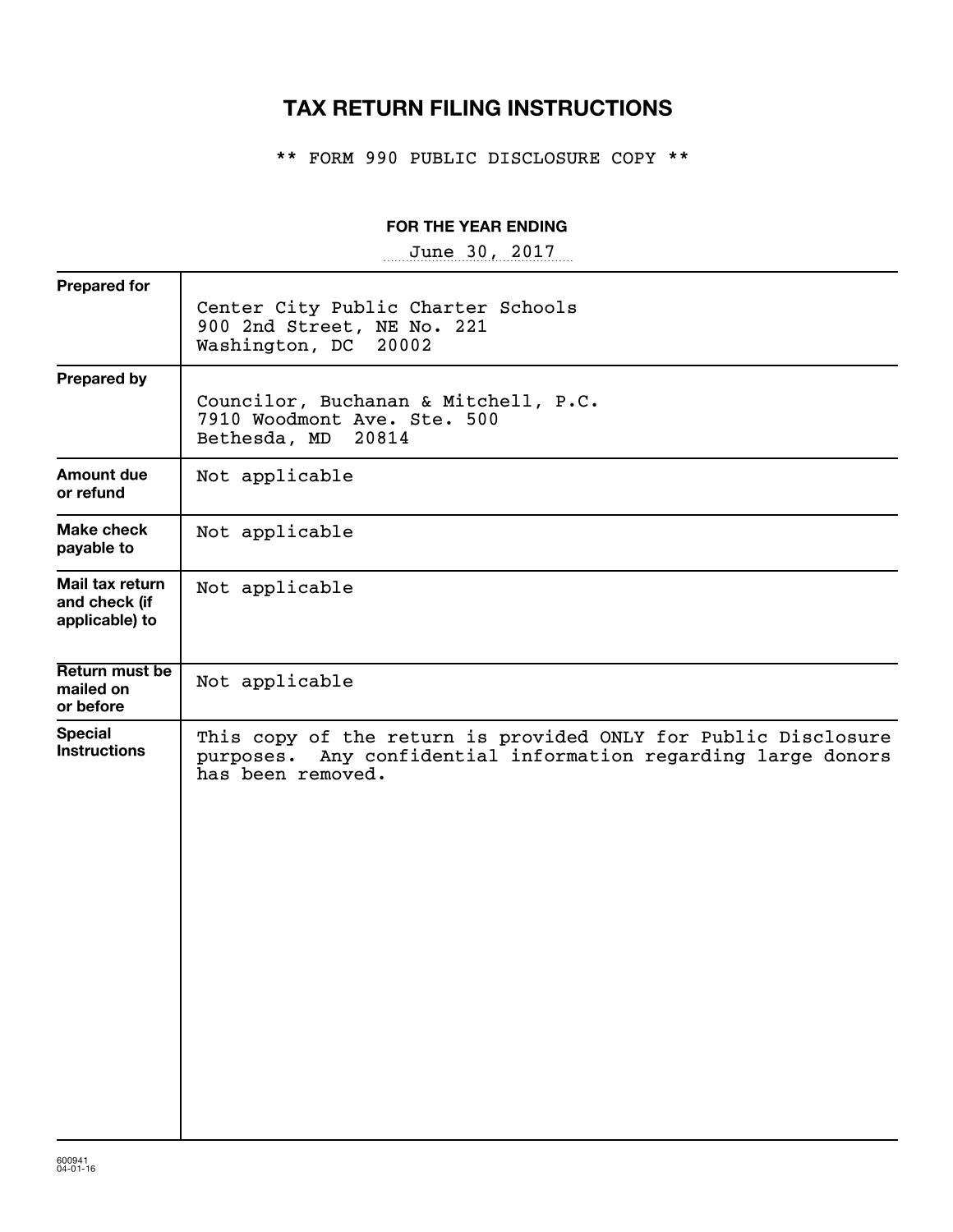## **TAX RETURN FILING INSTRUCTIONS**

\*\* FORM 990 PUBLIC DISCLOSURE COPY \*\*

#### **FOR THE YEAR ENDING**

~~~~~~~~~~~~~~~~~ June 30, 2017

| <b>Prepared for</b>                                | Center City Public Charter Schools<br>900 2nd Street, NE No. 221<br>Washington, DC<br>20002                                                             |
|----------------------------------------------------|---------------------------------------------------------------------------------------------------------------------------------------------------------|
| <b>Prepared by</b>                                 | Councilor, Buchanan & Mitchell, P.C.<br>7910 Woodmont Ave. Ste. 500<br>Bethesda, MD<br>20814                                                            |
| <b>Amount due</b><br>or refund                     | Not applicable                                                                                                                                          |
| Make check<br>payable to                           | Not applicable                                                                                                                                          |
| Mail tax return<br>and check (if<br>applicable) to | Not applicable                                                                                                                                          |
| Return must be<br>mailed on<br>or before           | Not applicable                                                                                                                                          |
| <b>Special</b><br><b>Instructions</b>              | This copy of the return is provided ONLY for Public Disclosure<br>Any confidential information regarding large donors<br>purposes.<br>has been removed. |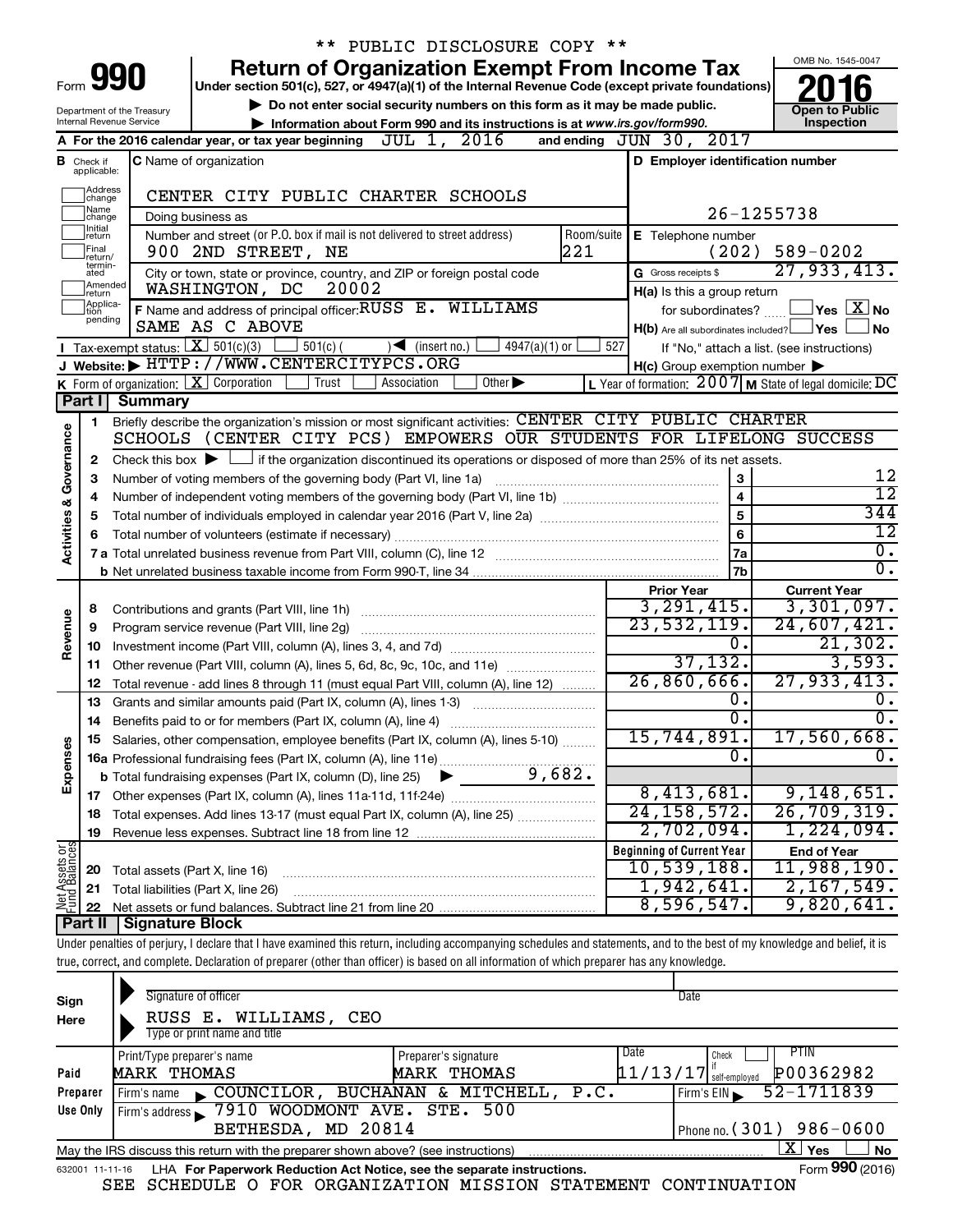|                                |                                  |                                                                 | PUBLIC DISCLOSURE COPY **                                                                                                                                                  |            |                                                     |                                                           |
|--------------------------------|----------------------------------|-----------------------------------------------------------------|----------------------------------------------------------------------------------------------------------------------------------------------------------------------------|------------|-----------------------------------------------------|-----------------------------------------------------------|
|                                |                                  |                                                                 | <b>Return of Organization Exempt From Income Tax</b>                                                                                                                       |            |                                                     | OMB No. 1545-0047                                         |
| Form                           |                                  | 990                                                             | Under section 501(c), 527, or 4947(a)(1) of the Internal Revenue Code (except private foundations)                                                                         |            |                                                     |                                                           |
| Department of the Treasury     | <b>Open to Public</b>            |                                                                 |                                                                                                                                                                            |            |                                                     |                                                           |
|                                |                                  | Internal Revenue Service                                        | Information about Form 990 and its instructions is at www.irs.gov/form990.                                                                                                 |            |                                                     | Inspection                                                |
|                                |                                  |                                                                 | A For the 2016 calendar year, or tax year beginning $JUL$ 1, $2016$                                                                                                        |            | and ending JUN 30, 2017                             |                                                           |
|                                | <b>B</b> Check if<br>applicable: |                                                                 | <b>C</b> Name of organization                                                                                                                                              |            | D Employer identification number                    |                                                           |
|                                |                                  |                                                                 |                                                                                                                                                                            |            |                                                     |                                                           |
|                                | Address<br> change<br>Name       |                                                                 | CENTER CITY PUBLIC CHARTER SCHOOLS                                                                                                                                         |            |                                                     |                                                           |
|                                | change<br>Initial                |                                                                 | Doing business as                                                                                                                                                          |            |                                                     | 26-1255738                                                |
|                                | return<br>Final                  |                                                                 | Number and street (or P.O. box if mail is not delivered to street address)<br>221                                                                                          | Room/suite | E Telephone number<br>(202)                         | $589 - 0202$                                              |
|                                | return/<br>termin-               |                                                                 | 900 2ND STREET, NE                                                                                                                                                         |            |                                                     | 27,933,413.                                               |
|                                | ated<br>Amended                  |                                                                 | City or town, state or province, country, and ZIP or foreign postal code<br>WASHINGTON, DC<br>20002                                                                        |            | G Gross receipts \$                                 |                                                           |
|                                | return<br>Applica-               |                                                                 | F Name and address of principal officer: RUSS E. WILLIAMS                                                                                                                  |            | H(a) Is this a group return<br>for subordinates?    | $\overline{\ }$ Yes $\overline{\rm X}$ No                 |
|                                | tion<br>pending                  |                                                                 | SAME AS C ABOVE                                                                                                                                                            |            | $H(b)$ Are all subordinates included? $\Box$ Yes    | l No                                                      |
|                                |                                  | <b>I</b> Tax-exempt status: $X \ 501(c)(3)$                     | $501(c)$ (<br>$4947(a)(1)$ or<br>$\sqrt{\frac{1}{1}}$ (insert no.)                                                                                                         | 527        |                                                     | If "No," attach a list. (see instructions)                |
|                                |                                  |                                                                 | J Website: FITTP://WWW.CENTERCITYPCS.ORG                                                                                                                                   |            | $H(c)$ Group exemption number $\blacktriangleright$ |                                                           |
|                                |                                  | <b>K</b> Form of organization: $\boxed{\textbf{X}}$ Corporation | Trust<br>Other $\blacktriangleright$<br>Association                                                                                                                        |            |                                                     | L Year of formation: $2007$ M State of legal domicile: DC |
|                                | Part I                           | Summary                                                         |                                                                                                                                                                            |            |                                                     |                                                           |
|                                | 1.                               |                                                                 | Briefly describe the organization's mission or most significant activities: CENTER CITY PUBLIC CHARTER                                                                     |            |                                                     |                                                           |
| Governance                     |                                  |                                                                 | SCHOOLS (CENTER CITY PCS) EMPOWERS OUR STUDENTS FOR LIFELONG SUCCESS                                                                                                       |            |                                                     |                                                           |
|                                | 2                                |                                                                 | Check this box $\blacktriangleright$ $\Box$ if the organization discontinued its operations or disposed of more than 25% of its net assets.                                |            |                                                     |                                                           |
|                                | З                                |                                                                 | Number of voting members of the governing body (Part VI, line 1a)                                                                                                          |            | 3                                                   | 12                                                        |
|                                | 4                                |                                                                 |                                                                                                                                                                            |            | $\overline{\mathbf{4}}$                             | $\overline{12}$                                           |
|                                | 5                                |                                                                 |                                                                                                                                                                            |            | 5                                                   | 344                                                       |
| <b>Activities &amp;</b>        | 6                                |                                                                 |                                                                                                                                                                            |            | 6                                                   | $\overline{12}$                                           |
|                                |                                  |                                                                 |                                                                                                                                                                            |            | 7a                                                  | $\overline{\mathfrak{o}}$ .<br>σ.                         |
|                                |                                  |                                                                 |                                                                                                                                                                            |            | 7b                                                  |                                                           |
|                                |                                  |                                                                 |                                                                                                                                                                            |            | <b>Prior Year</b><br>3, 291, 415.                   | <b>Current Year</b><br>3,301,097.                         |
| Revenue                        | 8<br>9                           |                                                                 | Program service revenue (Part VIII, line 2g)                                                                                                                               |            | 23,532,119.                                         | 24,607,421.                                               |
|                                | 10                               |                                                                 |                                                                                                                                                                            |            | $\mathbf 0$ .                                       | 21,302.                                                   |
|                                | 11                               |                                                                 | Other revenue (Part VIII, column (A), lines 5, 6d, 8c, 9c, 10c, and 11e)                                                                                                   |            | 37,132.                                             | 3,593.                                                    |
|                                | 12                               |                                                                 | Total revenue - add lines 8 through 11 (must equal Part VIII, column (A), line 12)                                                                                         |            | 26,860,666.                                         | 27,933,413.                                               |
|                                | 13                               |                                                                 | Grants and similar amounts paid (Part IX, column (A), lines 1-3)                                                                                                           |            | 0.                                                  | υ.                                                        |
|                                | 14                               |                                                                 | Benefits paid to or for members (Part IX, column (A), line 4)                                                                                                              |            | $\overline{0}$ .                                    | σ.                                                        |
|                                |                                  |                                                                 | 15 Salaries, other compensation, employee benefits (Part IX, column (A), lines 5-10)                                                                                       |            | 15,744,891.                                         | 17,560,668.                                               |
|                                |                                  |                                                                 |                                                                                                                                                                            |            | 0.                                                  | 0.                                                        |
| Expenses                       |                                  |                                                                 |                                                                                                                                                                            |            |                                                     |                                                           |
|                                |                                  |                                                                 |                                                                                                                                                                            |            | 8,413,681.                                          | 9,148,651.                                                |
|                                | 18                               |                                                                 | Total expenses. Add lines 13-17 (must equal Part IX, column (A), line 25)                                                                                                  |            | 24, 158, 572.                                       | 26,709,319.                                               |
|                                | 19                               |                                                                 |                                                                                                                                                                            |            | 2,702,094.                                          | 1,224,094.                                                |
| Net Assets or<br>Fund Balances |                                  |                                                                 |                                                                                                                                                                            |            | <b>Beginning of Current Year</b>                    | <b>End of Year</b>                                        |
|                                | 20                               | Total assets (Part X, line 16)                                  |                                                                                                                                                                            |            | 10,539,188.                                         | 11,988,190.                                               |
|                                | 21                               | Total liabilities (Part X, line 26)                             |                                                                                                                                                                            |            | 1,942,641.<br>8,596,547.                            | 2,167,549.<br>9,820,641.                                  |
|                                | 22<br>Part II                    | <b>Signature Block</b>                                          |                                                                                                                                                                            |            |                                                     |                                                           |
|                                |                                  |                                                                 | Under penalties of perjury, I declare that I have examined this return, including accompanying schedules and statements, and to the best of my knowledge and belief, it is |            |                                                     |                                                           |
|                                |                                  |                                                                 | true, correct, and complete. Declaration of preparer (other than officer) is based on all information of which preparer has any knowledge.                                 |            |                                                     |                                                           |
|                                |                                  |                                                                 |                                                                                                                                                                            |            |                                                     |                                                           |
|                                |                                  |                                                                 |                                                                                                                                                                            |            |                                                     |                                                           |

| Sign<br>Here                                                                                                                                                                                                                | Signature of officer<br>RUSS E. WILLIAMS,<br>CEO<br>Type or print name and title |                                                                     | Date                                                                                                 |  |  |  |  |
|-----------------------------------------------------------------------------------------------------------------------------------------------------------------------------------------------------------------------------|----------------------------------------------------------------------------------|---------------------------------------------------------------------|------------------------------------------------------------------------------------------------------|--|--|--|--|
| Paid<br>Preparer                                                                                                                                                                                                            | Print/Type preparer's name<br>MARK THOMAS<br>COUNCILOR,<br>Firm's name           | Preparer's signature<br>THOMAS<br>MARK<br>BUCHANAN & MITCHELL, P.C. | PTIN<br><b>Date</b><br>Check<br>P00362982<br>11/13/17<br>self-employed<br>52-1711839<br>Firm's $EIN$ |  |  |  |  |
| Use Only                                                                                                                                                                                                                    | 7910 WOODMONT AVE. STE. 500<br>Firm's address<br>BETHESDA, MD 20814              |                                                                     | Phone no. $(301)$ 986-0600                                                                           |  |  |  |  |
| X.<br>Yes<br><b>No</b><br>May the IRS discuss this return with the preparer shown above? (see instructions)<br>Form 990 (2016)<br>LHA For Paperwork Reduction Act Notice, see the separate instructions.<br>632001 11-11-16 |                                                                                  |                                                                     |                                                                                                      |  |  |  |  |

SEE SCHEDULE O FOR ORGANIZATION MISSION STATEMENT CONTINUATION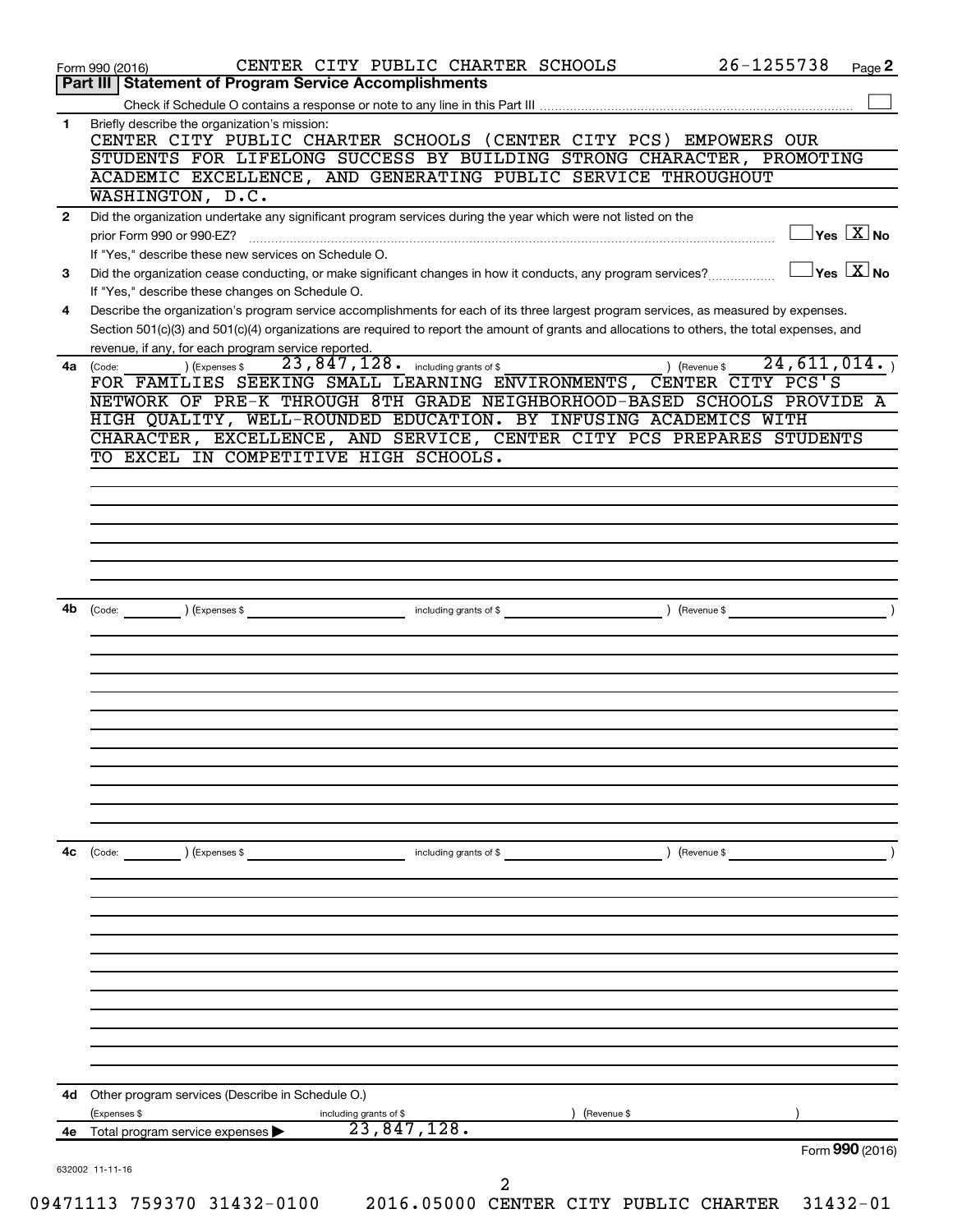|              | 26-1255738<br>CENTER CITY PUBLIC CHARTER SCHOOLS<br>Page 2<br>Form 990 (2016)                                                                                   |
|--------------|-----------------------------------------------------------------------------------------------------------------------------------------------------------------|
|              | Part III   Statement of Program Service Accomplishments                                                                                                         |
| 1            | Briefly describe the organization's mission:                                                                                                                    |
|              | CENTER CITY PUBLIC CHARTER SCHOOLS (CENTER CITY PCS) EMPOWERS OUR                                                                                               |
|              | STUDENTS FOR LIFELONG SUCCESS BY BUILDING STRONG CHARACTER, PROMOTING                                                                                           |
|              | ACADEMIC EXCELLENCE, AND GENERATING PUBLIC SERVICE THROUGHOUT                                                                                                   |
|              | WASHINGTON, D.C.                                                                                                                                                |
| $\mathbf{2}$ | Did the organization undertake any significant program services during the year which were not listed on the                                                    |
|              | $\exists$ Yes $\boxed{\text{X}}$ No<br>prior Form 990 or 990-EZ?                                                                                                |
|              | If "Yes," describe these new services on Schedule O.<br>$Yes$ $X$ No                                                                                            |
| 3            | Did the organization cease conducting, or make significant changes in how it conducts, any program services?<br>If "Yes," describe these changes on Schedule O. |
| 4            | Describe the organization's program service accomplishments for each of its three largest program services, as measured by expenses.                            |
|              | Section 501(c)(3) and 501(c)(4) organizations are required to report the amount of grants and allocations to others, the total expenses, and                    |
|              | revenue, if any, for each program service reported.                                                                                                             |
|              | 23,847,128.<br>24, 611, 014.<br>including grants of \$<br>(Expenses \$<br>) (Revenue \$<br>4a (Code:                                                            |
|              | FOR FAMILIES SEEKING SMALL LEARNING ENVIRONMENTS, CENTER CITY PCS'S                                                                                             |
|              | NETWORK OF PRE-K THROUGH 8TH GRADE NEIGHBORHOOD-BASED SCHOOLS PROVIDE A                                                                                         |
|              | HIGH QUALITY, WELL-ROUNDED EDUCATION. BY INFUSING ACADEMICS WITH                                                                                                |
|              | CHARACTER, EXCELLENCE, AND SERVICE, CENTER CITY PCS PREPARES STUDENTS<br>TO EXCEL IN COMPETITIVE HIGH SCHOOLS.                                                  |
|              |                                                                                                                                                                 |
|              |                                                                                                                                                                 |
|              |                                                                                                                                                                 |
|              |                                                                                                                                                                 |
|              |                                                                                                                                                                 |
|              |                                                                                                                                                                 |
|              |                                                                                                                                                                 |
| 4b           | (Revenue \$<br>(Expenses \$<br>including grants of \$<br>(Code:                                                                                                 |
|              |                                                                                                                                                                 |
|              |                                                                                                                                                                 |
|              |                                                                                                                                                                 |
|              |                                                                                                                                                                 |
|              |                                                                                                                                                                 |
|              |                                                                                                                                                                 |
|              |                                                                                                                                                                 |
|              |                                                                                                                                                                 |
|              |                                                                                                                                                                 |
|              |                                                                                                                                                                 |
| 4с           | (Expenses \$<br>including grants of \$<br>(Code:<br>(Revenue \$                                                                                                 |
|              |                                                                                                                                                                 |
|              |                                                                                                                                                                 |
|              |                                                                                                                                                                 |
|              |                                                                                                                                                                 |
|              |                                                                                                                                                                 |
|              |                                                                                                                                                                 |
|              |                                                                                                                                                                 |
|              |                                                                                                                                                                 |
|              |                                                                                                                                                                 |
|              |                                                                                                                                                                 |
|              |                                                                                                                                                                 |
|              |                                                                                                                                                                 |
| 4d           | Other program services (Describe in Schedule O.)                                                                                                                |
|              | (Expenses \$<br>including grants of \$<br>(Revenue \$                                                                                                           |
| 4е           | 23,847,128.<br>Total program service expenses                                                                                                                   |
|              | Form 990 (2016)                                                                                                                                                 |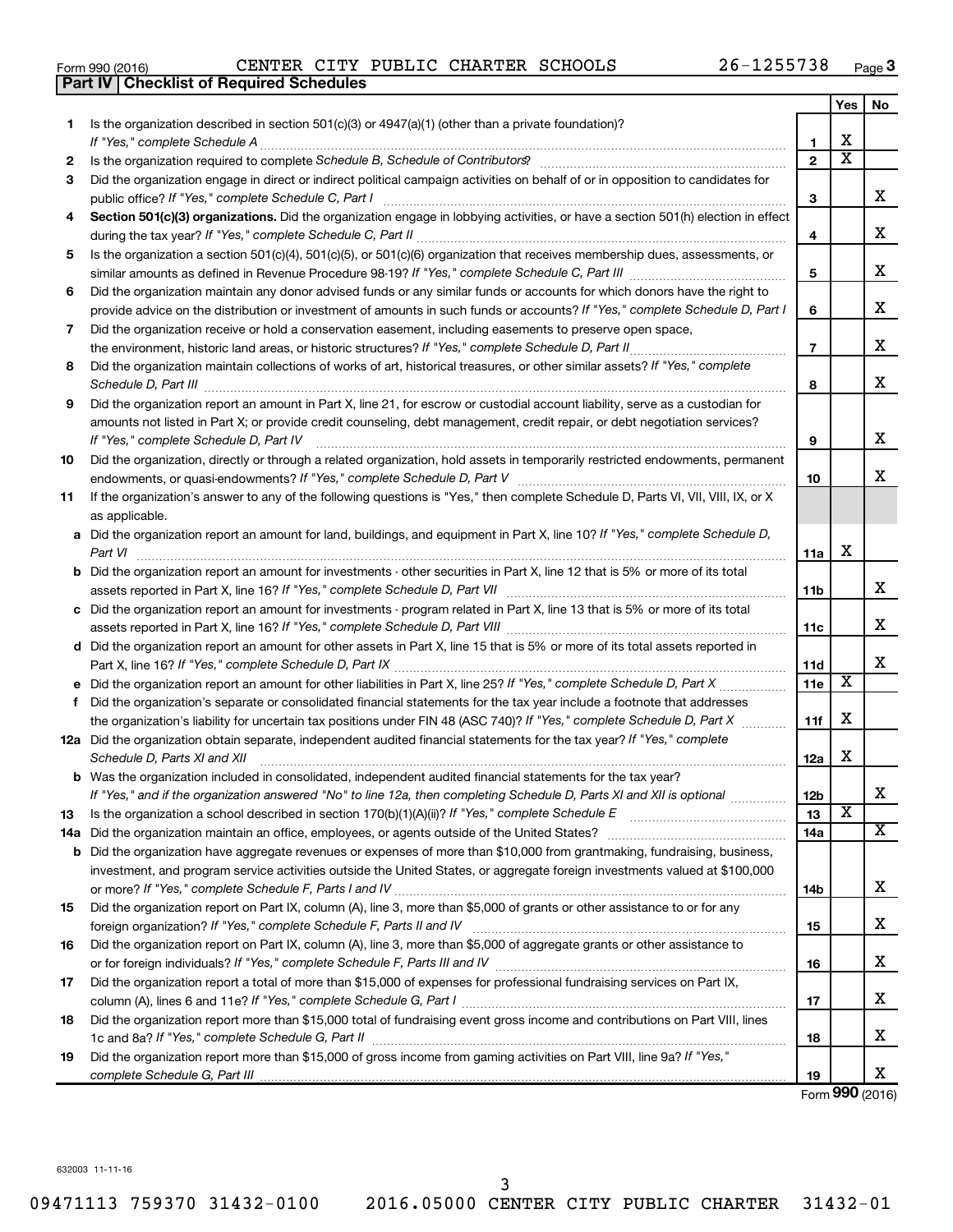|  | Form 990 (2016) |
|--|-----------------|
|  |                 |

|     | <b>Part IV   Checklist of Required Schedules</b>                                                                                                                                                                                    |                 |                         |                         |
|-----|-------------------------------------------------------------------------------------------------------------------------------------------------------------------------------------------------------------------------------------|-----------------|-------------------------|-------------------------|
|     |                                                                                                                                                                                                                                     |                 | Yes                     | No                      |
| 1.  | Is the organization described in section 501(c)(3) or 4947(a)(1) (other than a private foundation)?                                                                                                                                 |                 |                         |                         |
|     |                                                                                                                                                                                                                                     | 1               | X                       |                         |
| 2   | Is the organization required to complete Schedule B, Schedule of Contributors? [11] the organization required to complete Schedule B, Schedule of Contributors?                                                                     | $\mathbf{2}$    | $\overline{\mathbf{X}}$ |                         |
| З   | Did the organization engage in direct or indirect political campaign activities on behalf of or in opposition to candidates for                                                                                                     |                 |                         |                         |
|     |                                                                                                                                                                                                                                     | 3               |                         | x                       |
| 4   | Section 501(c)(3) organizations. Did the organization engage in lobbying activities, or have a section 501(h) election in effect                                                                                                    |                 |                         |                         |
|     |                                                                                                                                                                                                                                     | 4               |                         | X                       |
| 5   | Is the organization a section 501(c)(4), 501(c)(5), or 501(c)(6) organization that receives membership dues, assessments, or                                                                                                        |                 |                         |                         |
|     |                                                                                                                                                                                                                                     | 5               |                         | х                       |
| 6   | Did the organization maintain any donor advised funds or any similar funds or accounts for which donors have the right to                                                                                                           |                 |                         |                         |
|     | provide advice on the distribution or investment of amounts in such funds or accounts? If "Yes," complete Schedule D, Part I                                                                                                        | 6               |                         | х                       |
|     |                                                                                                                                                                                                                                     |                 |                         |                         |
| 7   | Did the organization receive or hold a conservation easement, including easements to preserve open space,                                                                                                                           |                 |                         | х                       |
|     |                                                                                                                                                                                                                                     | $\overline{7}$  |                         |                         |
| 8   | Did the organization maintain collections of works of art, historical treasures, or other similar assets? If "Yes," complete                                                                                                        |                 |                         | X                       |
|     | Schedule D, Part III <b>Marting Community</b> Construction of the Construction of the Construction of the Construction of the Construction of the Construction of the Construction of the Construction of the Construction of the C | 8               |                         |                         |
| 9   | Did the organization report an amount in Part X, line 21, for escrow or custodial account liability, serve as a custodian for                                                                                                       |                 |                         |                         |
|     | amounts not listed in Part X; or provide credit counseling, debt management, credit repair, or debt negotiation services?                                                                                                           |                 |                         |                         |
|     | If "Yes," complete Schedule D, Part IV                                                                                                                                                                                              | 9               |                         | х                       |
| 10  | Did the organization, directly or through a related organization, hold assets in temporarily restricted endowments, permanent                                                                                                       |                 |                         |                         |
|     |                                                                                                                                                                                                                                     | 10              |                         | х                       |
| 11  | If the organization's answer to any of the following questions is "Yes," then complete Schedule D, Parts VI, VII, VIII, IX, or X                                                                                                    |                 |                         |                         |
|     | as applicable.                                                                                                                                                                                                                      |                 |                         |                         |
|     | a Did the organization report an amount for land, buildings, and equipment in Part X, line 10? If "Yes," complete Schedule D,                                                                                                       |                 |                         |                         |
|     | Part VI                                                                                                                                                                                                                             | 11a             | х                       |                         |
|     | <b>b</b> Did the organization report an amount for investments - other securities in Part X, line 12 that is 5% or more of its total                                                                                                |                 |                         |                         |
|     | assets reported in Part X, line 16? If "Yes," complete Schedule D, Part VII [11] [11] [12] [12] [12] [12] [12] [                                                                                                                    | 11b             |                         | х                       |
|     | c Did the organization report an amount for investments - program related in Part X, line 13 that is 5% or more of its total                                                                                                        |                 |                         |                         |
|     |                                                                                                                                                                                                                                     | 11c             |                         | X                       |
|     | d Did the organization report an amount for other assets in Part X, line 15 that is 5% or more of its total assets reported in                                                                                                      |                 |                         |                         |
|     |                                                                                                                                                                                                                                     | 11d             |                         | х                       |
|     |                                                                                                                                                                                                                                     | 11e             | Х                       |                         |
|     | f Did the organization's separate or consolidated financial statements for the tax year include a footnote that addresses                                                                                                           |                 |                         |                         |
|     | the organization's liability for uncertain tax positions under FIN 48 (ASC 740)? If "Yes," complete Schedule D, Part X                                                                                                              | 11f             | х                       |                         |
|     | 12a Did the organization obtain separate, independent audited financial statements for the tax year? If "Yes," complete                                                                                                             |                 |                         |                         |
|     | Schedule D, Parts XI and XII                                                                                                                                                                                                        | 12a             | х                       |                         |
|     | <b>b</b> Was the organization included in consolidated, independent audited financial statements for the tax year?                                                                                                                  |                 |                         |                         |
|     | If "Yes," and if the organization answered "No" to line 12a, then completing Schedule D, Parts XI and XII is optional <i>manum</i>                                                                                                  | 12 <sub>b</sub> |                         | х                       |
| 13  |                                                                                                                                                                                                                                     | 13              | X                       |                         |
| 14a |                                                                                                                                                                                                                                     | 14a             |                         | $\overline{\mathbf{x}}$ |
|     | <b>b</b> Did the organization have aggregate revenues or expenses of more than \$10,000 from grantmaking, fundraising, business,                                                                                                    |                 |                         |                         |
|     | investment, and program service activities outside the United States, or aggregate foreign investments valued at \$100,000                                                                                                          |                 |                         |                         |
|     |                                                                                                                                                                                                                                     | 14b             |                         | х                       |
| 15  | Did the organization report on Part IX, column (A), line 3, more than \$5,000 of grants or other assistance to or for any                                                                                                           |                 |                         |                         |
|     |                                                                                                                                                                                                                                     | 15              |                         | х                       |
| 16  | Did the organization report on Part IX, column (A), line 3, more than \$5,000 of aggregate grants or other assistance to                                                                                                            |                 |                         |                         |
|     |                                                                                                                                                                                                                                     | 16              |                         | х                       |
| 17  | Did the organization report a total of more than \$15,000 of expenses for professional fundraising services on Part IX,                                                                                                             |                 |                         |                         |
|     |                                                                                                                                                                                                                                     | 17              |                         | х                       |
| 18  | Did the organization report more than \$15,000 total of fundraising event gross income and contributions on Part VIII, lines                                                                                                        |                 |                         |                         |
|     |                                                                                                                                                                                                                                     | 18              |                         | х                       |
| 19  | Did the organization report more than \$15,000 of gross income from gaming activities on Part VIII, line 9a? If "Yes,"                                                                                                              |                 |                         |                         |
|     |                                                                                                                                                                                                                                     | 19              |                         | х                       |
|     |                                                                                                                                                                                                                                     |                 |                         |                         |

Form (2016) **990**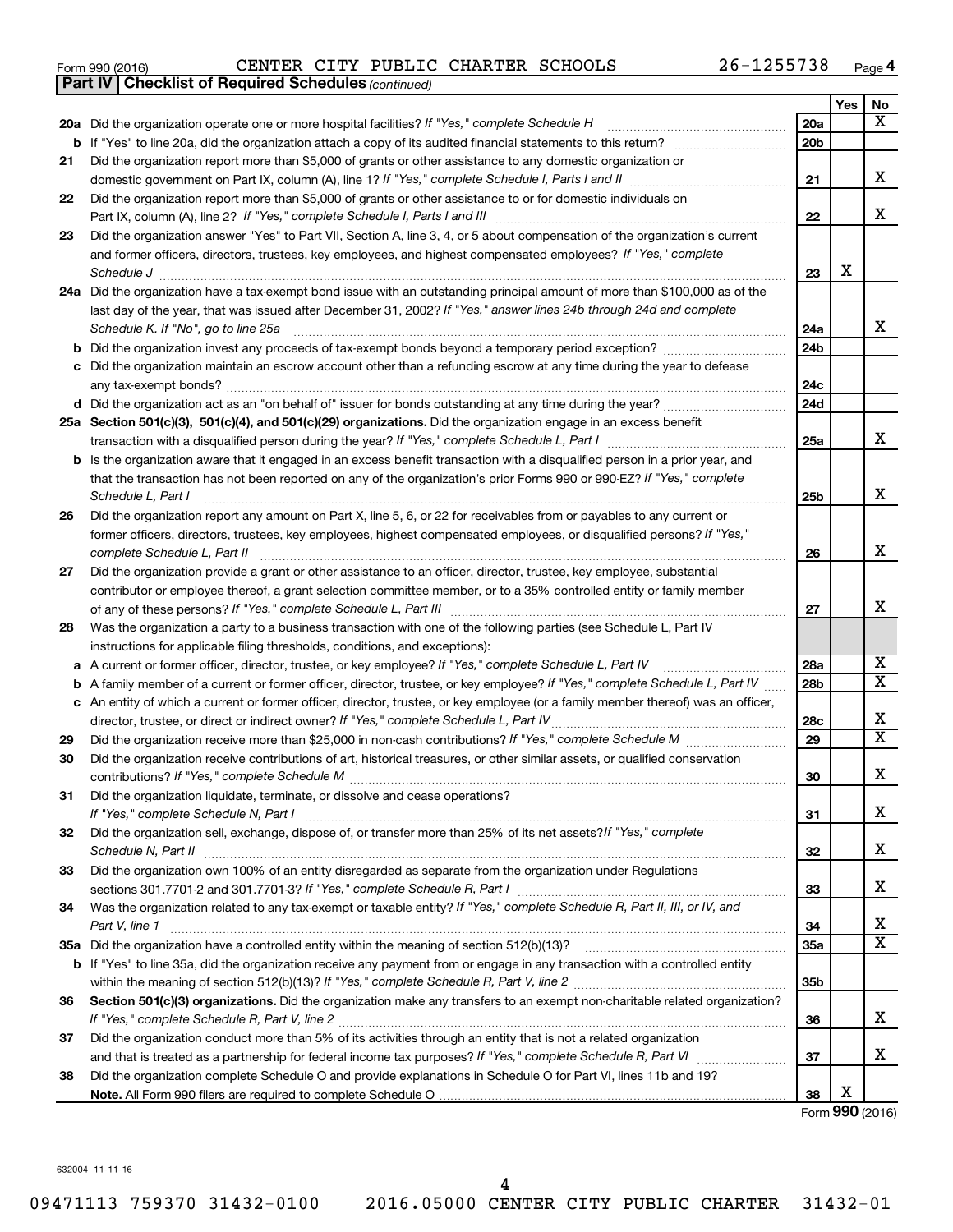| Form 990 (2016) |  |  |  |  | CENTER CITY PUBLIC CHARTER SCHOOLS | 26-1255738 | Page |  |
|-----------------|--|--|--|--|------------------------------------|------------|------|--|
|-----------------|--|--|--|--|------------------------------------|------------|------|--|

|    | <b>Part IV   Checklist of Required Schedules (continued)</b>                                                                                           |                 |     |                         |
|----|--------------------------------------------------------------------------------------------------------------------------------------------------------|-----------------|-----|-------------------------|
|    |                                                                                                                                                        |                 | Yes | No                      |
|    | 20a Did the organization operate one or more hospital facilities? If "Yes," complete Schedule H                                                        | 20a             |     | $\overline{\mathbf{X}}$ |
|    |                                                                                                                                                        | 20 <sub>b</sub> |     |                         |
| 21 | Did the organization report more than \$5,000 of grants or other assistance to any domestic organization or                                            |                 |     |                         |
|    |                                                                                                                                                        | 21              |     | X                       |
| 22 | Did the organization report more than \$5,000 of grants or other assistance to or for domestic individuals on                                          |                 |     |                         |
|    |                                                                                                                                                        | 22              |     | x                       |
| 23 | Did the organization answer "Yes" to Part VII, Section A, line 3, 4, or 5 about compensation of the organization's current                             |                 |     |                         |
|    | and former officers, directors, trustees, key employees, and highest compensated employees? If "Yes," complete                                         |                 |     |                         |
|    | Schedule J <b>Exercise Construction Construction Construction Construction Construction</b>                                                            | 23              | х   |                         |
|    | 24a Did the organization have a tax-exempt bond issue with an outstanding principal amount of more than \$100,000 as of the                            |                 |     |                         |
|    | last day of the year, that was issued after December 31, 2002? If "Yes," answer lines 24b through 24d and complete                                     |                 |     |                         |
|    | Schedule K. If "No", go to line 25a                                                                                                                    | 24a             |     | x                       |
| b  |                                                                                                                                                        | 24 <sub>b</sub> |     |                         |
|    | Did the organization maintain an escrow account other than a refunding escrow at any time during the year to defease                                   |                 |     |                         |
|    |                                                                                                                                                        | 24c             |     |                         |
|    |                                                                                                                                                        | 24d             |     |                         |
|    | 25a Section 501(c)(3), 501(c)(4), and 501(c)(29) organizations. Did the organization engage in an excess benefit                                       |                 |     |                         |
|    |                                                                                                                                                        | 25a             |     | x                       |
|    | <b>b</b> Is the organization aware that it engaged in an excess benefit transaction with a disqualified person in a prior year, and                    |                 |     |                         |
|    | that the transaction has not been reported on any of the organization's prior Forms 990 or 990-EZ? If "Yes," complete                                  |                 |     | х                       |
|    | Schedule L, Part I                                                                                                                                     | 25b             |     |                         |
| 26 | Did the organization report any amount on Part X, line 5, 6, or 22 for receivables from or payables to any current or                                  |                 |     |                         |
|    | former officers, directors, trustees, key employees, highest compensated employees, or disqualified persons? If "Yes,"<br>complete Schedule L, Part II |                 |     | X                       |
|    | Did the organization provide a grant or other assistance to an officer, director, trustee, key employee, substantial                                   | 26              |     |                         |
| 27 | contributor or employee thereof, a grant selection committee member, or to a 35% controlled entity or family member                                    |                 |     |                         |
|    |                                                                                                                                                        | 27              |     | X                       |
| 28 | Was the organization a party to a business transaction with one of the following parties (see Schedule L, Part IV                                      |                 |     |                         |
|    | instructions for applicable filing thresholds, conditions, and exceptions):                                                                            |                 |     |                         |
| а  | A current or former officer, director, trustee, or key employee? If "Yes," complete Schedule L, Part IV                                                | 28a             |     | х                       |
| b  | A family member of a current or former officer, director, trustee, or key employee? If "Yes," complete Schedule L, Part IV                             | 28 <sub>b</sub> |     | $\overline{\textbf{x}}$ |
|    | c An entity of which a current or former officer, director, trustee, or key employee (or a family member thereof) was an officer,                      |                 |     |                         |
|    | director, trustee, or direct or indirect owner? If "Yes," complete Schedule L, Part IV                                                                 | 28c             |     | x                       |
| 29 |                                                                                                                                                        | 29              |     | $\overline{\mathtt{x}}$ |
| 30 | Did the organization receive contributions of art, historical treasures, or other similar assets, or qualified conservation                            |                 |     |                         |
|    |                                                                                                                                                        | 30              |     | Χ                       |
| 31 | Did the organization liquidate, terminate, or dissolve and cease operations?                                                                           |                 |     |                         |
|    |                                                                                                                                                        | 31              |     | x                       |
| 32 | Did the organization sell, exchange, dispose of, or transfer more than 25% of its net assets? If "Yes," complete                                       |                 |     |                         |
|    | Schedule N, Part II                                                                                                                                    | 32              |     | x                       |
| 33 | Did the organization own 100% of an entity disregarded as separate from the organization under Regulations                                             |                 |     |                         |
|    |                                                                                                                                                        | 33              |     | x                       |
| 34 | Was the organization related to any tax-exempt or taxable entity? If "Yes," complete Schedule R, Part II, III, or IV, and                              |                 |     |                         |
|    | Part V, line 1                                                                                                                                         | 34              |     | х                       |
|    |                                                                                                                                                        | 35a             |     | $\overline{\mathtt{x}}$ |
|    | b If "Yes" to line 35a, did the organization receive any payment from or engage in any transaction with a controlled entity                            |                 |     |                         |
|    |                                                                                                                                                        | 35 <sub>b</sub> |     |                         |
| 36 | Section 501(c)(3) organizations. Did the organization make any transfers to an exempt non-charitable related organization?                             |                 |     | x                       |
| 37 | Did the organization conduct more than 5% of its activities through an entity that is not a related organization                                       | 36              |     |                         |
|    |                                                                                                                                                        | 37              |     | X                       |
| 38 | Did the organization complete Schedule O and provide explanations in Schedule O for Part VI, lines 11b and 19?                                         |                 |     |                         |
|    |                                                                                                                                                        | 38              | X   |                         |

Form (2016) **990**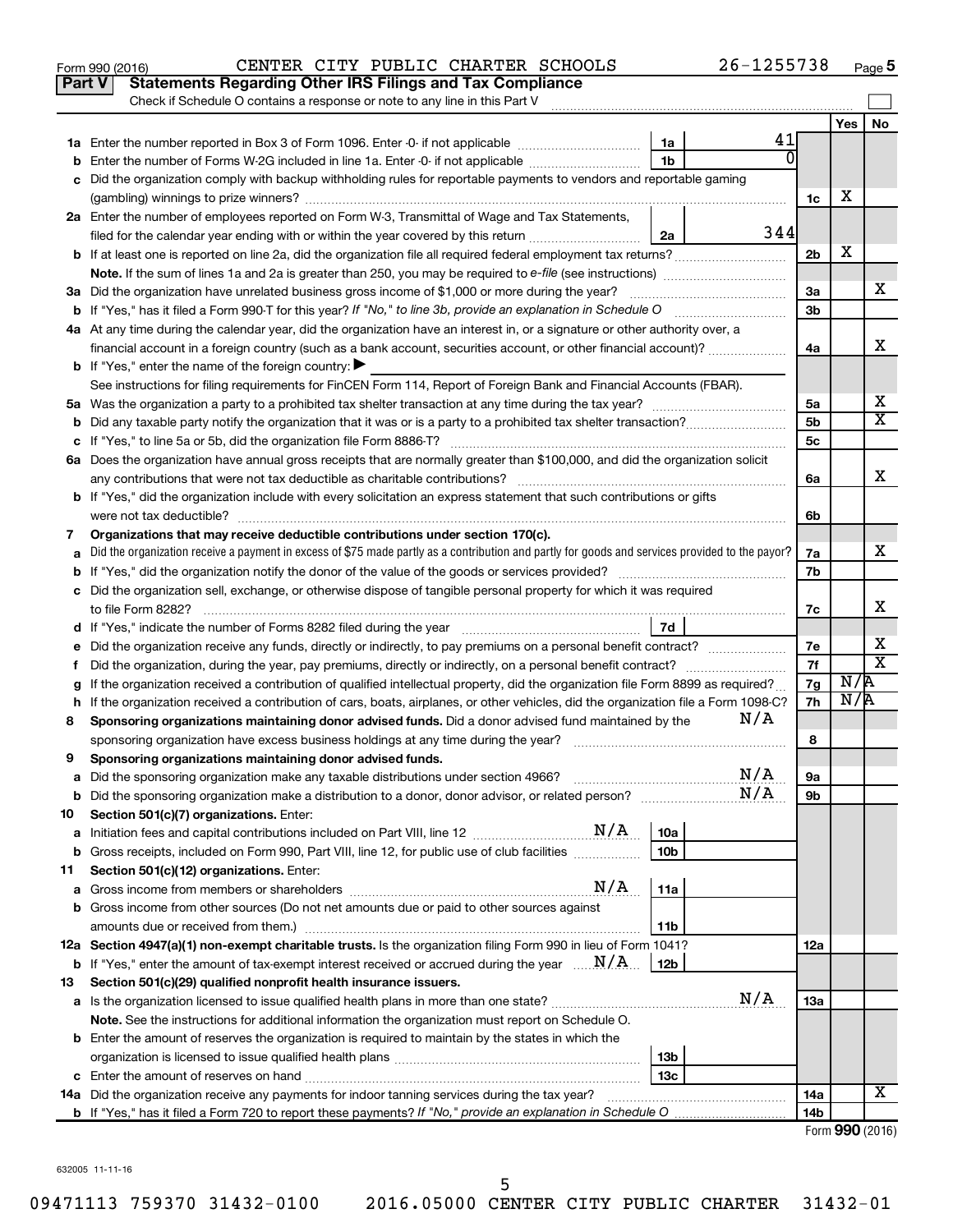|    | Part V<br><b>Statements Regarding Other IRS Filings and Tax Compliance</b><br>Check if Schedule O contains a response or note to any line in this Part V                           |                |     |                 |     |                         |
|----|------------------------------------------------------------------------------------------------------------------------------------------------------------------------------------|----------------|-----|-----------------|-----|-------------------------|
|    |                                                                                                                                                                                    |                |     |                 | Yes | No                      |
|    |                                                                                                                                                                                    | 1a             | 41  |                 |     |                         |
|    | Enter the number of Forms W-2G included in line 1a. Enter -0- if not applicable                                                                                                    | 1 <sub>b</sub> | U   |                 |     |                         |
|    | Did the organization comply with backup withholding rules for reportable payments to vendors and reportable gaming                                                                 |                |     | 1c              | х   |                         |
|    | 2a Enter the number of employees reported on Form W-3, Transmittal of Wage and Tax Statements,                                                                                     |                |     |                 |     |                         |
|    | filed for the calendar year ending with or within the year covered by this return <i>[[[[[[[[[[[[[[]]]]</i> ]]                                                                     | 2a             | 344 |                 |     |                         |
|    | b If at least one is reported on line 2a, did the organization file all required federal employment tax returns?                                                                   |                |     | 2 <sub>b</sub>  | х   |                         |
|    |                                                                                                                                                                                    |                |     |                 |     |                         |
|    | 3a Did the organization have unrelated business gross income of \$1,000 or more during the year?                                                                                   |                |     | За              |     | х                       |
|    |                                                                                                                                                                                    |                |     | 3 <sub>b</sub>  |     |                         |
|    | 4a At any time during the calendar year, did the organization have an interest in, or a signature or other authority over, a                                                       |                |     |                 |     |                         |
|    | financial account in a foreign country (such as a bank account, securities account, or other financial account)?                                                                   |                |     | 4a              |     | x                       |
|    | <b>b</b> If "Yes," enter the name of the foreign country: $\blacktriangleright$                                                                                                    |                |     |                 |     |                         |
|    | See instructions for filing requirements for FinCEN Form 114, Report of Foreign Bank and Financial Accounts (FBAR).                                                                |                |     |                 |     |                         |
|    |                                                                                                                                                                                    |                |     | 5a              |     | х                       |
| b  |                                                                                                                                                                                    |                |     | 5b              |     | X                       |
|    |                                                                                                                                                                                    |                |     | 5с              |     |                         |
|    | 6a Does the organization have annual gross receipts that are normally greater than \$100,000, and did the organization solicit                                                     |                |     |                 |     |                         |
|    |                                                                                                                                                                                    |                |     | 6a              |     | x                       |
|    | <b>b</b> If "Yes," did the organization include with every solicitation an express statement that such contributions or gifts                                                      |                |     |                 |     |                         |
|    |                                                                                                                                                                                    |                |     | 6b              |     |                         |
| 7  | Organizations that may receive deductible contributions under section 170(c).                                                                                                      |                |     |                 |     |                         |
|    | Did the organization receive a payment in excess of \$75 made partly as a contribution and partly for goods and services provided to the payor?                                    |                |     | 7a              |     | х                       |
|    |                                                                                                                                                                                    |                |     | 7b              |     |                         |
|    | c Did the organization sell, exchange, or otherwise dispose of tangible personal property for which it was required                                                                |                |     |                 |     |                         |
|    |                                                                                                                                                                                    |                |     | 7с              |     | х                       |
|    |                                                                                                                                                                                    | 7d             |     |                 |     |                         |
| е  |                                                                                                                                                                                    |                |     | 7е              |     | х                       |
| f. | Did the organization, during the year, pay premiums, directly or indirectly, on a personal benefit contract?                                                                       |                |     | 7f              |     | $\overline{\textbf{x}}$ |
|    | If the organization received a contribution of qualified intellectual property, did the organization file Form 8899 as required?                                                   |                |     | 7g              | N/R |                         |
|    | h If the organization received a contribution of cars, boats, airplanes, or other vehicles, did the organization file a Form 1098-C?                                               |                |     | 7h              | N/R |                         |
| 8  | Sponsoring organizations maintaining donor advised funds. Did a donor advised fund maintained by the                                                                               |                | N/A |                 |     |                         |
|    |                                                                                                                                                                                    |                |     | 8               |     |                         |
| 9  | Sponsoring organizations maintaining donor advised funds.                                                                                                                          |                |     |                 |     |                         |
|    |                                                                                                                                                                                    |                | N/A | 9a              |     |                         |
|    |                                                                                                                                                                                    |                | N/A | 9b              |     |                         |
| 10 | Section 501(c)(7) organizations. Enter:                                                                                                                                            |                |     |                 |     |                         |
| а  | N/A<br>Initiation fees and capital contributions included on Part VIII, line 12 [111] [12] [12] [12] [13] Initiation fees and capital contributions included on Part VIII, line 12 | 10a            |     |                 |     |                         |
| b  | Gross receipts, included on Form 990, Part VIII, line 12, for public use of club facilities                                                                                        | 10b            |     |                 |     |                         |
| 11 | Section 501(c)(12) organizations. Enter:                                                                                                                                           |                |     |                 |     |                         |
| а  | N/A                                                                                                                                                                                | 11a            |     |                 |     |                         |
|    | <b>b</b> Gross income from other sources (Do not net amounts due or paid to other sources against                                                                                  |                |     |                 |     |                         |
|    | amounts due or received from them.)                                                                                                                                                | 11b            |     |                 |     |                         |
|    | 12a Section 4947(a)(1) non-exempt charitable trusts. Is the organization filing Form 990 in lieu of Form 1041?                                                                     |                |     | 12a             |     |                         |
|    | <b>b</b> If "Yes," enter the amount of tax-exempt interest received or accrued during the year $\ldots$ $M/A$ .                                                                    | 12b            |     |                 |     |                         |
| 13 | Section 501(c)(29) qualified nonprofit health insurance issuers.                                                                                                                   |                |     |                 |     |                         |
|    |                                                                                                                                                                                    |                | N/A | 13a             |     |                         |
|    | Note. See the instructions for additional information the organization must report on Schedule O.                                                                                  |                |     |                 |     |                         |
|    | <b>b</b> Enter the amount of reserves the organization is required to maintain by the states in which the                                                                          |                |     |                 |     |                         |
|    |                                                                                                                                                                                    | 13b            |     |                 |     |                         |
| с  |                                                                                                                                                                                    | 13c            |     |                 |     | х                       |
|    | 14a Did the organization receive any payments for indoor tanning services during the tax year?                                                                                     |                |     | 14a             |     |                         |
|    |                                                                                                                                                                                    |                |     | 14 <sub>b</sub> |     | Form 990 (2016)         |

Form 990 (2016) Page CENTER CITY PUBLIC CHARTER SCHOOLS 26-1255738

**5**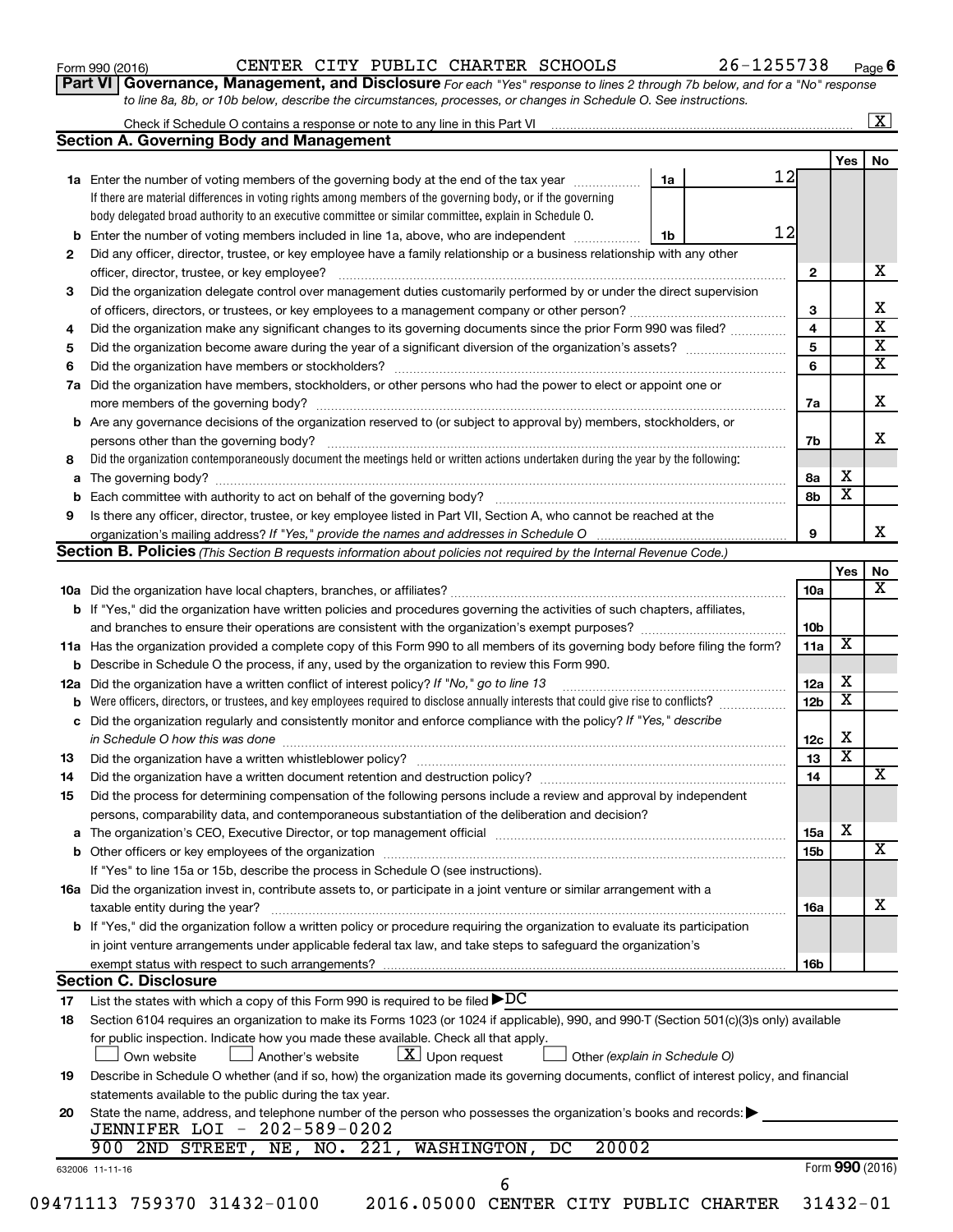| Form 990 (2016) |  |  |
|-----------------|--|--|
|-----------------|--|--|

**Part VI** Governance, Management, and Disclosure For each "Yes" response to lines 2 through 7b below, and for a "No" response *to line 8a, 8b, or 10b below, describe the circumstances, processes, or changes in Schedule O. See instructions.*

|     | Check if Schedule O contains a response or note to any line in this Part VI [1] [1] [1] [1] [1] [1] [1] [1] [1                                                                                                                 |    |    |                 |                         | $\mathbf{X}$ |
|-----|--------------------------------------------------------------------------------------------------------------------------------------------------------------------------------------------------------------------------------|----|----|-----------------|-------------------------|--------------|
|     | <b>Section A. Governing Body and Management</b>                                                                                                                                                                                |    |    |                 |                         |              |
|     |                                                                                                                                                                                                                                |    |    |                 | Yes                     | No           |
|     | 1a Enter the number of voting members of the governing body at the end of the tax year                                                                                                                                         | 1a | 12 |                 |                         |              |
|     | If there are material differences in voting rights among members of the governing body, or if the governing                                                                                                                    |    |    |                 |                         |              |
|     | body delegated broad authority to an executive committee or similar committee, explain in Schedule O.                                                                                                                          |    |    |                 |                         |              |
| b   | Enter the number of voting members included in line 1a, above, who are independent <i>manumum</i>                                                                                                                              | 1b | 12 |                 |                         |              |
| 2   | Did any officer, director, trustee, or key employee have a family relationship or a business relationship with any other                                                                                                       |    |    |                 |                         |              |
|     | officer, director, trustee, or key employee?                                                                                                                                                                                   |    |    | $\mathbf{2}$    |                         |              |
| 3   | Did the organization delegate control over management duties customarily performed by or under the direct supervision                                                                                                          |    |    |                 |                         |              |
|     |                                                                                                                                                                                                                                |    |    | 3               |                         |              |
| 4   | Did the organization make any significant changes to its governing documents since the prior Form 990 was filed?                                                                                                               |    |    | 4               |                         |              |
| 5   |                                                                                                                                                                                                                                |    |    | 5               |                         |              |
| 6   |                                                                                                                                                                                                                                |    |    | 6               |                         |              |
| 7a  | Did the organization have members, stockholders, or other persons who had the power to elect or appoint one or                                                                                                                 |    |    |                 |                         |              |
|     |                                                                                                                                                                                                                                |    |    |                 |                         |              |
|     |                                                                                                                                                                                                                                |    |    | 7a              |                         |              |
| b   | Are any governance decisions of the organization reserved to (or subject to approval by) members, stockholders, or                                                                                                             |    |    |                 |                         |              |
|     |                                                                                                                                                                                                                                |    |    | 7b              |                         |              |
| 8   | Did the organization contemporaneously document the meetings held or written actions undertaken during the year by the following:                                                                                              |    |    |                 |                         |              |
| а   |                                                                                                                                                                                                                                |    |    | 8а              | х                       |              |
| b   |                                                                                                                                                                                                                                |    |    | 8b              | $\overline{\mathbf{x}}$ |              |
| 9   | Is there any officer, director, trustee, or key employee listed in Part VII, Section A, who cannot be reached at the                                                                                                           |    |    |                 |                         |              |
|     |                                                                                                                                                                                                                                |    |    | 9               |                         |              |
|     | <b>Section B. Policies</b> (This Section B requests information about policies not required by the Internal Revenue Code.)                                                                                                     |    |    |                 |                         |              |
|     |                                                                                                                                                                                                                                |    |    |                 | Yes                     |              |
|     |                                                                                                                                                                                                                                |    |    | 10a             |                         |              |
|     | <b>b</b> If "Yes," did the organization have written policies and procedures governing the activities of such chapters, affiliates,                                                                                            |    |    |                 |                         |              |
|     |                                                                                                                                                                                                                                |    |    | 10 <sub>b</sub> |                         |              |
|     | 11a Has the organization provided a complete copy of this Form 990 to all members of its governing body before filing the form?                                                                                                |    |    | 11a             | х                       |              |
|     | <b>b</b> Describe in Schedule O the process, if any, used by the organization to review this Form 990.                                                                                                                         |    |    |                 |                         |              |
| 12a | Did the organization have a written conflict of interest policy? If "No," go to line 13                                                                                                                                        |    |    | 12a             | х                       |              |
| b   | Were officers, directors, or trustees, and key employees required to disclose annually interests that could give rise to conflicts?                                                                                            |    |    | 12 <sub>b</sub> | х                       |              |
| с   | Did the organization regularly and consistently monitor and enforce compliance with the policy? If "Yes," describe                                                                                                             |    |    |                 |                         |              |
|     |                                                                                                                                                                                                                                |    |    | 12c             | х                       |              |
| 13  |                                                                                                                                                                                                                                |    |    | 13              | $\overline{\textbf{x}}$ |              |
|     |                                                                                                                                                                                                                                |    |    | 14              |                         |              |
| 14  | Did the organization have a written document retention and destruction policy? [11] manufaction model of the organization have a written document retention and destruction policy?                                            |    |    |                 |                         |              |
| 15  | Did the process for determining compensation of the following persons include a review and approval by independent                                                                                                             |    |    |                 |                         |              |
|     | persons, comparability data, and contemporaneous substantiation of the deliberation and decision?                                                                                                                              |    |    |                 |                         |              |
| а   | The organization's CEO, Executive Director, or top management official manufactured content of the organization's CEO, Executive Director, or top management official manufactured content of the organization's CEO, Executiv |    |    | 15a             | х                       |              |
|     |                                                                                                                                                                                                                                |    |    | <b>15b</b>      |                         |              |
|     | If "Yes" to line 15a or 15b, describe the process in Schedule O (see instructions).                                                                                                                                            |    |    |                 |                         |              |
|     | 16a Did the organization invest in, contribute assets to, or participate in a joint venture or similar arrangement with a                                                                                                      |    |    |                 |                         |              |
|     | taxable entity during the year?                                                                                                                                                                                                |    |    | 16a             |                         |              |
|     | b If "Yes," did the organization follow a written policy or procedure requiring the organization to evaluate its participation                                                                                                 |    |    |                 |                         |              |
|     | in joint venture arrangements under applicable federal tax law, and take steps to safeguard the organization's                                                                                                                 |    |    |                 |                         |              |
|     | exempt status with respect to such arrangements?                                                                                                                                                                               |    |    | 16b             |                         |              |
|     | <b>Section C. Disclosure</b>                                                                                                                                                                                                   |    |    |                 |                         |              |
| 17  | List the states with which a copy of this Form 990 is required to be filed $\blacktriangleright DC$                                                                                                                            |    |    |                 |                         |              |
| 18  | Section 6104 requires an organization to make its Forms 1023 (or 1024 if applicable), 990, and 990-T (Section 501(c)(3)s only) available                                                                                       |    |    |                 |                         |              |
|     | for public inspection. Indicate how you made these available. Check all that apply.                                                                                                                                            |    |    |                 |                         |              |
|     | $\lfloor x \rfloor$ Upon request<br>Another's website<br>Other (explain in Schedule O)<br>Own website                                                                                                                          |    |    |                 |                         |              |
| 19  | Describe in Schedule O whether (and if so, how) the organization made its governing documents, conflict of interest policy, and financial                                                                                      |    |    |                 |                         |              |
|     | statements available to the public during the tax year.                                                                                                                                                                        |    |    |                 |                         |              |
|     | State the name, address, and telephone number of the person who possesses the organization's books and records:                                                                                                                |    |    |                 |                         |              |
| 20  | JENNIFER LOI - 202-589-0202                                                                                                                                                                                                    |    |    |                 |                         |              |
|     | 20002<br>900 2ND STREET, NE, NO. 221, WASHINGTON,<br>DC                                                                                                                                                                        |    |    |                 |                         |              |
|     |                                                                                                                                                                                                                                |    |    |                 |                         |              |
|     | 632006 11-11-16                                                                                                                                                                                                                |    |    |                 | Form 990 (2016)         |              |
|     | 6                                                                                                                                                                                                                              |    |    |                 |                         |              |
|     | 09471113 759370 31432-0100<br>2016.05000 CENTER CITY PUBLIC CHARTER                                                                                                                                                            |    |    |                 | $31432 - 01$            |              |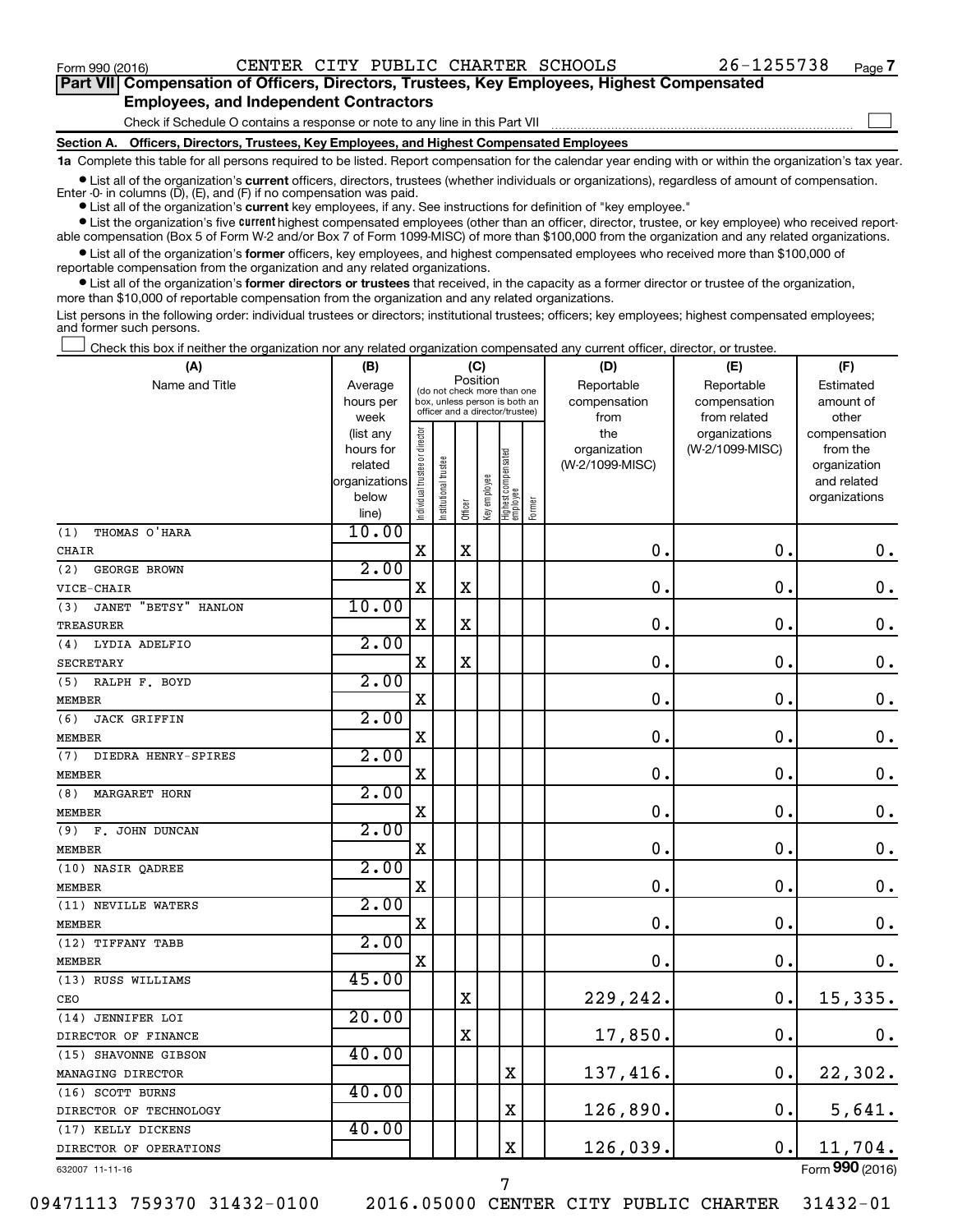$\Box$ 

| Part VII Compensation of Officers, Directors, Trustees, Key Employees, Highest Compensated |  |  |
|--------------------------------------------------------------------------------------------|--|--|
| <b>Employees, and Independent Contractors</b>                                              |  |  |

Check if Schedule O contains a response or note to any line in this Part VII

**Section A. Officers, Directors, Trustees, Key Employees, and Highest Compensated Employees**

**1a**  Complete this table for all persons required to be listed. Report compensation for the calendar year ending with or within the organization's tax year.

**•** List all of the organization's current officers, directors, trustees (whether individuals or organizations), regardless of amount of compensation. Enter -0- in columns  $(D)$ ,  $(E)$ , and  $(F)$  if no compensation was paid.

**•** List all of the organization's **current** key employees, if any. See instructions for definition of "key employee."

**•** List the organization's five current highest compensated employees (other than an officer, director, trustee, or key employee) who received reportable compensation (Box 5 of Form W-2 and/or Box 7 of Form 1099-MISC) of more than \$100,000 from the organization and any related organizations.

**•** List all of the organization's former officers, key employees, and highest compensated employees who received more than \$100,000 of reportable compensation from the organization and any related organizations.

**•** List all of the organization's former directors or trustees that received, in the capacity as a former director or trustee of the organization, more than \$10,000 of reportable compensation from the organization and any related organizations.

List persons in the following order: individual trustees or directors; institutional trustees; officers; key employees; highest compensated employees; and former such persons.

Check this box if neither the organization nor any related organization compensated any current officer, director, or trustee.  $\Box$ 

| (A)                                | (B)                  |                                |                                                                  | (C)         |              |                                   |        | (D)             | (E)             | (F)                         |
|------------------------------------|----------------------|--------------------------------|------------------------------------------------------------------|-------------|--------------|-----------------------------------|--------|-----------------|-----------------|-----------------------------|
| Name and Title                     | Average              |                                | (do not check more than one                                      | Position    |              |                                   |        | Reportable      | Reportable      | Estimated                   |
|                                    | hours per            |                                | box, unless person is both an<br>officer and a director/trustee) |             |              |                                   |        | compensation    | compensation    | amount of                   |
|                                    | week                 |                                |                                                                  |             |              |                                   |        | from            | from related    | other                       |
|                                    | (list any            |                                |                                                                  |             |              |                                   |        | the             | organizations   | compensation                |
|                                    | hours for<br>related |                                |                                                                  |             |              |                                   |        | organization    | (W-2/1099-MISC) | from the                    |
|                                    | organizations        |                                |                                                                  |             |              |                                   |        | (W-2/1099-MISC) |                 | organization<br>and related |
|                                    | below                |                                |                                                                  |             |              |                                   |        |                 |                 | organizations               |
|                                    | line)                | Individual trustee or director | nstitutional trustee                                             | Officer     | Key employee | Highest compensated<br>  employee | Former |                 |                 |                             |
| THOMAS O'HARA<br>(1)               | 10.00                |                                |                                                                  |             |              |                                   |        |                 |                 |                             |
| CHAIR                              |                      | $\mathbf x$                    |                                                                  | $\mathbf X$ |              |                                   |        | $\mathbf 0$ .   | $\mathbf 0$ .   | 0.                          |
| (2)<br>GEORGE BROWN                | 2.00                 |                                |                                                                  |             |              |                                   |        |                 |                 |                             |
| VICE-CHAIR                         |                      | $\mathbf X$                    |                                                                  | $\mathbf X$ |              |                                   |        | 0.              | $\mathbf 0$ .   | $\mathbf 0$ .               |
| <b>JANET "BETSY" HANLON</b><br>(3) | 10.00                |                                |                                                                  |             |              |                                   |        |                 |                 |                             |
| <b>TREASURER</b>                   |                      | X                              |                                                                  | X           |              |                                   |        | $\mathbf 0$ .   | 0.              | $\mathbf 0$ .               |
| LYDIA ADELFIO<br>(4)               | 2.00                 |                                |                                                                  |             |              |                                   |        |                 |                 |                             |
| <b>SECRETARY</b>                   |                      | $\mathbf X$                    |                                                                  | $\mathbf X$ |              |                                   |        | $\mathbf 0$ .   | $\mathbf 0$ .   | $\mathbf 0$ .               |
| RALPH F. BOYD<br>(5)               | 2.00                 |                                |                                                                  |             |              |                                   |        |                 |                 |                             |
| <b>MEMBER</b>                      |                      | $\mathbf X$                    |                                                                  |             |              |                                   |        | $\mathbf 0$ .   | $\mathbf 0$ .   | $\mathbf 0$ .               |
| (6)<br><b>JACK GRIFFIN</b>         | 2.00                 |                                |                                                                  |             |              |                                   |        |                 |                 |                             |
| <b>MEMBER</b>                      |                      | $\mathbf X$                    |                                                                  |             |              |                                   |        | $\mathbf 0$ .   | $\mathbf 0$ .   | $\mathbf 0$ .               |
| (7)<br>DIEDRA HENRY-SPIRES         | 2.00                 |                                |                                                                  |             |              |                                   |        |                 |                 |                             |
| <b>MEMBER</b>                      |                      | $\mathbf X$                    |                                                                  |             |              |                                   |        | $\mathbf 0$ .   | $\mathbf 0$ .   | 0.                          |
| (8)<br><b>MARGARET HORN</b>        | 2.00                 |                                |                                                                  |             |              |                                   |        |                 |                 |                             |
| MEMBER                             |                      | $\mathbf X$                    |                                                                  |             |              |                                   |        | $\mathbf 0$ .   | $\mathbf 0$ .   | $\mathbf 0$ .               |
| (9)<br>F. JOHN DUNCAN              | 2.00                 |                                |                                                                  |             |              |                                   |        |                 |                 |                             |
| <b>MEMBER</b>                      |                      | $\mathbf X$                    |                                                                  |             |              |                                   |        | $\mathbf 0$ .   | $\mathbf 0$ .   | $\mathbf 0$ .               |
| (10) NASIR QADREE                  | 2.00                 |                                |                                                                  |             |              |                                   |        |                 |                 |                             |
| <b>MEMBER</b>                      |                      | X                              |                                                                  |             |              |                                   |        | $\mathbf 0$ .   | $\mathbf 0$ .   | $\mathbf 0$ .               |
| (11) NEVILLE WATERS                | 2.00                 |                                |                                                                  |             |              |                                   |        |                 |                 |                             |
| <b>MEMBER</b>                      |                      | $\mathbf X$                    |                                                                  |             |              |                                   |        | 0.              | $\mathbf 0$     | $\mathbf 0$ .               |
| (12) TIFFANY TABB                  | 2.00                 |                                |                                                                  |             |              |                                   |        |                 |                 |                             |
| <b>MEMBER</b>                      |                      | $\mathbf X$                    |                                                                  |             |              |                                   |        | $\mathbf 0$ .   | $\mathbf 0$ .   | 0.                          |
| (13) RUSS WILLIAMS                 | 45.00                |                                |                                                                  |             |              |                                   |        |                 |                 |                             |
| CEO                                |                      |                                |                                                                  | $\mathbf X$ |              |                                   |        | 229,242.        | $\mathbf 0$ .   | 15,335.                     |
| (14) JENNIFER LOI                  | 20.00                |                                |                                                                  |             |              |                                   |        |                 |                 |                             |
| DIRECTOR OF FINANCE                |                      |                                |                                                                  | $\mathbf X$ |              |                                   |        | 17,850.         | $\mathbf 0$ .   | 0.                          |
| (15) SHAVONNE GIBSON               | 40.00                |                                |                                                                  |             |              |                                   |        |                 |                 |                             |
| MANAGING DIRECTOR                  |                      |                                |                                                                  |             |              | $\mathbf X$                       |        | 137,416.        | $\mathbf 0$ .   | 22,302.                     |
| (16) SCOTT BURNS                   | 40.00                |                                |                                                                  |             |              |                                   |        |                 |                 |                             |
| DIRECTOR OF TECHNOLOGY             |                      |                                |                                                                  |             |              | $\mathbf X$                       |        | 126,890.        | $\mathbf 0$ .   | 5,641.                      |
| (17) KELLY DICKENS                 | 40.00                |                                |                                                                  |             |              |                                   |        |                 |                 |                             |
| DIRECTOR OF OPERATIONS             |                      |                                |                                                                  |             |              | $\rm X$                           |        | 126,039.        | $\mathbf 0$ .   | 11,704.                     |
| 632007 11-11-16                    |                      |                                |                                                                  |             |              |                                   |        |                 |                 | Form 990 (2016)             |

632007 11-11-16

09471113 759370 31432-0100 2016.05000 CENTER CITY PUBLIC CHARTER 31432-01

7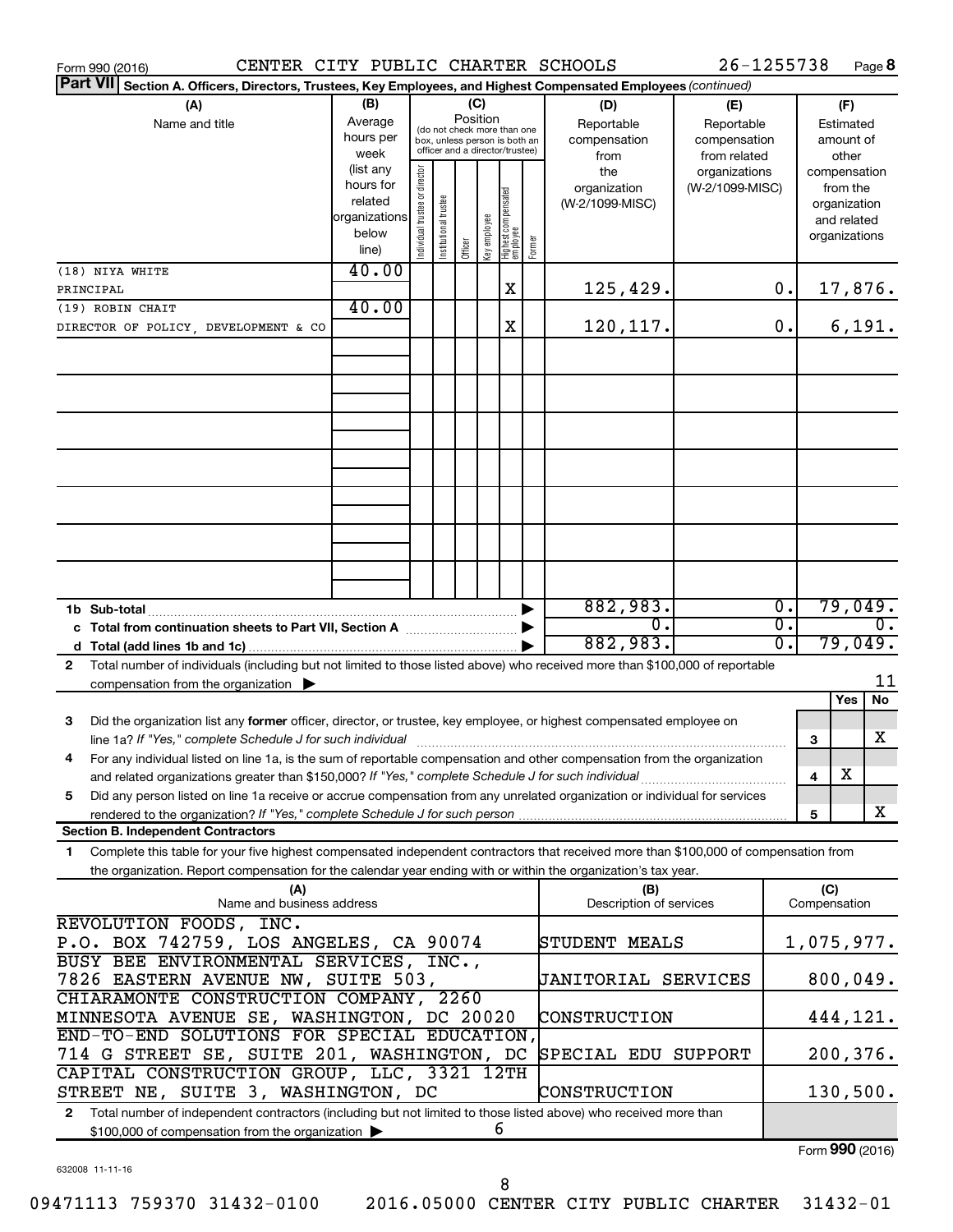| CENTER CITY PUBLIC CHARTER SCHOOLS<br>Form 990 (2016)                                                                                        |                   |                                |                       |          |              |                                                                  |        |                            | 26-1255738                       |                  |              | Page 8                   |
|----------------------------------------------------------------------------------------------------------------------------------------------|-------------------|--------------------------------|-----------------------|----------|--------------|------------------------------------------------------------------|--------|----------------------------|----------------------------------|------------------|--------------|--------------------------|
| <b>Part VII</b><br>Section A. Officers, Directors, Trustees, Key Employees, and Highest Compensated Employees (continued)                    |                   |                                |                       |          |              |                                                                  |        |                            |                                  |                  |              |                          |
| (A)                                                                                                                                          | (B)               |                                |                       | (C)      |              |                                                                  |        | (D)                        | (E)                              |                  |              | (F)                      |
| Name and title                                                                                                                               | Average           |                                |                       | Position |              | (do not check more than one                                      |        | Reportable                 | Reportable                       |                  |              | Estimated                |
|                                                                                                                                              | hours per         |                                |                       |          |              | box, unless person is both an<br>officer and a director/trustee) |        | compensation               | compensation                     |                  |              | amount of                |
|                                                                                                                                              | week<br>(list any |                                |                       |          |              |                                                                  |        | from                       | from related                     |                  |              | other                    |
|                                                                                                                                              | hours for         |                                |                       |          |              |                                                                  |        | the<br>organization        | organizations<br>(W-2/1099-MISC) |                  |              | compensation<br>from the |
|                                                                                                                                              | related           |                                |                       |          |              |                                                                  |        | (W-2/1099-MISC)            |                                  |                  |              | organization             |
|                                                                                                                                              | organizations     |                                |                       |          |              |                                                                  |        |                            |                                  |                  |              | and related              |
|                                                                                                                                              | below             | Individual trustee or director | Institutional trustee |          | Key employee |                                                                  |        |                            |                                  |                  |              | organizations            |
|                                                                                                                                              | line)             |                                |                       | Officer  |              | Highest compensated<br> employee                                 | Former |                            |                                  |                  |              |                          |
| (18) NIYA WHITE                                                                                                                              | 40.00             |                                |                       |          |              |                                                                  |        |                            |                                  |                  |              |                          |
| PRINCIPAL                                                                                                                                    |                   |                                |                       |          |              | X                                                                |        | 125,429.                   |                                  | 0.               |              | 17,876.                  |
| (19) ROBIN CHAIT                                                                                                                             | 40.00             |                                |                       |          |              |                                                                  |        |                            |                                  |                  |              |                          |
| DIRECTOR OF POLICY, DEVELOPMENT & CO                                                                                                         |                   |                                |                       |          |              | Χ                                                                |        | 120,117.                   |                                  | 0.               |              | 6,191.                   |
|                                                                                                                                              |                   |                                |                       |          |              |                                                                  |        |                            |                                  |                  |              |                          |
|                                                                                                                                              |                   |                                |                       |          |              |                                                                  |        |                            |                                  |                  |              |                          |
|                                                                                                                                              |                   |                                |                       |          |              |                                                                  |        |                            |                                  |                  |              |                          |
|                                                                                                                                              |                   |                                |                       |          |              |                                                                  |        |                            |                                  |                  |              |                          |
|                                                                                                                                              |                   |                                |                       |          |              |                                                                  |        |                            |                                  |                  |              |                          |
|                                                                                                                                              |                   |                                |                       |          |              |                                                                  |        |                            |                                  |                  |              |                          |
|                                                                                                                                              |                   |                                |                       |          |              |                                                                  |        |                            |                                  |                  |              |                          |
|                                                                                                                                              |                   |                                |                       |          |              |                                                                  |        |                            |                                  |                  |              |                          |
|                                                                                                                                              |                   |                                |                       |          |              |                                                                  |        |                            |                                  |                  |              |                          |
|                                                                                                                                              |                   |                                |                       |          |              |                                                                  |        |                            |                                  |                  |              |                          |
|                                                                                                                                              |                   |                                |                       |          |              |                                                                  |        |                            |                                  |                  |              |                          |
|                                                                                                                                              |                   |                                |                       |          |              |                                                                  |        |                            |                                  |                  |              |                          |
|                                                                                                                                              |                   |                                |                       |          |              |                                                                  |        |                            |                                  |                  |              |                          |
|                                                                                                                                              |                   |                                |                       |          |              |                                                                  |        |                            |                                  |                  |              |                          |
|                                                                                                                                              |                   |                                |                       |          |              |                                                                  |        | 882,983.                   |                                  | $\overline{0}$ . |              | 79,049.                  |
| c Total from continuation sheets to Part VII, Section A [11, 11, 2010]                                                                       |                   |                                |                       |          |              |                                                                  |        | 0.                         |                                  | σ.               |              | $\overline{0}$ .         |
|                                                                                                                                              |                   |                                |                       |          |              |                                                                  |        | 882,983.                   |                                  | σ.               |              | 79,049.                  |
| Total number of individuals (including but not limited to those listed above) who received more than \$100,000 of reportable<br>$\mathbf{2}$ |                   |                                |                       |          |              |                                                                  |        |                            |                                  |                  |              |                          |
| compensation from the organization $\blacktriangleright$                                                                                     |                   |                                |                       |          |              |                                                                  |        |                            |                                  |                  |              | 11                       |
|                                                                                                                                              |                   |                                |                       |          |              |                                                                  |        |                            |                                  |                  |              | No<br>Yes                |
| Did the organization list any former officer, director, or trustee, key employee, or highest compensated employee on<br>з                    |                   |                                |                       |          |              |                                                                  |        |                            |                                  |                  |              |                          |
| line 1a? If "Yes," complete Schedule J for such individual [11] manufacture manufacture in the set of the set o                              |                   |                                |                       |          |              |                                                                  |        |                            |                                  |                  | 3            | X                        |
| For any individual listed on line 1a, is the sum of reportable compensation and other compensation from the organization<br>4                |                   |                                |                       |          |              |                                                                  |        |                            |                                  |                  |              |                          |
| and related organizations greater than \$150,000? If "Yes," complete Schedule J for such individual                                          |                   |                                |                       |          |              |                                                                  |        |                            |                                  |                  | 4            | х                        |
| Did any person listed on line 1a receive or accrue compensation from any unrelated organization or individual for services<br>5              |                   |                                |                       |          |              |                                                                  |        |                            |                                  |                  |              |                          |
| rendered to the organization? If "Yes," complete Schedule J for such person                                                                  |                   |                                |                       |          |              |                                                                  |        |                            |                                  |                  | 5            | X                        |
| <b>Section B. Independent Contractors</b>                                                                                                    |                   |                                |                       |          |              |                                                                  |        |                            |                                  |                  |              |                          |
| Complete this table for your five highest compensated independent contractors that received more than \$100,000 of compensation from<br>1    |                   |                                |                       |          |              |                                                                  |        |                            |                                  |                  |              |                          |
| the organization. Report compensation for the calendar year ending with or within the organization's tax year.                               |                   |                                |                       |          |              |                                                                  |        |                            |                                  |                  |              |                          |
| (A)                                                                                                                                          |                   |                                |                       |          |              |                                                                  |        | (B)                        |                                  |                  | (C)          |                          |
| Name and business address                                                                                                                    |                   |                                |                       |          |              |                                                                  |        | Description of services    |                                  |                  | Compensation |                          |
| REVOLUTION FOODS, INC.                                                                                                                       |                   |                                |                       |          |              |                                                                  |        |                            |                                  |                  |              |                          |
| P.O. BOX 742759, LOS ANGELES, CA 90074                                                                                                       |                   |                                |                       |          |              |                                                                  |        | STUDENT MEALS              |                                  |                  |              | 1,075,977.               |
| BUSY BEE ENVIRONMENTAL SERVICES, INC.,                                                                                                       |                   |                                |                       |          |              |                                                                  |        |                            |                                  |                  |              |                          |
| 7826 EASTERN AVENUE NW, SUITE 503,                                                                                                           |                   |                                |                       |          |              |                                                                  |        | <b>JANITORIAL SERVICES</b> |                                  |                  |              | 800,049.                 |
| CHIARAMONTE CONSTRUCTION COMPANY, 2260                                                                                                       |                   |                                |                       |          |              |                                                                  |        |                            |                                  |                  |              |                          |
| MINNESOTA AVENUE SE, WASHINGTON, DC 20020                                                                                                    |                   |                                |                       |          |              |                                                                  |        | CONSTRUCTION               |                                  |                  |              | 444,121.                 |
| END-TO-END SOLUTIONS FOR SPECIAL EDUCATION,                                                                                                  |                   |                                |                       |          |              |                                                                  |        |                            |                                  |                  |              |                          |
| 714 G STREET SE, SUITE 201, WASHINGTON, DC                                                                                                   |                   |                                |                       |          |              |                                                                  |        | SPECIAL EDU SUPPORT        |                                  |                  |              | 200,376.                 |
| CAPITAL CONSTRUCTION GROUP, LLC, 3321 12TH                                                                                                   |                   |                                |                       |          |              |                                                                  |        |                            |                                  |                  |              |                          |
| STREET NE, SUITE 3, WASHINGTON, DC                                                                                                           |                   |                                |                       |          |              |                                                                  |        | CONSTRUCTION               |                                  |                  |              | 130,500.                 |
| Total number of independent contractors (including but not limited to those listed above) who received more than<br>$\mathbf{2}$             |                   |                                |                       |          |              |                                                                  |        |                            |                                  |                  |              |                          |
| \$100,000 of compensation from the organization >                                                                                            |                   |                                |                       |          |              | 6                                                                |        |                            |                                  |                  |              |                          |
|                                                                                                                                              |                   |                                |                       |          |              |                                                                  |        |                            |                                  |                  |              | $Form$ 990 (2016)        |

632008 11-11-16

Form (2016) **990**

8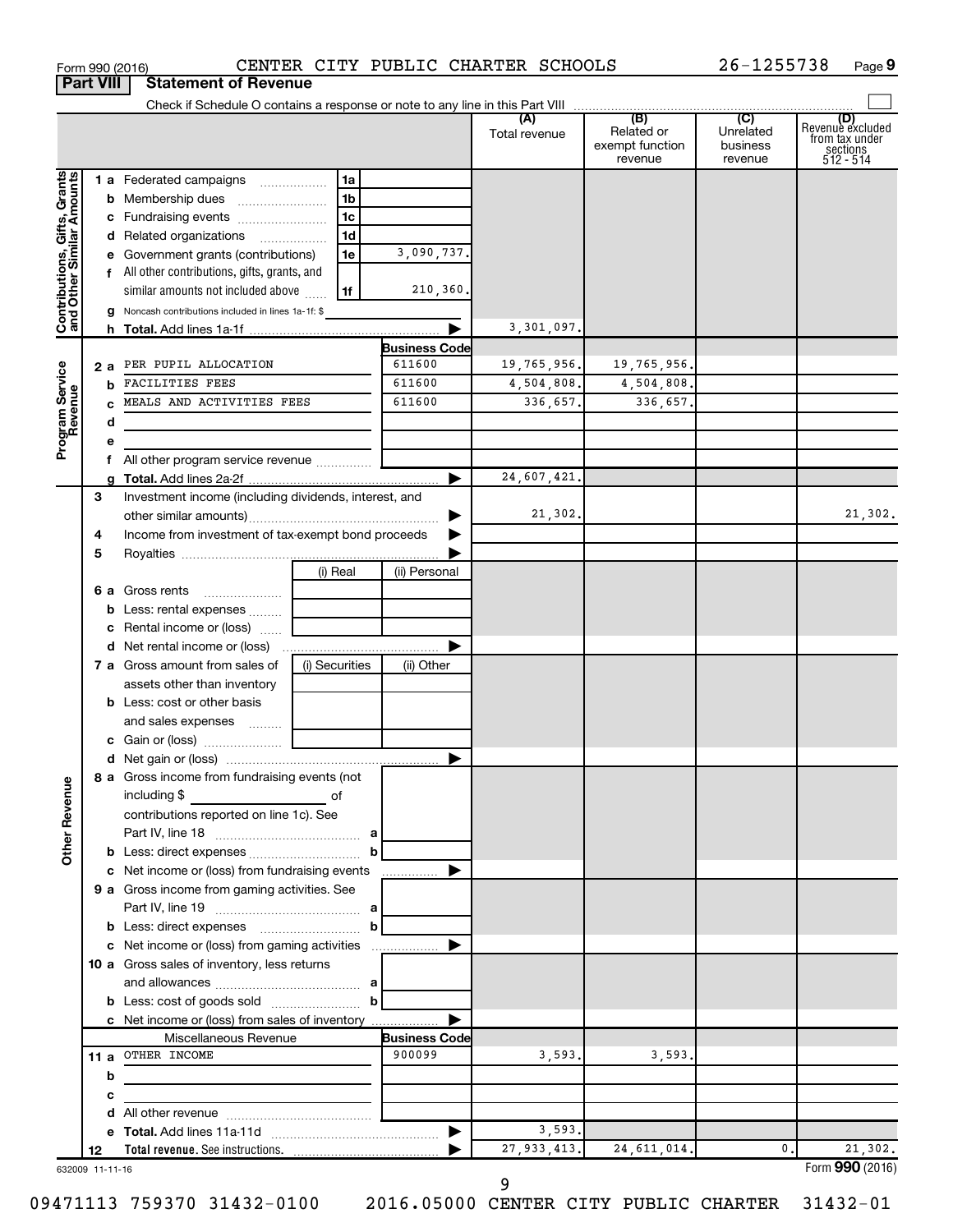|                              |                  | Form 990 (2016)                                       |                |                      | CENTER CITY PUBLIC CHARTER SCHOOLS |                                                 | 26-1255738                                         | Page 9                                                             |
|------------------------------|------------------|-------------------------------------------------------|----------------|----------------------|------------------------------------|-------------------------------------------------|----------------------------------------------------|--------------------------------------------------------------------|
|                              | <b>Part VIII</b> | <b>Statement of Revenue</b>                           |                |                      |                                    |                                                 |                                                    |                                                                    |
|                              |                  |                                                       |                |                      |                                    |                                                 |                                                    |                                                                    |
|                              |                  |                                                       |                |                      | (A)<br>Total revenue               | (B)<br>Related or<br>exempt function<br>revenue | $\overline{C}$<br>Unrelated<br>business<br>revenue | (D)<br>Revenue excluded<br>from tax under<br>sections<br>512 - 514 |
| Contributions, Gifts, Grants |                  | 1 a Federated campaigns                               | 1a             |                      |                                    |                                                 |                                                    |                                                                    |
|                              |                  |                                                       | 1 <sub>b</sub> |                      |                                    |                                                 |                                                    |                                                                    |
|                              |                  |                                                       | 1 <sub>c</sub> |                      |                                    |                                                 |                                                    |                                                                    |
|                              |                  | d Related organizations                               | 1 <sub>d</sub> |                      |                                    |                                                 |                                                    |                                                                    |
|                              |                  | e Government grants (contributions)                   | 1e             | 3,090,737.           |                                    |                                                 |                                                    |                                                                    |
|                              |                  | f All other contributions, gifts, grants, and         |                |                      |                                    |                                                 |                                                    |                                                                    |
|                              |                  | similar amounts not included above                    | 1f             | 210,360.             |                                    |                                                 |                                                    |                                                                    |
|                              |                  | g Noncash contributions included in lines 1a-1f: \$   |                |                      |                                    |                                                 |                                                    |                                                                    |
|                              |                  |                                                       |                | ▶                    | 3,301,097.                         |                                                 |                                                    |                                                                    |
|                              |                  |                                                       |                | <b>Business Code</b> |                                    |                                                 |                                                    |                                                                    |
|                              | 2 a              | PER PUPIL ALLOCATION                                  |                | 611600               | 19,765,956.                        | 19,765,956.                                     |                                                    |                                                                    |
|                              |                  | <b>FACILITIES FEES</b>                                |                | 611600               | 4,504,808.                         | 4,504,808.                                      |                                                    |                                                                    |
| Program Service<br>Revenue   |                  | MEALS AND ACTIVITIES FEES                             |                | 611600               | 336.657.                           | 336,657.                                        |                                                    |                                                                    |
|                              |                  | d                                                     |                |                      |                                    |                                                 |                                                    |                                                                    |
|                              |                  | е                                                     |                |                      |                                    |                                                 |                                                    |                                                                    |
|                              |                  | f All other program service revenue                   |                |                      |                                    |                                                 |                                                    |                                                                    |
|                              |                  | g                                                     |                | ▶                    | 24,607,421.                        |                                                 |                                                    |                                                                    |
|                              | 3                | Investment income (including dividends, interest, and |                |                      |                                    |                                                 |                                                    |                                                                    |
|                              |                  |                                                       |                | ▶                    | 21,302.                            |                                                 |                                                    | 21,302.                                                            |
|                              | 4                | Income from investment of tax-exempt bond proceeds    |                |                      |                                    |                                                 |                                                    |                                                                    |
|                              | 5                |                                                       |                |                      |                                    |                                                 |                                                    |                                                                    |
|                              |                  |                                                       | (i) Real       | (ii) Personal        |                                    |                                                 |                                                    |                                                                    |
|                              | 6а               | Gross rents                                           |                |                      |                                    |                                                 |                                                    |                                                                    |
|                              |                  | <b>b</b> Less: rental expenses                        |                |                      |                                    |                                                 |                                                    |                                                                    |
|                              |                  | <b>c</b> Rental income or (loss) $\ldots$             |                |                      |                                    |                                                 |                                                    |                                                                    |
|                              |                  |                                                       |                | ▶                    |                                    |                                                 |                                                    |                                                                    |
|                              |                  | 7 a Gross amount from sales of                        | (i) Securities | (ii) Other           |                                    |                                                 |                                                    |                                                                    |
|                              |                  | assets other than inventory                           |                |                      |                                    |                                                 |                                                    |                                                                    |
|                              |                  | <b>b</b> Less: cost or other basis                    |                |                      |                                    |                                                 |                                                    |                                                                    |
|                              |                  | and sales expenses                                    |                |                      |                                    |                                                 |                                                    |                                                                    |
|                              |                  |                                                       |                |                      |                                    |                                                 |                                                    |                                                                    |
|                              |                  | 8 a Gross income from fundraising events (not         |                |                      |                                    |                                                 |                                                    |                                                                    |
| Other Revenue                |                  | including \$                                          | оf             |                      |                                    |                                                 |                                                    |                                                                    |
|                              |                  | contributions reported on line 1c). See               |                |                      |                                    |                                                 |                                                    |                                                                    |
|                              |                  |                                                       |                |                      |                                    |                                                 |                                                    |                                                                    |
|                              |                  |                                                       | $\mathbf{b}$   |                      |                                    |                                                 |                                                    |                                                                    |
|                              |                  | c Net income or (loss) from fundraising events        |                | ▶                    |                                    |                                                 |                                                    |                                                                    |
|                              |                  | 9 a Gross income from gaming activities. See          |                |                      |                                    |                                                 |                                                    |                                                                    |
|                              |                  |                                                       |                |                      |                                    |                                                 |                                                    |                                                                    |
|                              |                  |                                                       |                |                      |                                    |                                                 |                                                    |                                                                    |
|                              |                  | c Net income or (loss) from gaming activities         |                | ▶                    |                                    |                                                 |                                                    |                                                                    |
|                              |                  | 10 a Gross sales of inventory, less returns           |                |                      |                                    |                                                 |                                                    |                                                                    |
|                              |                  |                                                       |                |                      |                                    |                                                 |                                                    |                                                                    |
|                              |                  | <b>b</b> Less: cost of goods sold $\ldots$ <b>b</b>   |                |                      |                                    |                                                 |                                                    |                                                                    |
|                              |                  | c Net income or (loss) from sales of inventory        |                |                      |                                    |                                                 |                                                    |                                                                    |
|                              |                  | Miscellaneous Revenue                                 |                | <b>Business Code</b> |                                    |                                                 |                                                    |                                                                    |
|                              |                  | 11 a OTHER INCOME                                     |                | 900099               | 3,593.                             | 3,593.                                          |                                                    |                                                                    |
|                              |                  | b                                                     |                |                      |                                    |                                                 |                                                    |                                                                    |
|                              |                  | с                                                     |                |                      |                                    |                                                 |                                                    |                                                                    |
|                              |                  | d                                                     |                |                      |                                    |                                                 |                                                    |                                                                    |
|                              |                  |                                                       |                | ▶                    | 3,593.                             |                                                 |                                                    |                                                                    |
|                              | 12               |                                                       |                |                      | 27, 933, 413.                      | 24, 611, 014.                                   | 0.                                                 | 21,302.                                                            |
| 632009 11-11-16              |                  |                                                       |                |                      |                                    |                                                 |                                                    | Form 990 (2016)                                                    |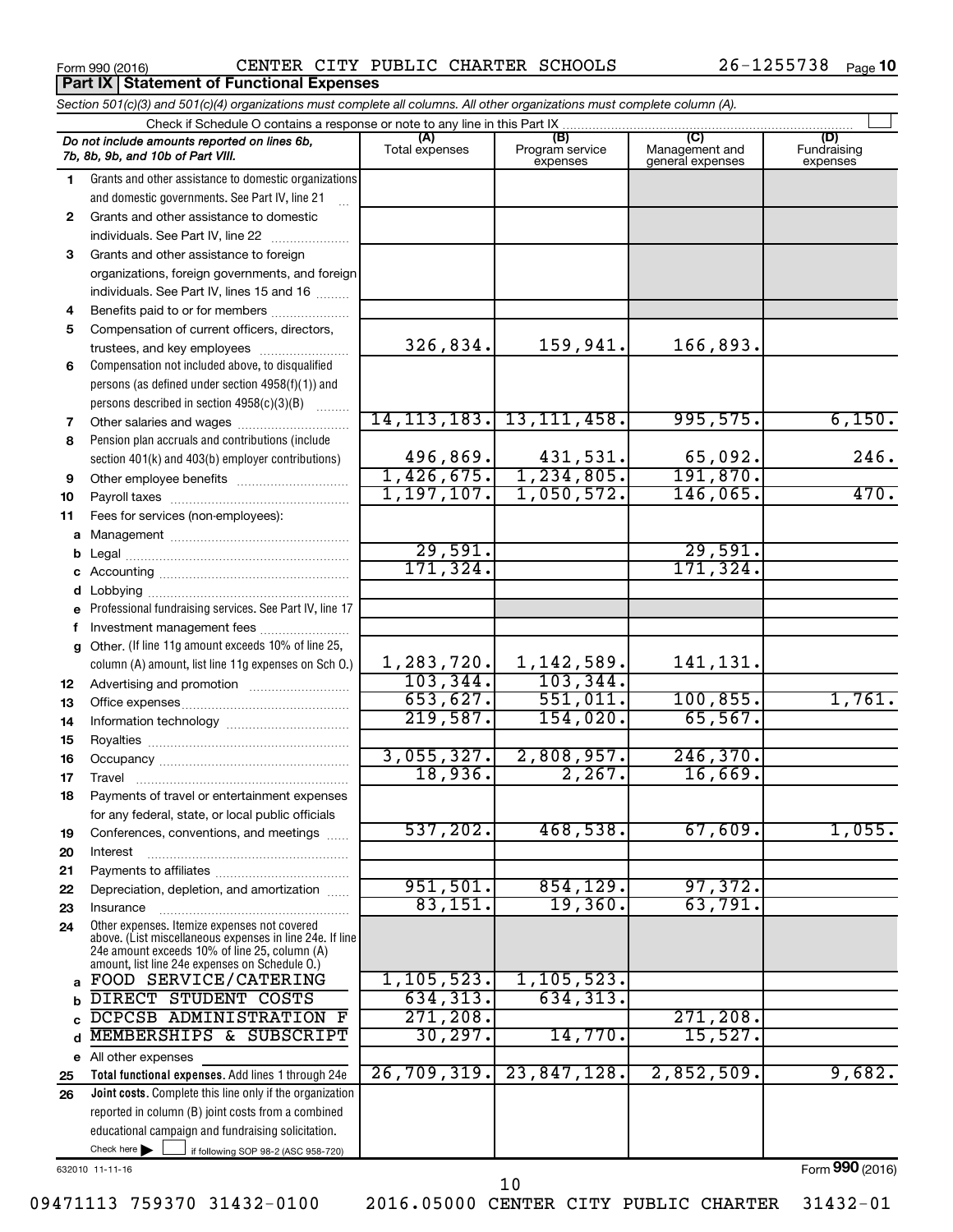**Part IX Statement of Functional Expenses** 

Form 990 (2016) CENTER CITY PUBLIC CHARTER SCHOOLS 26-1255738 Page

|              | Section 501(c)(3) and 501(c)(4) organizations must complete all columns. All other organizations must complete column (A).                                                                                  |                |                             |                                    |                         |
|--------------|-------------------------------------------------------------------------------------------------------------------------------------------------------------------------------------------------------------|----------------|-----------------------------|------------------------------------|-------------------------|
|              | Check if Schedule O contains a response or note to any line in this Part IX                                                                                                                                 | (A)            | (B)                         | (C)                                | (D)                     |
|              | Do not include amounts reported on lines 6b,<br>7b, 8b, 9b, and 10b of Part VIII.                                                                                                                           | Total expenses | Program service<br>expenses | Management and<br>general expenses | Fundraising<br>expenses |
| 1            | Grants and other assistance to domestic organizations                                                                                                                                                       |                |                             |                                    |                         |
|              | and domestic governments. See Part IV, line 21                                                                                                                                                              |                |                             |                                    |                         |
| $\mathbf{2}$ | Grants and other assistance to domestic                                                                                                                                                                     |                |                             |                                    |                         |
|              | individuals. See Part IV, line 22<br>and a construction of the construction of the construction of the construction of the construction of the constr                                                       |                |                             |                                    |                         |
| 3            | Grants and other assistance to foreign                                                                                                                                                                      |                |                             |                                    |                         |
|              | organizations, foreign governments, and foreign                                                                                                                                                             |                |                             |                                    |                         |
|              | individuals. See Part IV, lines 15 and 16                                                                                                                                                                   |                |                             |                                    |                         |
| 4            | Benefits paid to or for members                                                                                                                                                                             |                |                             |                                    |                         |
| 5            | Compensation of current officers, directors,                                                                                                                                                                |                |                             |                                    |                         |
|              | trustees, and key employees                                                                                                                                                                                 | 326,834.       | 159,941.                    | 166,893.                           |                         |
| 6            | Compensation not included above, to disqualified                                                                                                                                                            |                |                             |                                    |                         |
|              | persons (as defined under section 4958(f)(1)) and                                                                                                                                                           |                |                             |                                    |                         |
|              | persons described in section 4958(c)(3)(B)<br>1.1.1.1.1.1.1                                                                                                                                                 |                | 14, 113, 183. 13, 111, 458. |                                    | 6,150.                  |
| 7            |                                                                                                                                                                                                             |                |                             | 995,575.                           |                         |
| 8            | Pension plan accruals and contributions (include                                                                                                                                                            | 496,869.       | 431,531.                    | 65,092.                            | 246.                    |
|              | section 401(k) and 403(b) employer contributions)                                                                                                                                                           |                | $1,426,675.$ $1,234,805.$   | 191,870.                           |                         |
| 9            |                                                                                                                                                                                                             | 1,197,107.     | 1,050,572.                  | 146,065.                           | 470.                    |
| 10           |                                                                                                                                                                                                             |                |                             |                                    |                         |
| 11           | Fees for services (non-employees):                                                                                                                                                                          |                |                             |                                    |                         |
|              |                                                                                                                                                                                                             | 29,591.        |                             | 29,591.                            |                         |
| b            |                                                                                                                                                                                                             | 171,324.       |                             | 171,324.                           |                         |
|              |                                                                                                                                                                                                             |                |                             |                                    |                         |
| d            | e Professional fundraising services. See Part IV, line 17                                                                                                                                                   |                |                             |                                    |                         |
| f            | Investment management fees                                                                                                                                                                                  |                |                             |                                    |                         |
| g            | Other. (If line 11g amount exceeds 10% of line 25,                                                                                                                                                          |                |                             |                                    |                         |
|              | column (A) amount, list line 11g expenses on Sch O.)                                                                                                                                                        | 1, 283, 720.   | 1,142,589.                  | 141,131.                           |                         |
| 12           |                                                                                                                                                                                                             | 103, 344.      | 103, 344.                   |                                    |                         |
| 13           |                                                                                                                                                                                                             | 653,627.       | 551,011.                    | 100, 855.                          | 1,761.                  |
| 14           |                                                                                                                                                                                                             | 219,587.       | 154,020.                    | 65,567.                            |                         |
| 15           |                                                                                                                                                                                                             |                |                             |                                    |                         |
| 16           |                                                                                                                                                                                                             | 3,055,327.     | 2,808,957.                  | 246, 370.                          |                         |
| 17           |                                                                                                                                                                                                             | 18,936.        | 2,267.                      | 16,669.                            |                         |
| 18           | Payments of travel or entertainment expenses                                                                                                                                                                |                |                             |                                    |                         |
|              | for any federal, state, or local public officials                                                                                                                                                           |                |                             |                                    |                         |
| 19           | Conferences, conventions, and meetings                                                                                                                                                                      | 537,202.       | 468,538.                    | 67,609.                            | 1,055.                  |
| 20           | Interest                                                                                                                                                                                                    |                |                             |                                    |                         |
| 21           |                                                                                                                                                                                                             |                |                             |                                    |                         |
| 22           | Depreciation, depletion, and amortization                                                                                                                                                                   | 951,501.       | 854, 129.                   | 97,372.                            |                         |
| 23           | Insurance                                                                                                                                                                                                   | 83,151.        | 19,360.                     | 63,791.                            |                         |
| 24           | Other expenses. Itemize expenses not covered<br>above. (List miscellaneous expenses in line 24e. If line<br>24e amount exceeds 10% of line 25, column (A)<br>amount, list line 24e expenses on Schedule O.) |                |                             |                                    |                         |
|              | FOOD SERVICE/CATERING                                                                                                                                                                                       | 1, 105, 523.   | 1, 105, 523.                |                                    |                         |
| b            | DIRECT STUDENT COSTS                                                                                                                                                                                        | 634,313.       | 634, 313.                   |                                    |                         |
|              | DCPCSB ADMINISTRATION F                                                                                                                                                                                     | 271, 208.      |                             | 271, 208.                          |                         |
| d            | MEMBERSHIPS & SUBSCRIPT                                                                                                                                                                                     | 30, 297.       | 14,770.                     | 15,527.                            |                         |
|              | e All other expenses                                                                                                                                                                                        |                |                             |                                    |                         |
| 25           | Total functional expenses. Add lines 1 through 24e                                                                                                                                                          | 26,709,319.    | 23,847,128.                 | 2,852,509.                         | 9,682.                  |
| 26           | Joint costs. Complete this line only if the organization                                                                                                                                                    |                |                             |                                    |                         |
|              | reported in column (B) joint costs from a combined                                                                                                                                                          |                |                             |                                    |                         |
|              | educational campaign and fundraising solicitation.                                                                                                                                                          |                |                             |                                    |                         |
|              | Check here $\blacktriangleright$<br>if following SOP 98-2 (ASC 958-720)                                                                                                                                     |                |                             |                                    |                         |

632010 11-11-16

Form (2016) **990**

09471113 759370 31432-0100 2016.05000 CENTER CITY PUBLIC CHARTER 31432-01

10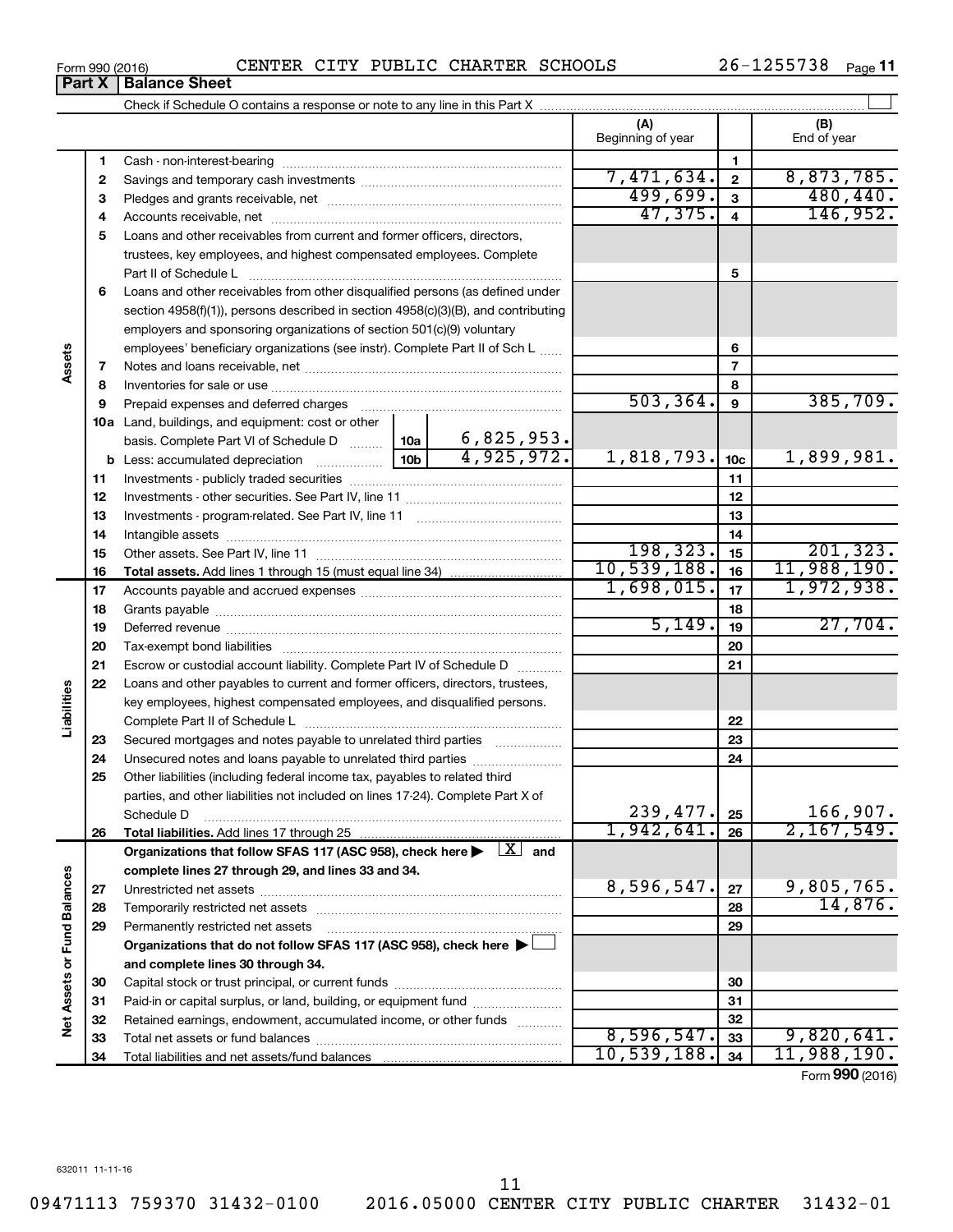**7 9 10 a** Land, buildings, and equipment: cost or other **11** Investments - publicly traded securities ~~~~~~~~~~~~~~~~~~~ **12** Investments - other securities. See Part IV, line 11 ~~~~~~~~~~~~~~ **13 14 15 18 20 21 22 23 24 30 6 7 8 9 10c 11 12 13 14 15 16 17 18 19 20 21 22 23 24 25 26 b** Less: accumulated depreciation  $\ldots$  [10b basis. Complete Part VI of Schedule D  $\frac{1}{10}$  10a **Total assets.**  Add lines 1 through 15 (must equal line 34) **Total liabilities.**  Add lines 17 through 25 Organizations that follow SFAS 117 (ASC 958), check here  $\blacktriangleright$   $\boxed{X}$  and **complete lines 27 through 29, and lines 33 and 34. 27 28 29 Organizations that do not follow SFAS 117 (ASC 958), check here** | † **and complete lines 30 through 34. 30** employers and sponsoring organizations of section 501(c)(9) voluntary employees' beneficiary organizations (see instr). Complete Part II of Sch L ...... Notes and loans receivable, net ~~~~~~~~~~~~~~~~~~~~~~~ Inventories for sale or use ~~~~~~~~~~~~~~~~~~~~~~~~~~ Prepaid expenses and deferred charges ~~~~~~~~~~~~~~~~~~ Investments - program-related. See Part IV, line 11 ~~~~~~~~~~~~~ Intangible assets ~~~~~~~~~~~~~~~~~~~~~~~~~~~~~~ Other assets. See Part IV, line 11 ~~~~~~~~~~~~~~~~~~~~~~ Accounts payable and accrued expenses ~~~~~~~~~~~~~~~~~~ Grants payable ~~~~~~~~~~~~~~~~~~~~~~~~~~~~~~~ Deferred revenue ~~~~~~~~~~~~~~~~~~~~~~~~~~~~~~ Tax-exempt bond liabilities ~~~~~~~~~~~~~~~~~~~~~~~~~ Escrow or custodial account liability. Complete Part IV of Schedule D ........... Loans and other payables to current and former officers, directors, trustees, key employees, highest compensated employees, and disqualified persons. Complete Part II of Schedule L ~~~~~~~~~~~~~~~~~~~~~~~ Secured mortgages and notes payable to unrelated third parties  $\ldots$ ................. Unsecured notes and loans payable to unrelated third parties ~~~~~~~~ Other liabilities (including federal income tax, payables to related third parties, and other liabilities not included on lines 17-24). Complete Part X of Schedule D ~~~~~~~~~~~~~~~~~~~~~~~~~~~~~~~~ Unrestricted net assets ~~~~~~~~~~~~~~~~~~~~~~~~~~~ Temporarily restricted net assets ~~~~~~~~~~~~~~~~~~~~~~ Permanently restricted net assets ~~~~~~~~~~~~~~~~~~~~~ Capital stock or trust principal, or current funds ~~~~~~~~~~~~~~~  $503,364.$   $9$   $385,709.$ 6,825,953.  $4,925,972.$  1,818,793.  $10c$  1,899,981. 198,323. 201,323. 10,539,188. 11,988,190.  $1,698,015.$   $|17|$  1,972,938. 5,149. 27,704.  $239,477.$   $25$  166,907. 1,942,641. 26 2,167,549.  $8,596,547.$  27 | 9,805,765.

Form 990 (2016) CENTER CITY PUBLIC CHARTER SCHOOLS 26-1255738 Page

**3** Pledges and grants receivable, net ~~~~~~~~~~~~~~~~~~~~~ **4** Accounts receivable, net ~~~~~~~~~~~~~~~~~~~~~~~~~~ **5** Loans and other receivables from current and former officers, directors,

Cash - non-interest-bearing ~~~~~~~~~~~~~~~~~~~~~~~~~ Savings and temporary cash investments ~~~~~~~~~~~~~~~~~~

Check if Schedule O contains a response or note to any line in this Part X

**6** Loans and other receivables from other disqualified persons (as defined under

section 4958(f)(1)), persons described in section 4958(c)(3)(B), and contributing

Paid-in or capital surplus, or land, building, or equipment fund ....................... Retained earnings, endowment, accumulated income, or other funds ............ Total net assets or fund balances ~~~~~~~~~~~~~~~~~~~~~~

Total liabilities and net assets/fund balances

trustees, key employees, and highest compensated employees. Complete Part II of Schedule L ~~~~~~~~~~~~~~~~~~~~~~~~~~~~

**(A) (B)**

Beginning of year  $\begin{vmatrix} 1 & 1 \end{vmatrix}$  End of year

7,471,634. 8,873,785. 499,699. 480,440. 47,375. 4 146,952.

**5**

 $8,596,547.$   $33$  9,820,641. 10,539,188. 11,988,190.

Form (2016) **990**

14,876.

 $\perp$ 

|  | Form 990 (2016) |  |
|--|-----------------|--|

**Part X** | Balance Sheet

**1 2**

**8**

**Assets**

**16 17**

**19**

**25**

**Liabilities**

**26**

**27 28 29**

**Net Assets or Fund Balances**

**Vet Assets or Fund Balances**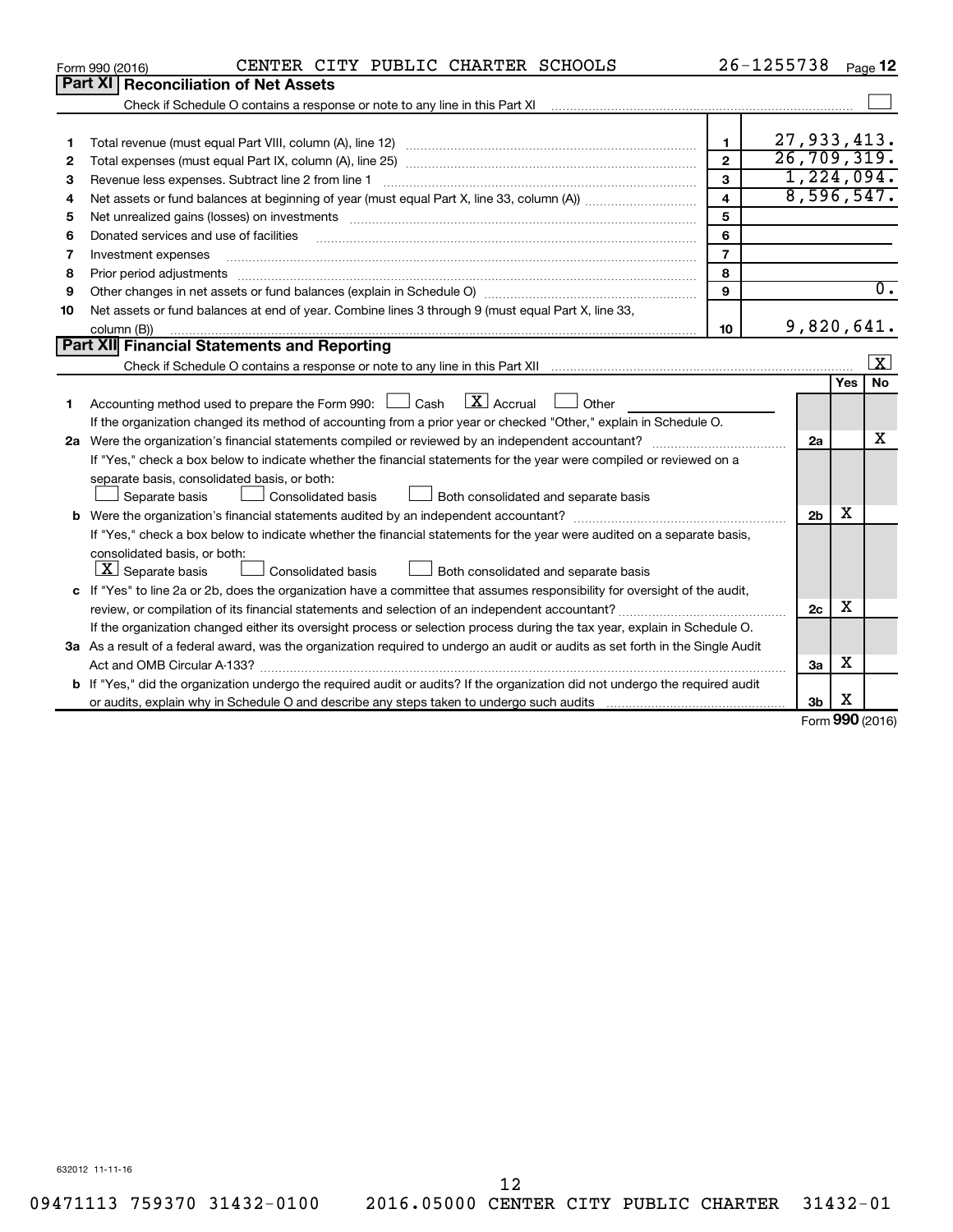|    | CENTER CITY PUBLIC CHARTER SCHOOLS<br>Form 990 (2016)                                                                                                                                                                         |                         | 26-1255738     |     | Page 12          |
|----|-------------------------------------------------------------------------------------------------------------------------------------------------------------------------------------------------------------------------------|-------------------------|----------------|-----|------------------|
|    | <b>Part XI   Reconciliation of Net Assets</b>                                                                                                                                                                                 |                         |                |     |                  |
|    |                                                                                                                                                                                                                               |                         |                |     |                  |
|    |                                                                                                                                                                                                                               |                         |                |     |                  |
| 1  |                                                                                                                                                                                                                               | 1                       | 27,933,413.    |     |                  |
| 2  |                                                                                                                                                                                                                               | $\overline{2}$          | 26, 709, 319.  |     |                  |
| 3  | Revenue less expenses. Subtract line 2 from line 1                                                                                                                                                                            | $\mathbf{3}$            | 1,224,094.     |     |                  |
| 4  |                                                                                                                                                                                                                               | $\overline{\mathbf{4}}$ | 8,596,547.     |     |                  |
| 5  | Net unrealized gains (losses) on investments [11] matter in the content of the state of the state of the state of the state of the state of the state of the state of the state of the state of the state of the state of the | 5                       |                |     |                  |
| 6  | Donated services and use of facilities                                                                                                                                                                                        | 6                       |                |     |                  |
| 7  | Investment expenses                                                                                                                                                                                                           | $\overline{7}$          |                |     |                  |
| 8  | Prior period adjustments                                                                                                                                                                                                      | 8                       |                |     |                  |
| 9  |                                                                                                                                                                                                                               | 9                       |                |     | $\overline{0}$ . |
| 10 | Net assets or fund balances at end of year. Combine lines 3 through 9 (must equal Part X, line 33,                                                                                                                            |                         |                |     |                  |
|    | column (B))                                                                                                                                                                                                                   | 10                      | 9,820,641.     |     |                  |
|    | Part XII Financial Statements and Reporting                                                                                                                                                                                   |                         |                |     |                  |
|    |                                                                                                                                                                                                                               |                         |                |     | <u>  x</u>       |
|    |                                                                                                                                                                                                                               |                         |                | Yes | <b>No</b>        |
| 1  | $\lfloor \mathbf{X} \rfloor$ Accrual<br>Accounting method used to prepare the Form 990: [130] Cash<br>Other                                                                                                                   |                         |                |     |                  |
|    | If the organization changed its method of accounting from a prior year or checked "Other," explain in Schedule O.                                                                                                             |                         |                |     |                  |
|    |                                                                                                                                                                                                                               |                         | 2a             |     | X                |
|    | If "Yes," check a box below to indicate whether the financial statements for the year were compiled or reviewed on a                                                                                                          |                         |                |     |                  |
|    | separate basis, consolidated basis, or both:                                                                                                                                                                                  |                         |                |     |                  |
|    | Both consolidated and separate basis<br>Separate basis<br><b>Consolidated basis</b>                                                                                                                                           |                         |                |     |                  |
|    |                                                                                                                                                                                                                               |                         | 2 <sub>b</sub> | x   |                  |
|    | If "Yes," check a box below to indicate whether the financial statements for the year were audited on a separate basis,                                                                                                       |                         |                |     |                  |
|    | consolidated basis, or both:                                                                                                                                                                                                  |                         |                |     |                  |
|    | $\lfloor x \rfloor$ Separate basis<br>Consolidated basis<br>Both consolidated and separate basis                                                                                                                              |                         |                |     |                  |
|    | c If "Yes" to line 2a or 2b, does the organization have a committee that assumes responsibility for oversight of the audit,                                                                                                   |                         |                |     |                  |
|    |                                                                                                                                                                                                                               |                         | 2c             | x   |                  |
|    | If the organization changed either its oversight process or selection process during the tax year, explain in Schedule O.                                                                                                     |                         |                |     |                  |
|    | 3a As a result of a federal award, was the organization required to undergo an audit or audits as set forth in the Single Audit                                                                                               |                         |                |     |                  |
|    | Act and OMB Circular A-133?                                                                                                                                                                                                   |                         | 3a             | х   |                  |
|    | <b>b</b> If "Yes," did the organization undergo the required audit or audits? If the organization did not undergo the required audit                                                                                          |                         |                |     |                  |
|    |                                                                                                                                                                                                                               |                         | 3b             | х   | $000 \text{ m}$  |
|    |                                                                                                                                                                                                                               |                         |                |     |                  |

Form (2016) **990**

632012 11-11-16

09471113 759370 31432-0100 2016.05000 CENTER CITY PUBLIC CHARTER 31432-01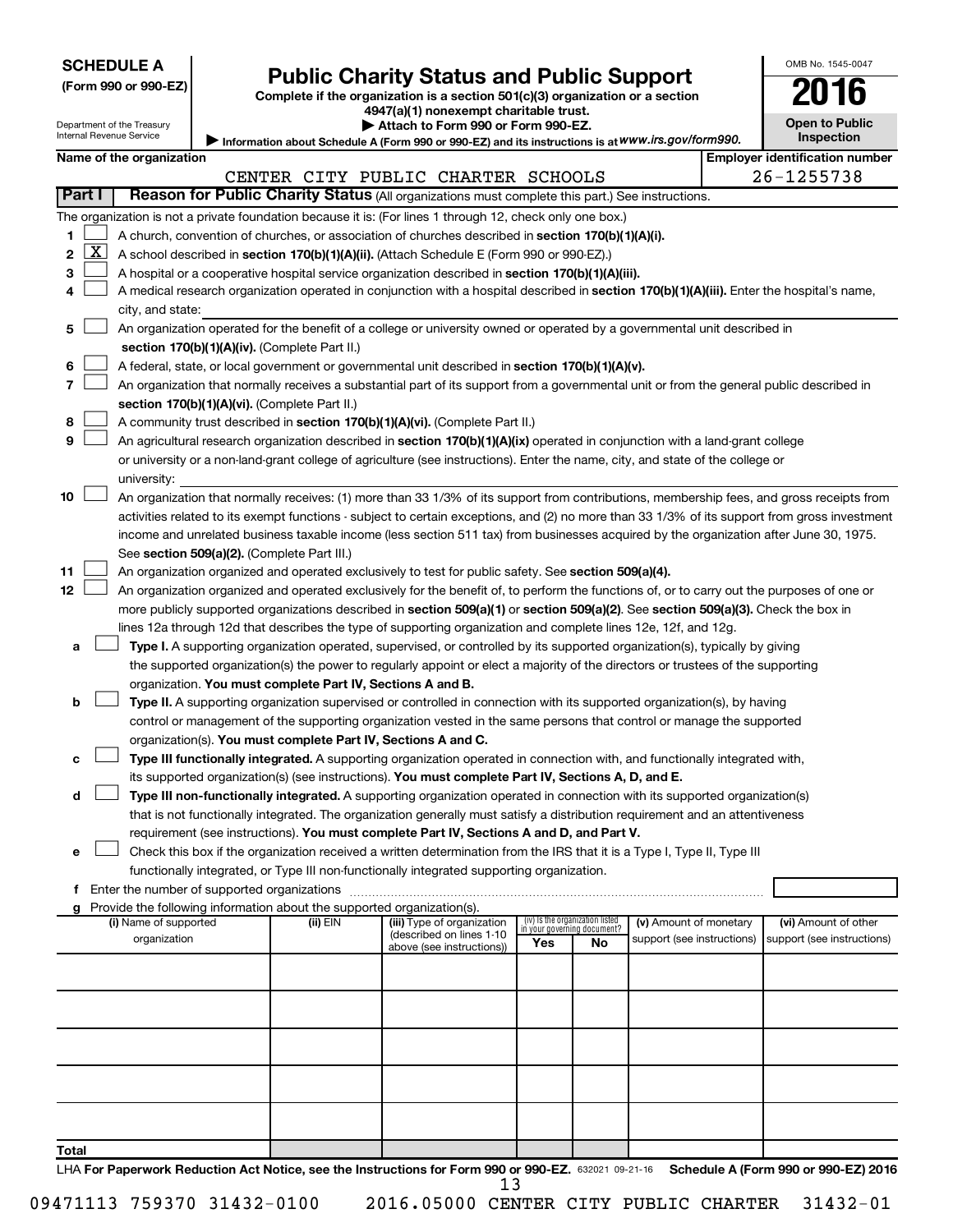Department of the Treasury

# Form 990 or 990-EZ) **Public Charity Status and Public Support**<br>
Complete if the organization is a section 501(c)(3) organization or a section<br> **2016**

**4947(a)(1) nonexempt charitable trust. | Attach to Form 990 or Form 990-EZ.** 

| <b>Open to Public</b><br>Inspection |  |
|-------------------------------------|--|

OMB No. 1545-0047

Internal Revenue Service Information about Schedule A (Form 990 or 990-EZ) and its instructions is at WWW.irs.gov/form990.

|              |                     | Name of the organization                                                                                                                      |          |                                                       |     |                                                                |                            |  | <b>Employer identification number</b> |  |
|--------------|---------------------|-----------------------------------------------------------------------------------------------------------------------------------------------|----------|-------------------------------------------------------|-----|----------------------------------------------------------------|----------------------------|--|---------------------------------------|--|
|              |                     |                                                                                                                                               |          | CENTER CITY PUBLIC CHARTER SCHOOLS                    |     |                                                                |                            |  | 26-1255738                            |  |
|              | Part I              | Reason for Public Charity Status (All organizations must complete this part.) See instructions.                                               |          |                                                       |     |                                                                |                            |  |                                       |  |
|              |                     | The organization is not a private foundation because it is: (For lines 1 through 12, check only one box.)                                     |          |                                                       |     |                                                                |                            |  |                                       |  |
| 1.           |                     | A church, convention of churches, or association of churches described in section 170(b)(1)(A)(i).                                            |          |                                                       |     |                                                                |                            |  |                                       |  |
| $\mathbf{2}$ | $\lfloor x \rfloor$ | A school described in section 170(b)(1)(A)(ii). (Attach Schedule E (Form 990 or 990-EZ).)                                                     |          |                                                       |     |                                                                |                            |  |                                       |  |
| 3            |                     | A hospital or a cooperative hospital service organization described in section 170(b)(1)(A)(iii).                                             |          |                                                       |     |                                                                |                            |  |                                       |  |
| 4            |                     | A medical research organization operated in conjunction with a hospital described in section 170(b)(1)(A)(iii). Enter the hospital's name,    |          |                                                       |     |                                                                |                            |  |                                       |  |
|              |                     | city, and state:                                                                                                                              |          |                                                       |     |                                                                |                            |  |                                       |  |
| 5.           |                     | An organization operated for the benefit of a college or university owned or operated by a governmental unit described in                     |          |                                                       |     |                                                                |                            |  |                                       |  |
|              |                     | section 170(b)(1)(A)(iv). (Complete Part II.)                                                                                                 |          |                                                       |     |                                                                |                            |  |                                       |  |
| 6            |                     | A federal, state, or local government or governmental unit described in section 170(b)(1)(A)(v).                                              |          |                                                       |     |                                                                |                            |  |                                       |  |
| 7            |                     | An organization that normally receives a substantial part of its support from a governmental unit or from the general public described in     |          |                                                       |     |                                                                |                            |  |                                       |  |
|              |                     | section 170(b)(1)(A)(vi). (Complete Part II.)                                                                                                 |          |                                                       |     |                                                                |                            |  |                                       |  |
| 8            |                     | A community trust described in section 170(b)(1)(A)(vi). (Complete Part II.)                                                                  |          |                                                       |     |                                                                |                            |  |                                       |  |
| 9            |                     | An agricultural research organization described in section 170(b)(1)(A)(ix) operated in conjunction with a land-grant college                 |          |                                                       |     |                                                                |                            |  |                                       |  |
|              |                     | or university or a non-land-grant college of agriculture (see instructions). Enter the name, city, and state of the college or                |          |                                                       |     |                                                                |                            |  |                                       |  |
|              |                     | university:                                                                                                                                   |          |                                                       |     |                                                                |                            |  |                                       |  |
| 10           |                     | An organization that normally receives: (1) more than 33 1/3% of its support from contributions, membership fees, and gross receipts from     |          |                                                       |     |                                                                |                            |  |                                       |  |
|              |                     | activities related to its exempt functions - subject to certain exceptions, and (2) no more than 33 1/3% of its support from gross investment |          |                                                       |     |                                                                |                            |  |                                       |  |
|              |                     | income and unrelated business taxable income (less section 511 tax) from businesses acquired by the organization after June 30, 1975.         |          |                                                       |     |                                                                |                            |  |                                       |  |
|              |                     | See section 509(a)(2). (Complete Part III.)                                                                                                   |          |                                                       |     |                                                                |                            |  |                                       |  |
| 11           |                     | An organization organized and operated exclusively to test for public safety. See section 509(a)(4).                                          |          |                                                       |     |                                                                |                            |  |                                       |  |
| 12           |                     | An organization organized and operated exclusively for the benefit of, to perform the functions of, or to carry out the purposes of one or    |          |                                                       |     |                                                                |                            |  |                                       |  |
|              |                     | more publicly supported organizations described in section 509(a)(1) or section 509(a)(2). See section 509(a)(3). Check the box in            |          |                                                       |     |                                                                |                            |  |                                       |  |
|              |                     | lines 12a through 12d that describes the type of supporting organization and complete lines 12e, 12f, and 12g.                                |          |                                                       |     |                                                                |                            |  |                                       |  |
| а            |                     | Type I. A supporting organization operated, supervised, or controlled by its supported organization(s), typically by giving                   |          |                                                       |     |                                                                |                            |  |                                       |  |
|              |                     | the supported organization(s) the power to regularly appoint or elect a majority of the directors or trustees of the supporting               |          |                                                       |     |                                                                |                            |  |                                       |  |
|              |                     | organization. You must complete Part IV, Sections A and B.                                                                                    |          |                                                       |     |                                                                |                            |  |                                       |  |
| b            |                     | Type II. A supporting organization supervised or controlled in connection with its supported organization(s), by having                       |          |                                                       |     |                                                                |                            |  |                                       |  |
|              |                     | control or management of the supporting organization vested in the same persons that control or manage the supported                          |          |                                                       |     |                                                                |                            |  |                                       |  |
|              |                     | organization(s). You must complete Part IV, Sections A and C.                                                                                 |          |                                                       |     |                                                                |                            |  |                                       |  |
| с            |                     | Type III functionally integrated. A supporting organization operated in connection with, and functionally integrated with,                    |          |                                                       |     |                                                                |                            |  |                                       |  |
|              |                     | its supported organization(s) (see instructions). You must complete Part IV, Sections A, D, and E.                                            |          |                                                       |     |                                                                |                            |  |                                       |  |
| d            |                     | Type III non-functionally integrated. A supporting organization operated in connection with its supported organization(s)                     |          |                                                       |     |                                                                |                            |  |                                       |  |
|              |                     | that is not functionally integrated. The organization generally must satisfy a distribution requirement and an attentiveness                  |          |                                                       |     |                                                                |                            |  |                                       |  |
|              |                     | requirement (see instructions). You must complete Part IV, Sections A and D, and Part V.                                                      |          |                                                       |     |                                                                |                            |  |                                       |  |
|              |                     | Check this box if the organization received a written determination from the IRS that it is a Type I, Type II, Type III                       |          |                                                       |     |                                                                |                            |  |                                       |  |
|              |                     | functionally integrated, or Type III non-functionally integrated supporting organization.                                                     |          |                                                       |     |                                                                |                            |  |                                       |  |
|              |                     | f Enter the number of supported organizations                                                                                                 |          |                                                       |     |                                                                |                            |  |                                       |  |
|              |                     | g Provide the following information about the supported organization(s).                                                                      |          |                                                       |     |                                                                |                            |  |                                       |  |
|              |                     | (i) Name of supported                                                                                                                         | (ii) EIN | (iii) Type of organization                            |     | (iv) Is the organization listed<br>in your governing document? | (v) Amount of monetary     |  | (vi) Amount of other                  |  |
|              |                     | organization                                                                                                                                  |          | (described on lines 1-10<br>above (see instructions)) | Yes | No                                                             | support (see instructions) |  | support (see instructions)            |  |
|              |                     |                                                                                                                                               |          |                                                       |     |                                                                |                            |  |                                       |  |
|              |                     |                                                                                                                                               |          |                                                       |     |                                                                |                            |  |                                       |  |
|              |                     |                                                                                                                                               |          |                                                       |     |                                                                |                            |  |                                       |  |
|              |                     |                                                                                                                                               |          |                                                       |     |                                                                |                            |  |                                       |  |
|              |                     |                                                                                                                                               |          |                                                       |     |                                                                |                            |  |                                       |  |
|              |                     |                                                                                                                                               |          |                                                       |     |                                                                |                            |  |                                       |  |
|              |                     |                                                                                                                                               |          |                                                       |     |                                                                |                            |  |                                       |  |
|              |                     |                                                                                                                                               |          |                                                       |     |                                                                |                            |  |                                       |  |
|              |                     |                                                                                                                                               |          |                                                       |     |                                                                |                            |  |                                       |  |
|              |                     |                                                                                                                                               |          |                                                       |     |                                                                |                            |  |                                       |  |
| Total        |                     |                                                                                                                                               |          |                                                       |     |                                                                |                            |  |                                       |  |
|              |                     | LHA For Paperwork Reduction Act Notice, see the Instructions for Form 990 or 990-EZ. 632021 09-21-16 Schedule A (Form 990 or 990-EZ) 2016     |          |                                                       |     |                                                                |                            |  |                                       |  |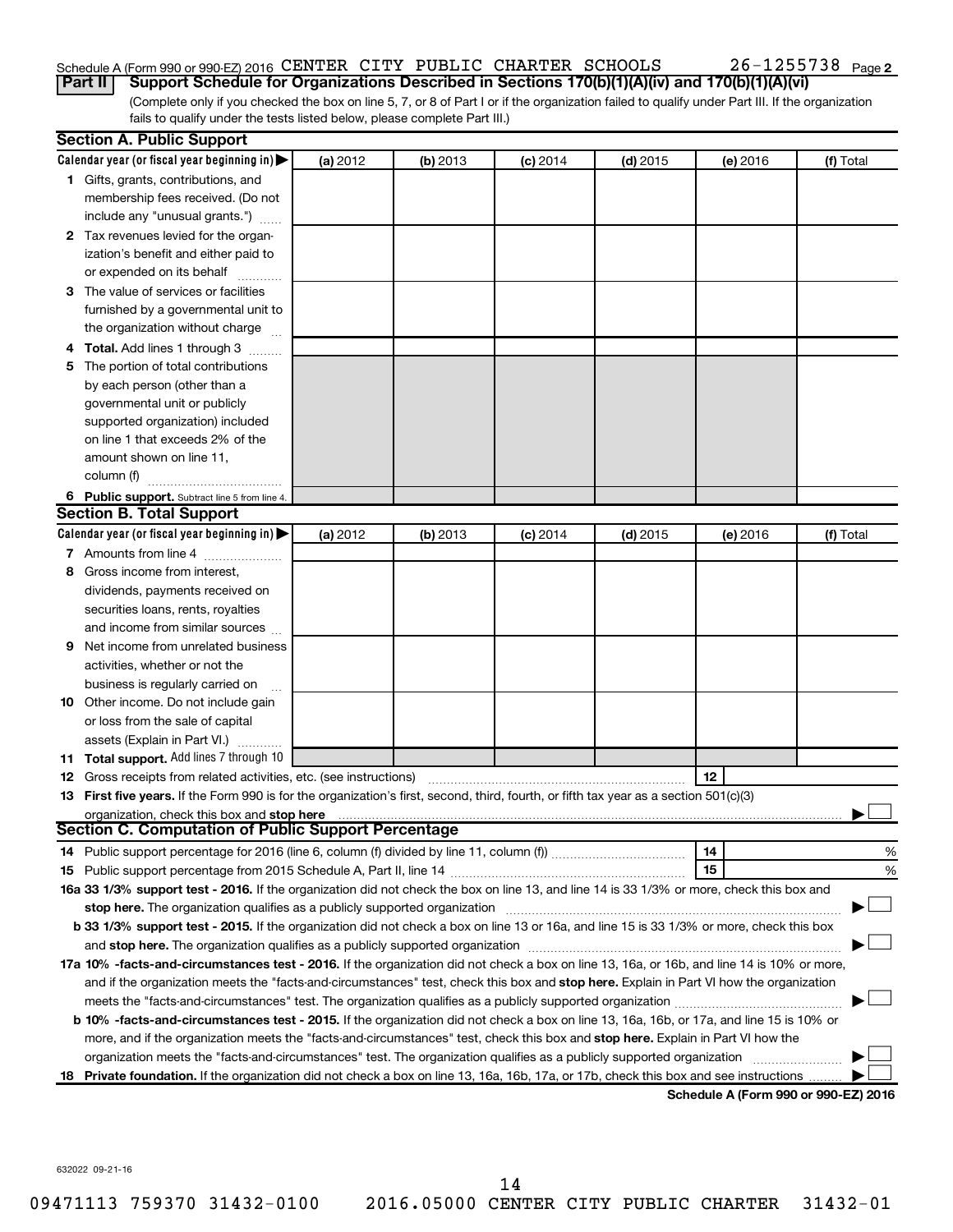### Schedule A (Form 990 or 990-EZ) 2016 CENTER CITY PUBLIC CHARTER SCHOOLS  $26-1255738$  Page

(Complete only if you checked the box on line 5, 7, or 8 of Part I or if the organization failed to qualify under Part III. If the organization fails to qualify under the tests listed below, please complete Part III.) **Part II Support Schedule for Organizations Described in Sections 170(b)(1)(A)(iv) and 170(b)(1)(A)(vi)**

|    | <b>Section A. Public Support</b>                                                                                                                                                                                               |          |          |                 |            |                                      |           |
|----|--------------------------------------------------------------------------------------------------------------------------------------------------------------------------------------------------------------------------------|----------|----------|-----------------|------------|--------------------------------------|-----------|
|    | Calendar year (or fiscal year beginning in) $\blacktriangleright$                                                                                                                                                              | (a) 2012 | (b) 2013 | $(c)$ 2014      | $(d)$ 2015 | (e) 2016                             | (f) Total |
|    | 1 Gifts, grants, contributions, and                                                                                                                                                                                            |          |          |                 |            |                                      |           |
|    | membership fees received. (Do not                                                                                                                                                                                              |          |          |                 |            |                                      |           |
|    | include any "unusual grants.")                                                                                                                                                                                                 |          |          |                 |            |                                      |           |
|    | 2 Tax revenues levied for the organ-                                                                                                                                                                                           |          |          |                 |            |                                      |           |
|    | ization's benefit and either paid to                                                                                                                                                                                           |          |          |                 |            |                                      |           |
|    | or expended on its behalf                                                                                                                                                                                                      |          |          |                 |            |                                      |           |
|    | 3 The value of services or facilities                                                                                                                                                                                          |          |          |                 |            |                                      |           |
|    | furnished by a governmental unit to                                                                                                                                                                                            |          |          |                 |            |                                      |           |
|    | the organization without charge                                                                                                                                                                                                |          |          |                 |            |                                      |           |
|    | Total. Add lines 1 through 3                                                                                                                                                                                                   |          |          |                 |            |                                      |           |
| 5  | The portion of total contributions                                                                                                                                                                                             |          |          |                 |            |                                      |           |
|    | by each person (other than a                                                                                                                                                                                                   |          |          |                 |            |                                      |           |
|    | governmental unit or publicly                                                                                                                                                                                                  |          |          |                 |            |                                      |           |
|    | supported organization) included                                                                                                                                                                                               |          |          |                 |            |                                      |           |
|    | on line 1 that exceeds 2% of the                                                                                                                                                                                               |          |          |                 |            |                                      |           |
|    | amount shown on line 11,                                                                                                                                                                                                       |          |          |                 |            |                                      |           |
|    | column (f)                                                                                                                                                                                                                     |          |          |                 |            |                                      |           |
|    |                                                                                                                                                                                                                                |          |          |                 |            |                                      |           |
|    | 6 Public support. Subtract line 5 from line 4.<br><b>Section B. Total Support</b>                                                                                                                                              |          |          |                 |            |                                      |           |
|    | Calendar year (or fiscal year beginning in)                                                                                                                                                                                    | (a) 2012 | (b) 2013 | <b>(c)</b> 2014 | $(d)$ 2015 | (e) 2016                             | (f) Total |
|    | 7 Amounts from line 4                                                                                                                                                                                                          |          |          |                 |            |                                      |           |
|    | Gross income from interest.                                                                                                                                                                                                    |          |          |                 |            |                                      |           |
| 8  |                                                                                                                                                                                                                                |          |          |                 |            |                                      |           |
|    | dividends, payments received on                                                                                                                                                                                                |          |          |                 |            |                                      |           |
|    | securities loans, rents, royalties                                                                                                                                                                                             |          |          |                 |            |                                      |           |
|    | and income from similar sources                                                                                                                                                                                                |          |          |                 |            |                                      |           |
| 9  | Net income from unrelated business                                                                                                                                                                                             |          |          |                 |            |                                      |           |
|    | activities, whether or not the                                                                                                                                                                                                 |          |          |                 |            |                                      |           |
|    | business is regularly carried on                                                                                                                                                                                               |          |          |                 |            |                                      |           |
| 10 | Other income. Do not include gain                                                                                                                                                                                              |          |          |                 |            |                                      |           |
|    | or loss from the sale of capital                                                                                                                                                                                               |          |          |                 |            |                                      |           |
|    | assets (Explain in Part VI.)                                                                                                                                                                                                   |          |          |                 |            |                                      |           |
|    | 11 Total support. Add lines 7 through 10                                                                                                                                                                                       |          |          |                 |            |                                      |           |
|    | <b>12</b> Gross receipts from related activities, etc. (see instructions)                                                                                                                                                      |          |          |                 |            | 12                                   |           |
|    | 13 First five years. If the Form 990 is for the organization's first, second, third, fourth, or fifth tax year as a section 501(c)(3)                                                                                          |          |          |                 |            |                                      |           |
|    | organization, check this box and stop here                                                                                                                                                                                     |          |          |                 |            |                                      |           |
|    | <b>Section C. Computation of Public Support Percentage</b>                                                                                                                                                                     |          |          |                 |            |                                      |           |
|    | 14 Public support percentage for 2016 (line 6, column (f) divided by line 11, column (f) <i>mummumumum</i>                                                                                                                     |          |          |                 |            | 14                                   | %         |
|    |                                                                                                                                                                                                                                |          |          |                 |            | 15                                   | %         |
|    | 16a 33 1/3% support test - 2016. If the organization did not check the box on line 13, and line 14 is 33 1/3% or more, check this box and                                                                                      |          |          |                 |            |                                      |           |
|    | stop here. The organization qualifies as a publicly supported organization manufactured content and the support of the state of the state of the state of the state of the state of the state of the state of the state of the |          |          |                 |            |                                      |           |
|    | b 33 1/3% support test - 2015. If the organization did not check a box on line 13 or 16a, and line 15 is 33 1/3% or more, check this box                                                                                       |          |          |                 |            |                                      |           |
|    |                                                                                                                                                                                                                                |          |          |                 |            |                                      |           |
|    | 17a 10% -facts-and-circumstances test - 2016. If the organization did not check a box on line 13, 16a, or 16b, and line 14 is 10% or more,                                                                                     |          |          |                 |            |                                      |           |
|    | and if the organization meets the "facts-and-circumstances" test, check this box and stop here. Explain in Part VI how the organization                                                                                        |          |          |                 |            |                                      |           |
|    |                                                                                                                                                                                                                                |          |          |                 |            |                                      |           |
|    | b 10% -facts-and-circumstances test - 2015. If the organization did not check a box on line 13, 16a, 16b, or 17a, and line 15 is 10% or                                                                                        |          |          |                 |            |                                      |           |
|    | more, and if the organization meets the "facts-and-circumstances" test, check this box and stop here. Explain in Part VI how the                                                                                               |          |          |                 |            |                                      |           |
|    | organization meets the "facts-and-circumstances" test. The organization qualifies as a publicly supported organization                                                                                                         |          |          |                 |            |                                      |           |
| 18 | Private foundation. If the organization did not check a box on line 13, 16a, 16b, 17a, or 17b, check this box and see instructions                                                                                             |          |          |                 |            |                                      |           |
|    |                                                                                                                                                                                                                                |          |          |                 |            | Schodule A (Form 000 or 000 EZ) 2016 |           |

**Schedule A (Form 990 or 990-EZ) 2016**

632022 09-21-16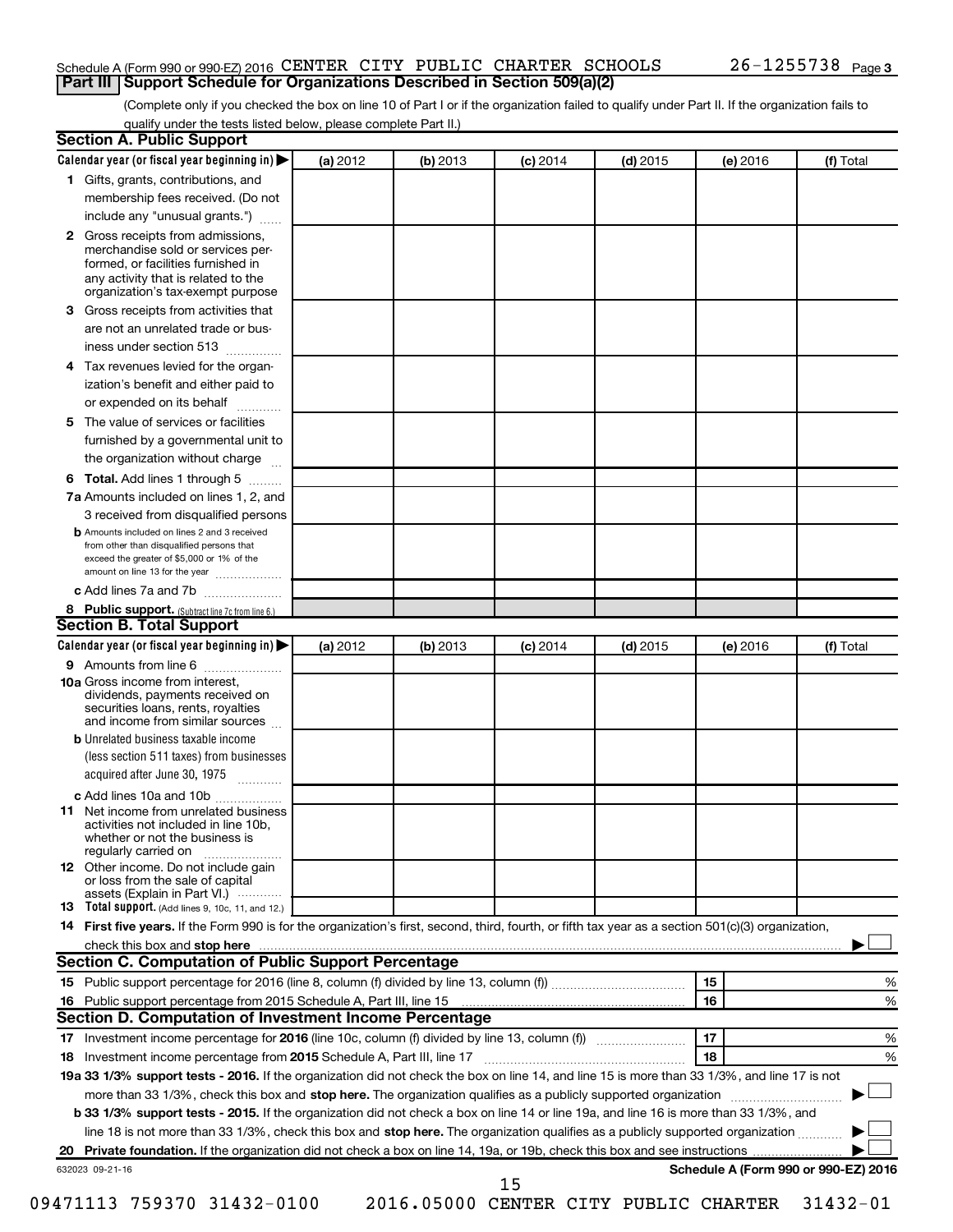#### Schedule A (Form 990 or 990-EZ) 2016 CENTER CITY PUBLIC CHARTER SCHOOLS  $26-1255738$  Page **Part III Support Schedule for Organizations Described in Section 509(a)(2)**

(Complete only if you checked the box on line 10 of Part I or if the organization failed to qualify under Part II. If the organization fails to qualify under the tests listed below, please complete Part II.)

| <b>Section A. Public Support</b>                                                                                                                                                                                               |          |          |            |            |          |                                      |
|--------------------------------------------------------------------------------------------------------------------------------------------------------------------------------------------------------------------------------|----------|----------|------------|------------|----------|--------------------------------------|
| Calendar year (or fiscal year beginning in)                                                                                                                                                                                    | (a) 2012 | (b) 2013 | $(c)$ 2014 | $(d)$ 2015 | (e) 2016 | (f) Total                            |
| 1 Gifts, grants, contributions, and                                                                                                                                                                                            |          |          |            |            |          |                                      |
| membership fees received. (Do not                                                                                                                                                                                              |          |          |            |            |          |                                      |
| include any "unusual grants.")                                                                                                                                                                                                 |          |          |            |            |          |                                      |
| 2 Gross receipts from admissions,<br>merchandise sold or services per-<br>formed, or facilities furnished in<br>any activity that is related to the<br>organization's tax-exempt purpose                                       |          |          |            |            |          |                                      |
| 3 Gross receipts from activities that                                                                                                                                                                                          |          |          |            |            |          |                                      |
| are not an unrelated trade or bus-<br>iness under section 513                                                                                                                                                                  |          |          |            |            |          |                                      |
| 4 Tax revenues levied for the organ-                                                                                                                                                                                           |          |          |            |            |          |                                      |
| ization's benefit and either paid to<br>or expended on its behalf                                                                                                                                                              |          |          |            |            |          |                                      |
| 5 The value of services or facilities                                                                                                                                                                                          |          |          |            |            |          |                                      |
| furnished by a governmental unit to                                                                                                                                                                                            |          |          |            |            |          |                                      |
| the organization without charge                                                                                                                                                                                                |          |          |            |            |          |                                      |
| 6 Total. Add lines 1 through 5                                                                                                                                                                                                 |          |          |            |            |          |                                      |
| 7a Amounts included on lines 1, 2, and                                                                                                                                                                                         |          |          |            |            |          |                                      |
| 3 received from disqualified persons                                                                                                                                                                                           |          |          |            |            |          |                                      |
| <b>b</b> Amounts included on lines 2 and 3 received<br>from other than disqualified persons that<br>exceed the greater of \$5,000 or 1% of the<br>amount on line 13 for the year                                               |          |          |            |            |          |                                      |
| c Add lines 7a and 7b                                                                                                                                                                                                          |          |          |            |            |          |                                      |
| 8 Public support. (Subtract line 7c from line 6.)                                                                                                                                                                              |          |          |            |            |          |                                      |
| <b>Section B. Total Support</b>                                                                                                                                                                                                |          |          |            |            |          |                                      |
| Calendar year (or fiscal year beginning in)                                                                                                                                                                                    | (a) 2012 | (b) 2013 | $(c)$ 2014 | $(d)$ 2015 | (e) 2016 | (f) Total                            |
| <b>9</b> Amounts from line 6                                                                                                                                                                                                   |          |          |            |            |          |                                      |
| <b>10a</b> Gross income from interest,<br>dividends, payments received on<br>securities loans, rents, royalties<br>and income from similar sources                                                                             |          |          |            |            |          |                                      |
| <b>b</b> Unrelated business taxable income<br>(less section 511 taxes) from businesses                                                                                                                                         |          |          |            |            |          |                                      |
| acquired after June 30, 1975                                                                                                                                                                                                   |          |          |            |            |          |                                      |
| c Add lines 10a and 10b                                                                                                                                                                                                        |          |          |            |            |          |                                      |
| 11 Net income from unrelated business<br>activities not included in line 10b.<br>whether or not the business is<br>regularly carried on                                                                                        |          |          |            |            |          |                                      |
| <b>12</b> Other income. Do not include gain<br>or loss from the sale of capital<br>assets (Explain in Part VI.)                                                                                                                |          |          |            |            |          |                                      |
| <b>13</b> Total support. (Add lines 9, 10c, 11, and 12.)                                                                                                                                                                       |          |          |            |            |          |                                      |
| 14 First five years. If the Form 990 is for the organization's first, second, third, fourth, or fifth tax year as a section 501(c)(3) organization,                                                                            |          |          |            |            |          |                                      |
| check this box and stop here manufactured and stop here and stop here are manufactured and stop here and stop here and stop here and stop here and stop here and stop here and stop here are all the stop of the stop of the s |          |          |            |            |          |                                      |
| Section C. Computation of Public Support Percentage                                                                                                                                                                            |          |          |            |            |          |                                      |
|                                                                                                                                                                                                                                |          |          |            |            | 15       | ℅                                    |
| 16 Public support percentage from 2015 Schedule A, Part III, line 15                                                                                                                                                           |          |          |            |            | 16       | %                                    |
| Section D. Computation of Investment Income Percentage                                                                                                                                                                         |          |          |            |            |          |                                      |
|                                                                                                                                                                                                                                |          |          |            |            | 17       | %                                    |
| 18 Investment income percentage from 2015 Schedule A, Part III, line 17                                                                                                                                                        |          |          |            |            | 18       | %                                    |
| 19a 33 1/3% support tests - 2016. If the organization did not check the box on line 14, and line 15 is more than 33 1/3%, and line 17 is not                                                                                   |          |          |            |            |          |                                      |
| more than 33 1/3%, check this box and stop here. The organization qualifies as a publicly supported organization                                                                                                               |          |          |            |            |          |                                      |
| b 33 1/3% support tests - 2015. If the organization did not check a box on line 14 or line 19a, and line 16 is more than 33 1/3%, and                                                                                          |          |          |            |            |          |                                      |
| line 18 is not more than 33 1/3%, check this box and stop here. The organization qualifies as a publicly supported organization                                                                                                |          |          |            |            |          |                                      |
|                                                                                                                                                                                                                                |          |          |            |            |          |                                      |
| 632023 09-21-16                                                                                                                                                                                                                |          |          | 15         |            |          | Schedule A (Form 990 or 990-EZ) 2016 |

09471113 759370 31432-0100 2016.05000 CENTER CITY PUBLIC CHARTER 31432-01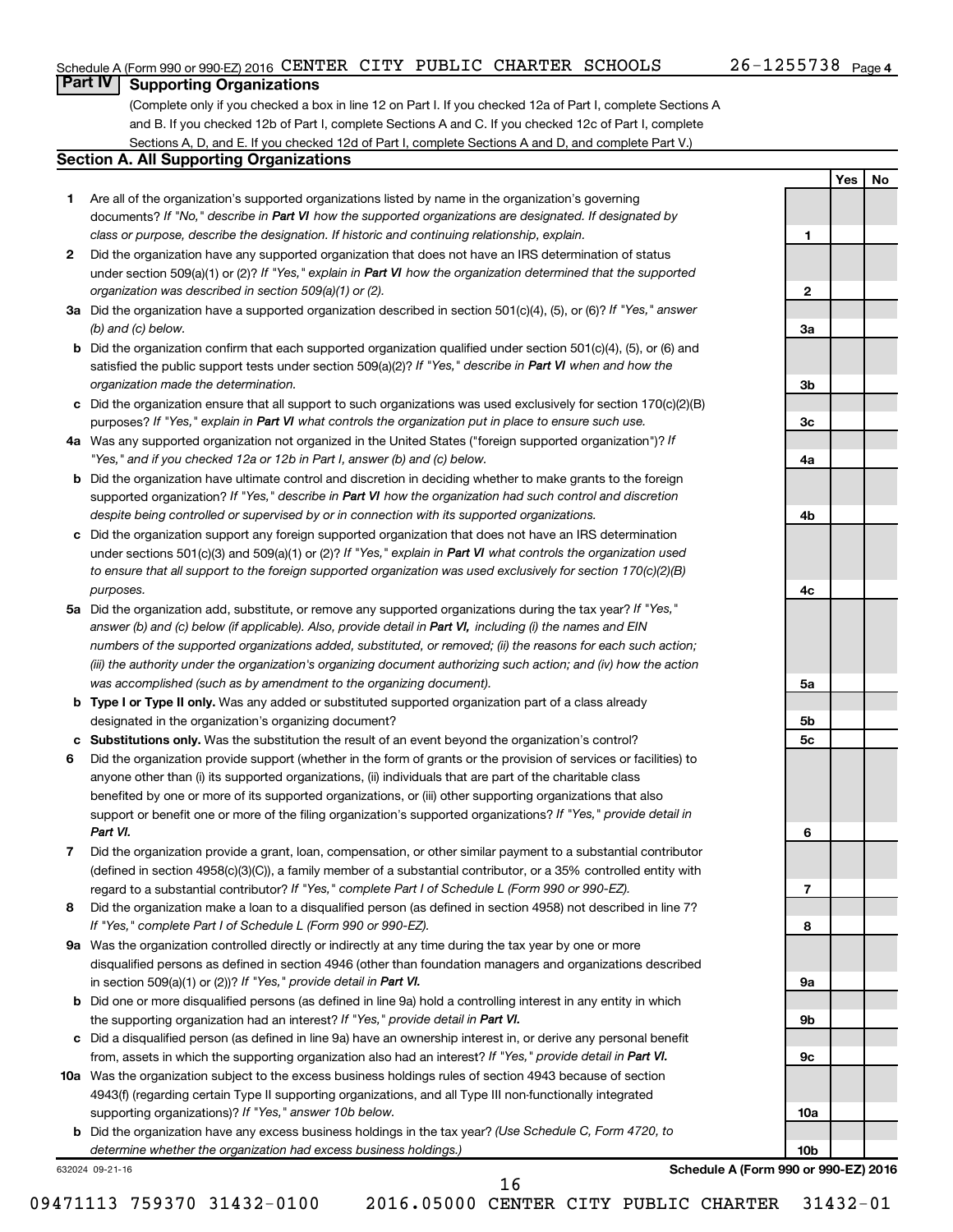**1**

**2**

**3a**

**3b**

**3c**

**4a**

**4b**

**4c**

**5a**

**5b 5c**

**6**

**7**

**8**

**9a**

**9b**

**9c**

**10a**

**10b**

**Yes No**

### **Part IV Supporting Organizations**

(Complete only if you checked a box in line 12 on Part I. If you checked 12a of Part I, complete Sections A and B. If you checked 12b of Part I, complete Sections A and C. If you checked 12c of Part I, complete Sections A, D, and E. If you checked 12d of Part I, complete Sections A and D, and complete Part V.)

#### **Section A. All Supporting Organizations**

- **1** Are all of the organization's supported organizations listed by name in the organization's governing documents? If "No," describe in Part VI how the supported organizations are designated. If designated by *class or purpose, describe the designation. If historic and continuing relationship, explain.*
- **2** Did the organization have any supported organization that does not have an IRS determination of status under section 509(a)(1) or (2)? If "Yes," explain in Part VI how the organization determined that the supported *organization was described in section 509(a)(1) or (2).*
- **3a** Did the organization have a supported organization described in section 501(c)(4), (5), or (6)? If "Yes," answer *(b) and (c) below.*
- **b** Did the organization confirm that each supported organization qualified under section 501(c)(4), (5), or (6) and satisfied the public support tests under section 509(a)(2)? If "Yes," describe in Part VI when and how the *organization made the determination.*
- **c** Did the organization ensure that all support to such organizations was used exclusively for section 170(c)(2)(B) purposes? If "Yes," explain in Part VI what controls the organization put in place to ensure such use.
- **4 a** *If* Was any supported organization not organized in the United States ("foreign supported organization")? *"Yes," and if you checked 12a or 12b in Part I, answer (b) and (c) below.*
- **b** Did the organization have ultimate control and discretion in deciding whether to make grants to the foreign supported organization? If "Yes," describe in Part VI how the organization had such control and discretion *despite being controlled or supervised by or in connection with its supported organizations.*
- **c** Did the organization support any foreign supported organization that does not have an IRS determination under sections 501(c)(3) and 509(a)(1) or (2)? If "Yes," explain in Part VI what controls the organization used *to ensure that all support to the foreign supported organization was used exclusively for section 170(c)(2)(B) purposes.*
- **5a** Did the organization add, substitute, or remove any supported organizations during the tax year? If "Yes," answer (b) and (c) below (if applicable). Also, provide detail in Part VI, including (i) the names and EIN *numbers of the supported organizations added, substituted, or removed; (ii) the reasons for each such action; (iii) the authority under the organization's organizing document authorizing such action; and (iv) how the action was accomplished (such as by amendment to the organizing document).*
- **b** Type I or Type II only. Was any added or substituted supported organization part of a class already designated in the organization's organizing document?
- **c Substitutions only.**  Was the substitution the result of an event beyond the organization's control?
- **6** Did the organization provide support (whether in the form of grants or the provision of services or facilities) to support or benefit one or more of the filing organization's supported organizations? If "Yes," provide detail in anyone other than (i) its supported organizations, (ii) individuals that are part of the charitable class benefited by one or more of its supported organizations, or (iii) other supporting organizations that also *Part VI.*
- **7** Did the organization provide a grant, loan, compensation, or other similar payment to a substantial contributor regard to a substantial contributor? If "Yes," complete Part I of Schedule L (Form 990 or 990-EZ). (defined in section 4958(c)(3)(C)), a family member of a substantial contributor, or a 35% controlled entity with
- **8** Did the organization make a loan to a disqualified person (as defined in section 4958) not described in line 7? *If "Yes," complete Part I of Schedule L (Form 990 or 990-EZ).*
- **9 a** Was the organization controlled directly or indirectly at any time during the tax year by one or more in section 509(a)(1) or (2))? If "Yes," provide detail in Part VI. disqualified persons as defined in section 4946 (other than foundation managers and organizations described
- **b** Did one or more disqualified persons (as defined in line 9a) hold a controlling interest in any entity in which the supporting organization had an interest? If "Yes," provide detail in Part VI.
- **c** Did a disqualified person (as defined in line 9a) have an ownership interest in, or derive any personal benefit from, assets in which the supporting organization also had an interest? If "Yes," provide detail in Part VI.
- **10 a** Was the organization subject to the excess business holdings rules of section 4943 because of section supporting organizations)? If "Yes," answer 10b below. 4943(f) (regarding certain Type II supporting organizations, and all Type III non-functionally integrated
	- **b** Did the organization have any excess business holdings in the tax year? (Use Schedule C, Form 4720, to *determine whether the organization had excess business holdings.)*

632024 09-21-16

**Schedule A (Form 990 or 990-EZ) 2016**

09471113 759370 31432-0100 2016.05000 CENTER CITY PUBLIC CHARTER 31432-01

16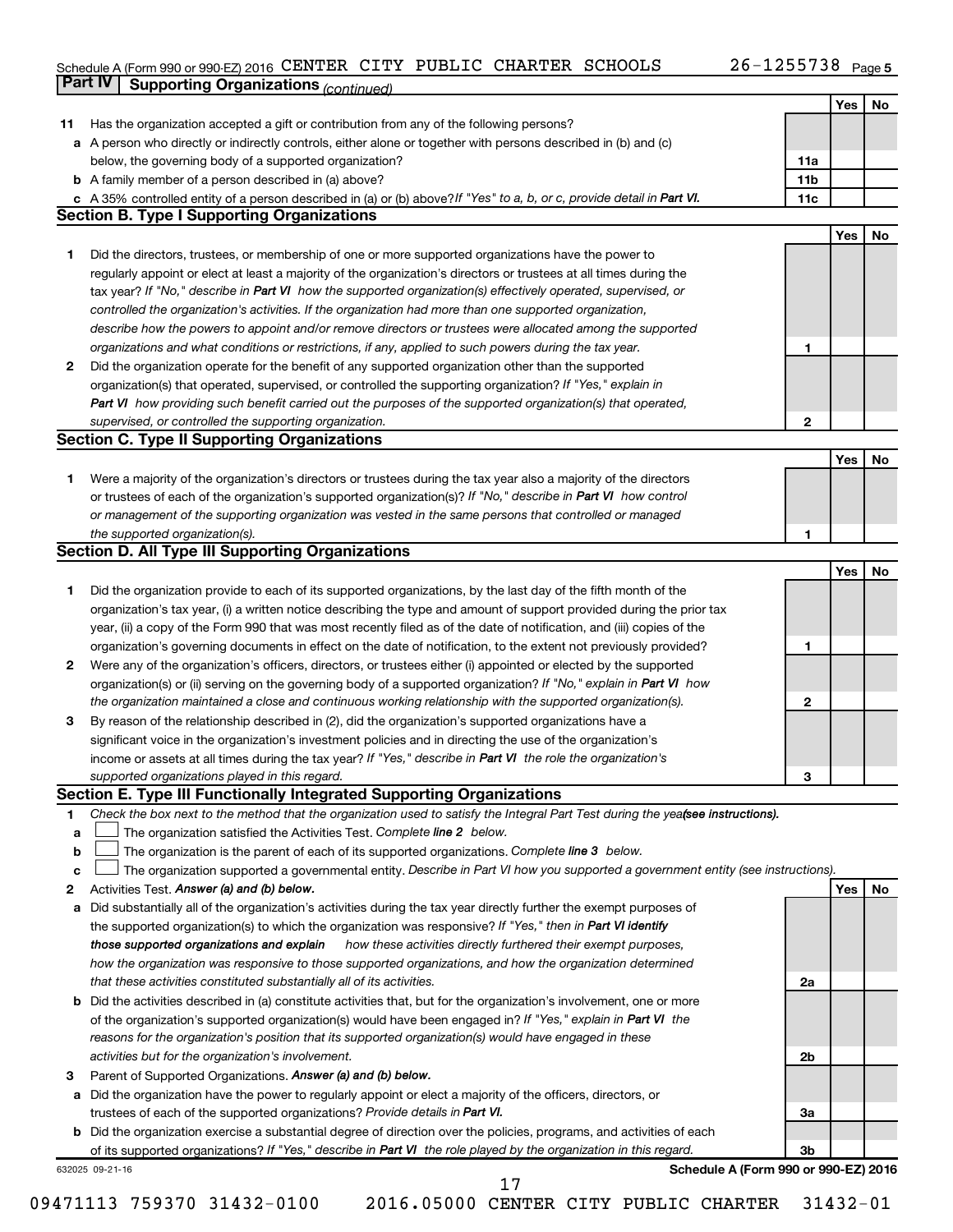#### Schedule A (Form 990 or 990-EZ) 2016 CENTER CITY PUBLIC CHARTER SCHOOLS 20-1255738 Page CENTER CITY PUBLIC CHARTER SCHOOLS 26-1255738

26-1255738 Page 5

|    | Part IV<br><b>Supporting Organizations (continued)</b>                                                                                                                                                                                            |                 | Yes        |
|----|---------------------------------------------------------------------------------------------------------------------------------------------------------------------------------------------------------------------------------------------------|-----------------|------------|
| 11 | Has the organization accepted a gift or contribution from any of the following persons?                                                                                                                                                           |                 |            |
|    | a A person who directly or indirectly controls, either alone or together with persons described in (b) and (c)                                                                                                                                    |                 |            |
|    | below, the governing body of a supported organization?                                                                                                                                                                                            | 11a             |            |
|    | <b>b</b> A family member of a person described in (a) above?                                                                                                                                                                                      | 11 <sub>b</sub> |            |
|    |                                                                                                                                                                                                                                                   | 11c             |            |
|    | c A 35% controlled entity of a person described in (a) or (b) above? If "Yes" to a, b, or c, provide detail in Part VI.<br><b>Section B. Type I Supporting Organizations</b>                                                                      |                 |            |
|    |                                                                                                                                                                                                                                                   |                 | Yes        |
| 1  | Did the directors, trustees, or membership of one or more supported organizations have the power to                                                                                                                                               |                 |            |
|    | regularly appoint or elect at least a majority of the organization's directors or trustees at all times during the                                                                                                                                |                 |            |
|    | tax year? If "No," describe in Part VI how the supported organization(s) effectively operated, supervised, or                                                                                                                                     |                 |            |
|    | controlled the organization's activities. If the organization had more than one supported organization,                                                                                                                                           |                 |            |
|    | describe how the powers to appoint and/or remove directors or trustees were allocated among the supported                                                                                                                                         |                 |            |
|    | organizations and what conditions or restrictions, if any, applied to such powers during the tax year.                                                                                                                                            | 1               |            |
| 2  |                                                                                                                                                                                                                                                   |                 |            |
|    | Did the organization operate for the benefit of any supported organization other than the supported                                                                                                                                               |                 |            |
|    | organization(s) that operated, supervised, or controlled the supporting organization? If "Yes," explain in                                                                                                                                        |                 |            |
|    | Part VI how providing such benefit carried out the purposes of the supported organization(s) that operated,                                                                                                                                       |                 |            |
|    | supervised, or controlled the supporting organization.<br><b>Section C. Type II Supporting Organizations</b>                                                                                                                                      | $\mathbf{2}$    |            |
|    |                                                                                                                                                                                                                                                   |                 | Yes        |
| 1  | Were a majority of the organization's directors or trustees during the tax year also a majority of the directors                                                                                                                                  |                 |            |
|    | or trustees of each of the organization's supported organization(s)? If "No," describe in Part VI how control                                                                                                                                     |                 |            |
|    | or management of the supporting organization was vested in the same persons that controlled or managed                                                                                                                                            |                 |            |
|    | the supported organization(s).                                                                                                                                                                                                                    | 1               |            |
|    | <b>Section D. All Type III Supporting Organizations</b>                                                                                                                                                                                           |                 |            |
|    |                                                                                                                                                                                                                                                   |                 | Yes        |
| 1  | Did the organization provide to each of its supported organizations, by the last day of the fifth month of the                                                                                                                                    |                 |            |
|    | organization's tax year, (i) a written notice describing the type and amount of support provided during the prior tax                                                                                                                             |                 |            |
|    | year, (ii) a copy of the Form 990 that was most recently filed as of the date of notification, and (iii) copies of the                                                                                                                            |                 |            |
|    | organization's governing documents in effect on the date of notification, to the extent not previously provided?                                                                                                                                  | 1               |            |
| 2  | Were any of the organization's officers, directors, or trustees either (i) appointed or elected by the supported                                                                                                                                  |                 |            |
|    | organization(s) or (ii) serving on the governing body of a supported organization? If "No," explain in Part VI how                                                                                                                                |                 |            |
|    | the organization maintained a close and continuous working relationship with the supported organization(s).                                                                                                                                       | $\mathbf{2}$    |            |
| З  | By reason of the relationship described in (2), did the organization's supported organizations have a                                                                                                                                             |                 |            |
|    | significant voice in the organization's investment policies and in directing the use of the organization's                                                                                                                                        |                 |            |
|    | income or assets at all times during the tax year? If "Yes," describe in Part VI the role the organization's                                                                                                                                      |                 |            |
|    | supported organizations played in this regard.                                                                                                                                                                                                    | 3               |            |
|    | Section E. Type III Functionally Integrated Supporting Organizations                                                                                                                                                                              |                 |            |
| 1  | Check the box next to the method that the organization used to satisfy the Integral Part Test during the yea(see instructions).                                                                                                                   |                 |            |
| a  | The organization satisfied the Activities Test. Complete line 2 below.                                                                                                                                                                            |                 |            |
| b  | The organization is the parent of each of its supported organizations. Complete line 3 below.                                                                                                                                                     |                 |            |
| c  | The organization supported a governmental entity. Describe in Part VI how you supported a government entity (see instructions).                                                                                                                   |                 |            |
| 2  | Activities Test. Answer (a) and (b) below.                                                                                                                                                                                                        |                 | <b>Yes</b> |
| а  | Did substantially all of the organization's activities during the tax year directly further the exempt purposes of                                                                                                                                |                 |            |
|    | the supported organization(s) to which the organization was responsive? If "Yes," then in Part VI identify                                                                                                                                        |                 |            |
|    | those supported organizations and explain<br>how these activities directly furthered their exempt purposes,                                                                                                                                       |                 |            |
|    |                                                                                                                                                                                                                                                   |                 |            |
|    |                                                                                                                                                                                                                                                   |                 |            |
|    | how the organization was responsive to those supported organizations, and how the organization determined                                                                                                                                         |                 |            |
|    | that these activities constituted substantially all of its activities.                                                                                                                                                                            | 2a              |            |
|    | b Did the activities described in (a) constitute activities that, but for the organization's involvement, one or more                                                                                                                             |                 |            |
|    | of the organization's supported organization(s) would have been engaged in? If "Yes," explain in Part VI the                                                                                                                                      |                 |            |
|    | reasons for the organization's position that its supported organization(s) would have engaged in these                                                                                                                                            |                 |            |
|    | activities but for the organization's involvement.                                                                                                                                                                                                | 2b              |            |
| 3  | Parent of Supported Organizations. Answer (a) and (b) below.                                                                                                                                                                                      |                 |            |
|    | a Did the organization have the power to regularly appoint or elect a majority of the officers, directors, or                                                                                                                                     |                 |            |
|    | trustees of each of the supported organizations? Provide details in Part VI.                                                                                                                                                                      | За              |            |
|    | <b>b</b> Did the organization exercise a substantial degree of direction over the policies, programs, and activities of each<br>of its supported organizations? If "Yes," describe in Part VI the role played by the organization in this regard. | 3b              |            |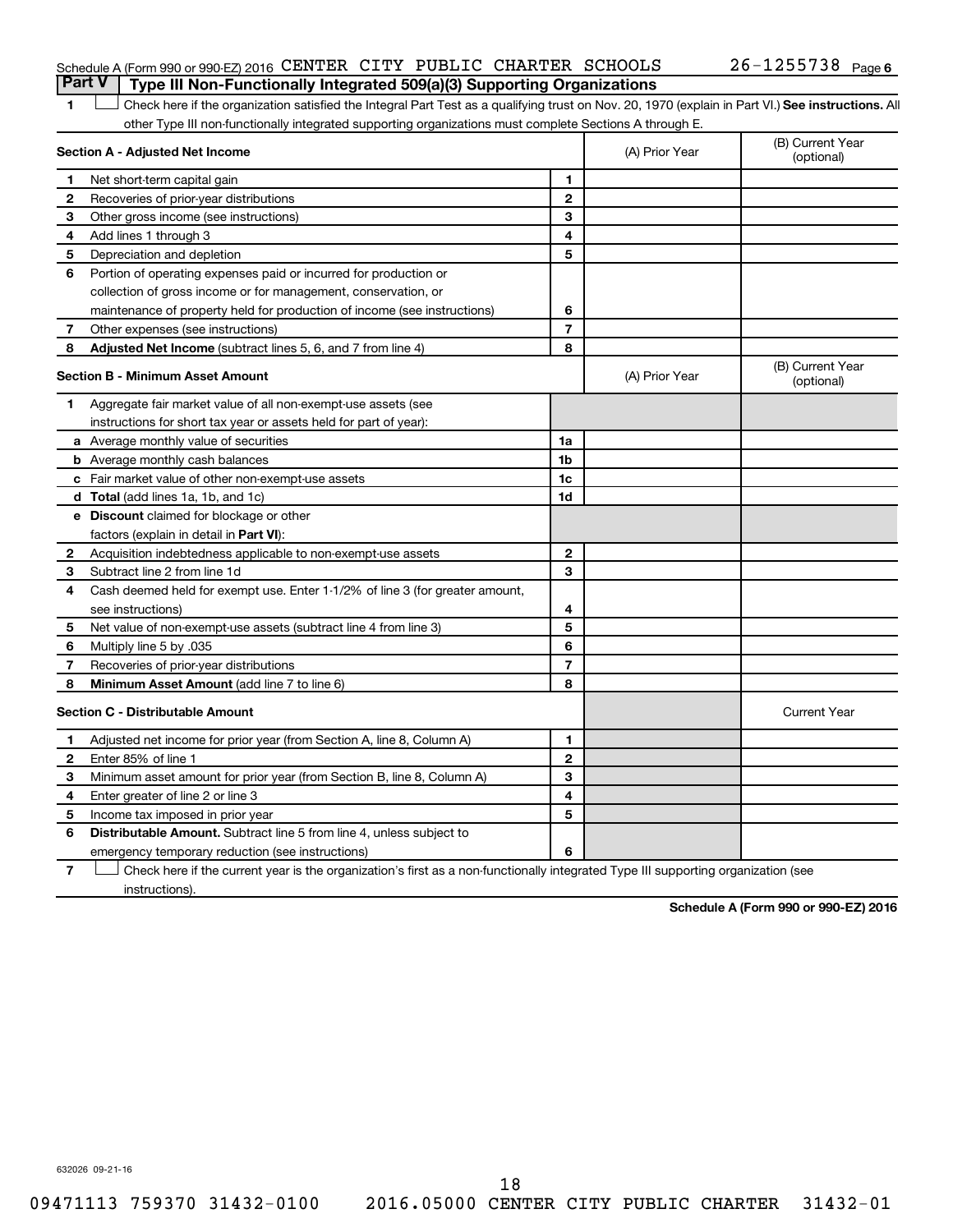#### Schedule A (Form 990 or 990-EZ) 2016 CENTER CITY PUBLIC CHARTER SCHOOLS  $26-1255738$  Page **Part V Type III Non-Functionally Integrated 509(a)(3) Supporting Organizations**

1 **Letter See instructions.** All Check here if the organization satisfied the Integral Part Test as a qualifying trust on Nov. 20, 1970 (explain in Part VI.) See instructions. All other Type III non-functionally integrated supporting organizations must complete Sections A through E.

|              | Section A - Adjusted Net Income                                              | (A) Prior Year | (B) Current Year<br>(optional) |                                |
|--------------|------------------------------------------------------------------------------|----------------|--------------------------------|--------------------------------|
| 1            | Net short-term capital gain                                                  | 1              |                                |                                |
| $\mathbf{2}$ | Recoveries of prior-year distributions                                       | $\mathbf{2}$   |                                |                                |
| 3            | Other gross income (see instructions)                                        | 3              |                                |                                |
| 4            | Add lines 1 through 3                                                        | 4              |                                |                                |
| 5            | Depreciation and depletion                                                   | 5              |                                |                                |
| 6            | Portion of operating expenses paid or incurred for production or             |                |                                |                                |
|              | collection of gross income or for management, conservation, or               |                |                                |                                |
|              | maintenance of property held for production of income (see instructions)     | 6              |                                |                                |
| 7            | Other expenses (see instructions)                                            | $\overline{7}$ |                                |                                |
| 8            | Adjusted Net Income (subtract lines 5, 6, and 7 from line 4)                 | 8              |                                |                                |
|              | <b>Section B - Minimum Asset Amount</b>                                      |                | (A) Prior Year                 | (B) Current Year<br>(optional) |
| 1.           | Aggregate fair market value of all non-exempt-use assets (see                |                |                                |                                |
|              | instructions for short tax year or assets held for part of year):            |                |                                |                                |
|              | <b>a</b> Average monthly value of securities                                 | 1a             |                                |                                |
|              | <b>b</b> Average monthly cash balances                                       | 1 <sub>b</sub> |                                |                                |
|              | <b>c</b> Fair market value of other non-exempt-use assets                    | 1c             |                                |                                |
|              | d Total (add lines 1a, 1b, and 1c)                                           | 1d             |                                |                                |
|              | e Discount claimed for blockage or other                                     |                |                                |                                |
|              | factors (explain in detail in Part VI):                                      |                |                                |                                |
| 2            | Acquisition indebtedness applicable to non-exempt-use assets                 | $\mathbf{2}$   |                                |                                |
| 3            | Subtract line 2 from line 1d                                                 | 3              |                                |                                |
| 4            | Cash deemed held for exempt use. Enter 1-1/2% of line 3 (for greater amount, |                |                                |                                |
|              | see instructions)                                                            | 4              |                                |                                |
| 5            | Net value of non-exempt-use assets (subtract line 4 from line 3)             | 5              |                                |                                |
| 6            | Multiply line 5 by .035                                                      | 6              |                                |                                |
| 7            | Recoveries of prior-year distributions                                       | 7              |                                |                                |
| 8            | <b>Minimum Asset Amount (add line 7 to line 6)</b>                           | 8              |                                |                                |
|              | <b>Section C - Distributable Amount</b>                                      |                |                                | <b>Current Year</b>            |
| 1            | Adjusted net income for prior year (from Section A, line 8, Column A)        | 1              |                                |                                |
| $\mathbf{2}$ | Enter 85% of line 1                                                          | $\mathbf{2}$   |                                |                                |
| 3            | Minimum asset amount for prior year (from Section B, line 8, Column A)       | 3              |                                |                                |
| 4            | Enter greater of line 2 or line 3                                            | 4              |                                |                                |
| 5            | Income tax imposed in prior year                                             | 5              |                                |                                |
| 6            | <b>Distributable Amount.</b> Subtract line 5 from line 4, unless subject to  |                |                                |                                |
|              | emergency temporary reduction (see instructions)                             | 6              |                                |                                |
|              |                                                                              |                |                                |                                |

**7** Let Check here if the current year is the organization's first as a non-functionally integrated Type III supporting organization (see instructions).

**Schedule A (Form 990 or 990-EZ) 2016**

632026 09-21-16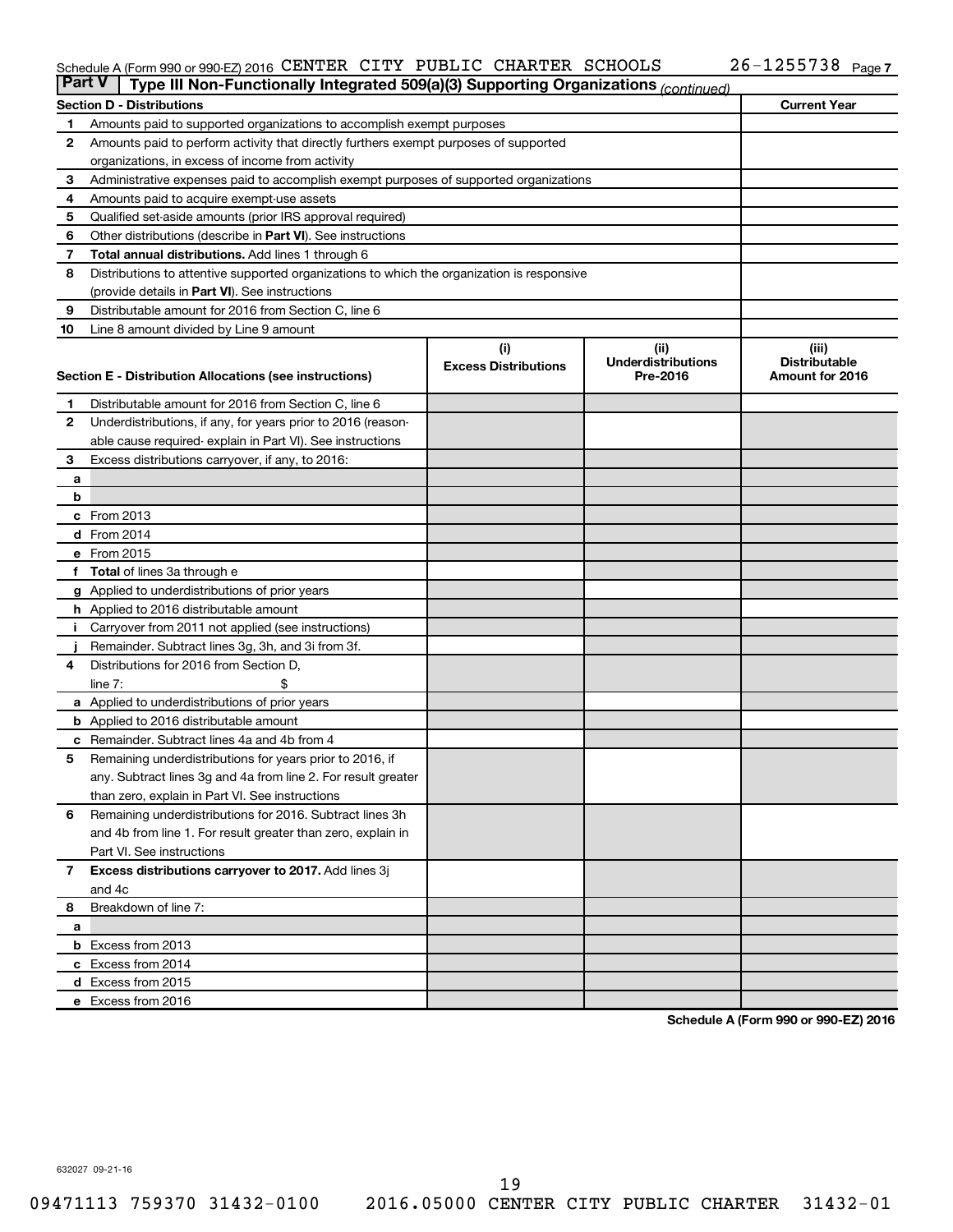#### Schedule A (Form 990 or 990-EZ) 2016 CENTER CITY PUBLIC CHARTER SCHOOLS 20-1255738 Page CENTER CITY PUBLIC CHARTER SCHOOLS 26-1255738

| <b>Part V</b>  | Type III Non-Functionally Integrated 509(a)(3) Supporting Organizations (continued)         |                             |                                       |                                         |  |  |  |  |
|----------------|---------------------------------------------------------------------------------------------|-----------------------------|---------------------------------------|-----------------------------------------|--|--|--|--|
|                | <b>Current Year</b><br><b>Section D - Distributions</b>                                     |                             |                                       |                                         |  |  |  |  |
| 1              | Amounts paid to supported organizations to accomplish exempt purposes                       |                             |                                       |                                         |  |  |  |  |
| $\mathbf{2}$   | Amounts paid to perform activity that directly furthers exempt purposes of supported        |                             |                                       |                                         |  |  |  |  |
|                | organizations, in excess of income from activity                                            |                             |                                       |                                         |  |  |  |  |
| 3              | Administrative expenses paid to accomplish exempt purposes of supported organizations       |                             |                                       |                                         |  |  |  |  |
| 4              | Amounts paid to acquire exempt-use assets                                                   |                             |                                       |                                         |  |  |  |  |
| 5              | Qualified set-aside amounts (prior IRS approval required)                                   |                             |                                       |                                         |  |  |  |  |
| 6              | Other distributions (describe in Part VI). See instructions                                 |                             |                                       |                                         |  |  |  |  |
| 7              | <b>Total annual distributions.</b> Add lines 1 through 6                                    |                             |                                       |                                         |  |  |  |  |
| 8              | Distributions to attentive supported organizations to which the organization is responsive  |                             |                                       |                                         |  |  |  |  |
|                | (provide details in Part VI). See instructions                                              |                             |                                       |                                         |  |  |  |  |
| 9              | Distributable amount for 2016 from Section C, line 6                                        |                             |                                       |                                         |  |  |  |  |
| 10             | Line 8 amount divided by Line 9 amount                                                      |                             |                                       |                                         |  |  |  |  |
|                |                                                                                             | (i)                         | (ii)                                  | (iii)                                   |  |  |  |  |
|                | Section E - Distribution Allocations (see instructions)                                     | <b>Excess Distributions</b> | <b>Underdistributions</b><br>Pre-2016 | <b>Distributable</b><br>Amount for 2016 |  |  |  |  |
|                |                                                                                             |                             |                                       |                                         |  |  |  |  |
| 1              | Distributable amount for 2016 from Section C, line 6                                        |                             |                                       |                                         |  |  |  |  |
| $\mathbf{2}$   | Underdistributions, if any, for years prior to 2016 (reason-                                |                             |                                       |                                         |  |  |  |  |
|                | able cause required-explain in Part VI). See instructions                                   |                             |                                       |                                         |  |  |  |  |
| 3              | Excess distributions carryover, if any, to 2016:                                            |                             |                                       |                                         |  |  |  |  |
| а              |                                                                                             |                             |                                       |                                         |  |  |  |  |
| b              |                                                                                             |                             |                                       |                                         |  |  |  |  |
|                | c From 2013                                                                                 |                             |                                       |                                         |  |  |  |  |
|                | <b>d</b> From 2014                                                                          |                             |                                       |                                         |  |  |  |  |
|                | e From 2015                                                                                 |                             |                                       |                                         |  |  |  |  |
|                | f Total of lines 3a through e                                                               |                             |                                       |                                         |  |  |  |  |
|                | <b>g</b> Applied to underdistributions of prior years                                       |                             |                                       |                                         |  |  |  |  |
|                | <b>h</b> Applied to 2016 distributable amount                                               |                             |                                       |                                         |  |  |  |  |
| Ť.             | Carryover from 2011 not applied (see instructions)                                          |                             |                                       |                                         |  |  |  |  |
| 4              | Remainder. Subtract lines 3g, 3h, and 3i from 3f.<br>Distributions for 2016 from Section D, |                             |                                       |                                         |  |  |  |  |
|                | line $7:$                                                                                   |                             |                                       |                                         |  |  |  |  |
|                | a Applied to underdistributions of prior years                                              |                             |                                       |                                         |  |  |  |  |
|                | <b>b</b> Applied to 2016 distributable amount                                               |                             |                                       |                                         |  |  |  |  |
| c              | Remainder. Subtract lines 4a and 4b from 4                                                  |                             |                                       |                                         |  |  |  |  |
| 5              | Remaining underdistributions for years prior to 2016, if                                    |                             |                                       |                                         |  |  |  |  |
|                | any. Subtract lines 3g and 4a from line 2. For result greater                               |                             |                                       |                                         |  |  |  |  |
|                | than zero, explain in Part VI. See instructions                                             |                             |                                       |                                         |  |  |  |  |
| 6              | Remaining underdistributions for 2016. Subtract lines 3h                                    |                             |                                       |                                         |  |  |  |  |
|                | and 4b from line 1. For result greater than zero, explain in                                |                             |                                       |                                         |  |  |  |  |
|                | Part VI. See instructions                                                                   |                             |                                       |                                         |  |  |  |  |
| $\overline{7}$ | Excess distributions carryover to 2017. Add lines 3j                                        |                             |                                       |                                         |  |  |  |  |
|                | and 4c                                                                                      |                             |                                       |                                         |  |  |  |  |
| 8              | Breakdown of line 7:                                                                        |                             |                                       |                                         |  |  |  |  |
| a              |                                                                                             |                             |                                       |                                         |  |  |  |  |
|                | <b>b</b> Excess from 2013                                                                   |                             |                                       |                                         |  |  |  |  |
|                | c Excess from 2014                                                                          |                             |                                       |                                         |  |  |  |  |
|                | d Excess from 2015                                                                          |                             |                                       |                                         |  |  |  |  |
|                | e Excess from 2016                                                                          |                             |                                       |                                         |  |  |  |  |

**Schedule A (Form 990 or 990-EZ) 2016**

632027 09-21-16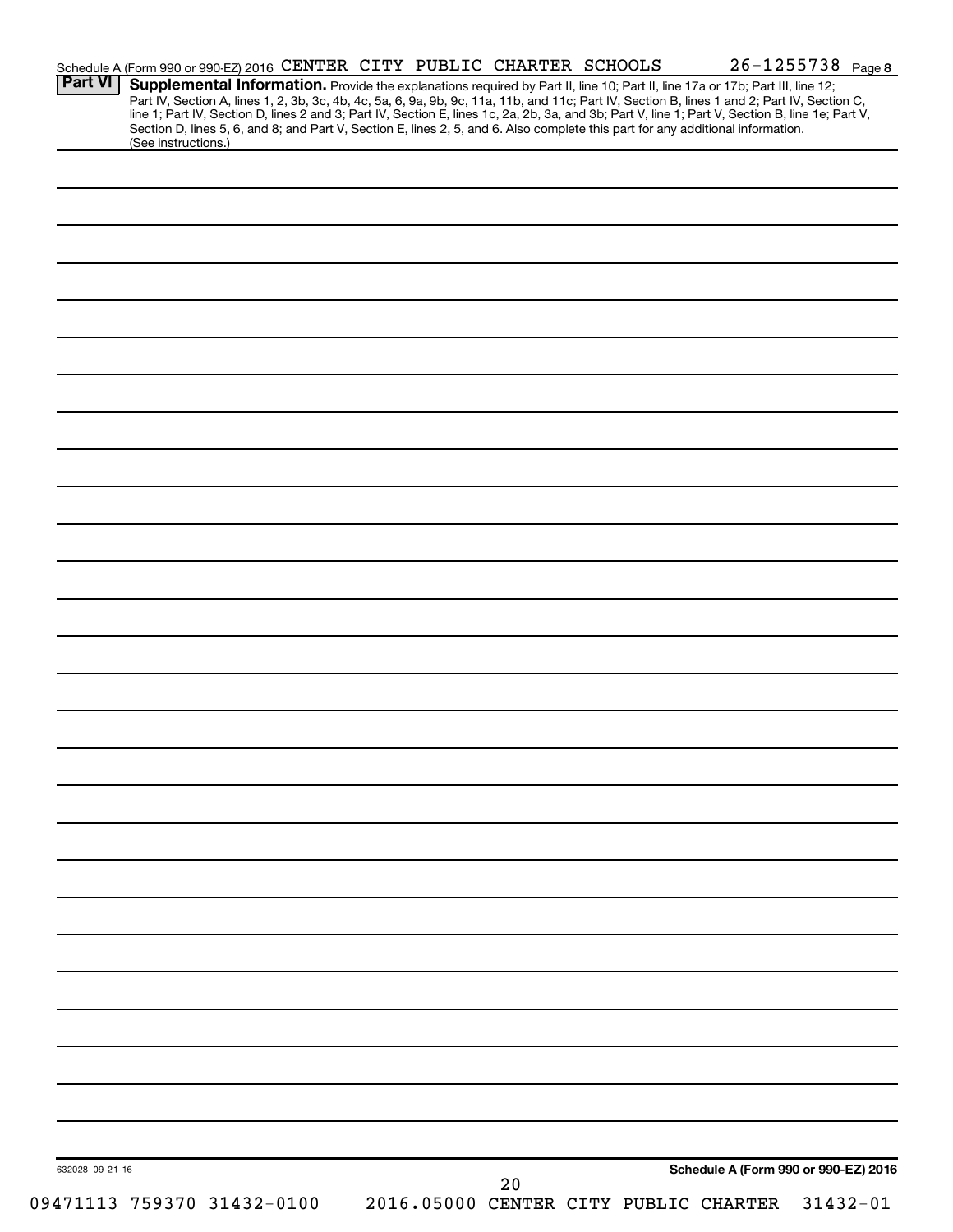| <b>Part VI</b>  |                            | Schedule A (Form 990 or 990-EZ) 2016 CENTER CITY PUBLIC CHARTER SCHOOLS                                                                                                                                                                                                       |  |    |  |                                       | $26 - 1255738$ Page 8 |
|-----------------|----------------------------|-------------------------------------------------------------------------------------------------------------------------------------------------------------------------------------------------------------------------------------------------------------------------------|--|----|--|---------------------------------------|-----------------------|
|                 |                            | Supplemental Information. Provide the explanations required by Part II, line 10; Part II, line 17a or 17b; Part III, line 12;<br>Part IV, Section A, lines 1, 2, 3b, 3c, 4b, 4c, 5a, 6, 9a, 9b, 9c, 11a, 11b, and 11c; Part IV, Section B, lines 1 and 2; Part IV, Section C, |  |    |  |                                       |                       |
|                 |                            | line 1; Part IV, Section D, lines 2 and 3; Part IV, Section E, lines 1c, 2a, 2b, 3a, and 3b; Part V, line 1; Part V, Section B, line 1e; Part V,                                                                                                                              |  |    |  |                                       |                       |
|                 | (See instructions.)        | Section D, lines 5, 6, and 8; and Part V, Section E, lines 2, 5, and 6. Also complete this part for any additional information.                                                                                                                                               |  |    |  |                                       |                       |
|                 |                            |                                                                                                                                                                                                                                                                               |  |    |  |                                       |                       |
|                 |                            |                                                                                                                                                                                                                                                                               |  |    |  |                                       |                       |
|                 |                            |                                                                                                                                                                                                                                                                               |  |    |  |                                       |                       |
|                 |                            |                                                                                                                                                                                                                                                                               |  |    |  |                                       |                       |
|                 |                            |                                                                                                                                                                                                                                                                               |  |    |  |                                       |                       |
|                 |                            |                                                                                                                                                                                                                                                                               |  |    |  |                                       |                       |
|                 |                            |                                                                                                                                                                                                                                                                               |  |    |  |                                       |                       |
|                 |                            |                                                                                                                                                                                                                                                                               |  |    |  |                                       |                       |
|                 |                            |                                                                                                                                                                                                                                                                               |  |    |  |                                       |                       |
|                 |                            |                                                                                                                                                                                                                                                                               |  |    |  |                                       |                       |
|                 |                            |                                                                                                                                                                                                                                                                               |  |    |  |                                       |                       |
|                 |                            |                                                                                                                                                                                                                                                                               |  |    |  |                                       |                       |
|                 |                            |                                                                                                                                                                                                                                                                               |  |    |  |                                       |                       |
|                 |                            |                                                                                                                                                                                                                                                                               |  |    |  |                                       |                       |
|                 |                            |                                                                                                                                                                                                                                                                               |  |    |  |                                       |                       |
|                 |                            |                                                                                                                                                                                                                                                                               |  |    |  |                                       |                       |
|                 |                            |                                                                                                                                                                                                                                                                               |  |    |  |                                       |                       |
|                 |                            |                                                                                                                                                                                                                                                                               |  |    |  |                                       |                       |
|                 |                            |                                                                                                                                                                                                                                                                               |  |    |  |                                       |                       |
|                 |                            |                                                                                                                                                                                                                                                                               |  |    |  |                                       |                       |
|                 |                            |                                                                                                                                                                                                                                                                               |  |    |  |                                       |                       |
|                 |                            |                                                                                                                                                                                                                                                                               |  |    |  |                                       |                       |
|                 |                            |                                                                                                                                                                                                                                                                               |  |    |  |                                       |                       |
|                 |                            |                                                                                                                                                                                                                                                                               |  |    |  |                                       |                       |
|                 |                            |                                                                                                                                                                                                                                                                               |  |    |  |                                       |                       |
|                 |                            |                                                                                                                                                                                                                                                                               |  |    |  |                                       |                       |
|                 |                            |                                                                                                                                                                                                                                                                               |  |    |  |                                       |                       |
|                 |                            |                                                                                                                                                                                                                                                                               |  |    |  |                                       |                       |
|                 |                            |                                                                                                                                                                                                                                                                               |  |    |  |                                       |                       |
|                 |                            |                                                                                                                                                                                                                                                                               |  |    |  |                                       |                       |
|                 |                            |                                                                                                                                                                                                                                                                               |  |    |  |                                       |                       |
|                 |                            |                                                                                                                                                                                                                                                                               |  |    |  |                                       |                       |
|                 |                            |                                                                                                                                                                                                                                                                               |  |    |  |                                       |                       |
|                 |                            |                                                                                                                                                                                                                                                                               |  |    |  |                                       |                       |
|                 |                            |                                                                                                                                                                                                                                                                               |  |    |  |                                       |                       |
|                 |                            |                                                                                                                                                                                                                                                                               |  |    |  |                                       |                       |
|                 |                            |                                                                                                                                                                                                                                                                               |  |    |  |                                       |                       |
|                 |                            |                                                                                                                                                                                                                                                                               |  |    |  |                                       |                       |
|                 |                            |                                                                                                                                                                                                                                                                               |  |    |  |                                       |                       |
|                 |                            |                                                                                                                                                                                                                                                                               |  |    |  |                                       |                       |
|                 |                            |                                                                                                                                                                                                                                                                               |  |    |  |                                       |                       |
|                 |                            |                                                                                                                                                                                                                                                                               |  |    |  |                                       |                       |
|                 |                            |                                                                                                                                                                                                                                                                               |  |    |  |                                       |                       |
|                 |                            |                                                                                                                                                                                                                                                                               |  |    |  |                                       |                       |
|                 |                            |                                                                                                                                                                                                                                                                               |  |    |  |                                       |                       |
|                 |                            |                                                                                                                                                                                                                                                                               |  |    |  |                                       |                       |
|                 |                            |                                                                                                                                                                                                                                                                               |  |    |  |                                       |                       |
|                 |                            |                                                                                                                                                                                                                                                                               |  |    |  |                                       |                       |
|                 |                            |                                                                                                                                                                                                                                                                               |  |    |  |                                       |                       |
|                 |                            |                                                                                                                                                                                                                                                                               |  |    |  |                                       |                       |
|                 |                            |                                                                                                                                                                                                                                                                               |  |    |  |                                       |                       |
|                 |                            |                                                                                                                                                                                                                                                                               |  |    |  |                                       |                       |
|                 |                            |                                                                                                                                                                                                                                                                               |  |    |  |                                       |                       |
|                 |                            |                                                                                                                                                                                                                                                                               |  |    |  |                                       |                       |
|                 |                            |                                                                                                                                                                                                                                                                               |  |    |  |                                       |                       |
| 632028 09-21-16 |                            |                                                                                                                                                                                                                                                                               |  |    |  | Schedule A (Form 990 or 990-EZ) 2016  |                       |
|                 |                            |                                                                                                                                                                                                                                                                               |  | 20 |  |                                       |                       |
|                 | 09471113 759370 31432-0100 |                                                                                                                                                                                                                                                                               |  |    |  | 2016.05000 CENTER CITY PUBLIC CHARTER | $31432 - 01$          |
|                 |                            |                                                                                                                                                                                                                                                                               |  |    |  |                                       |                       |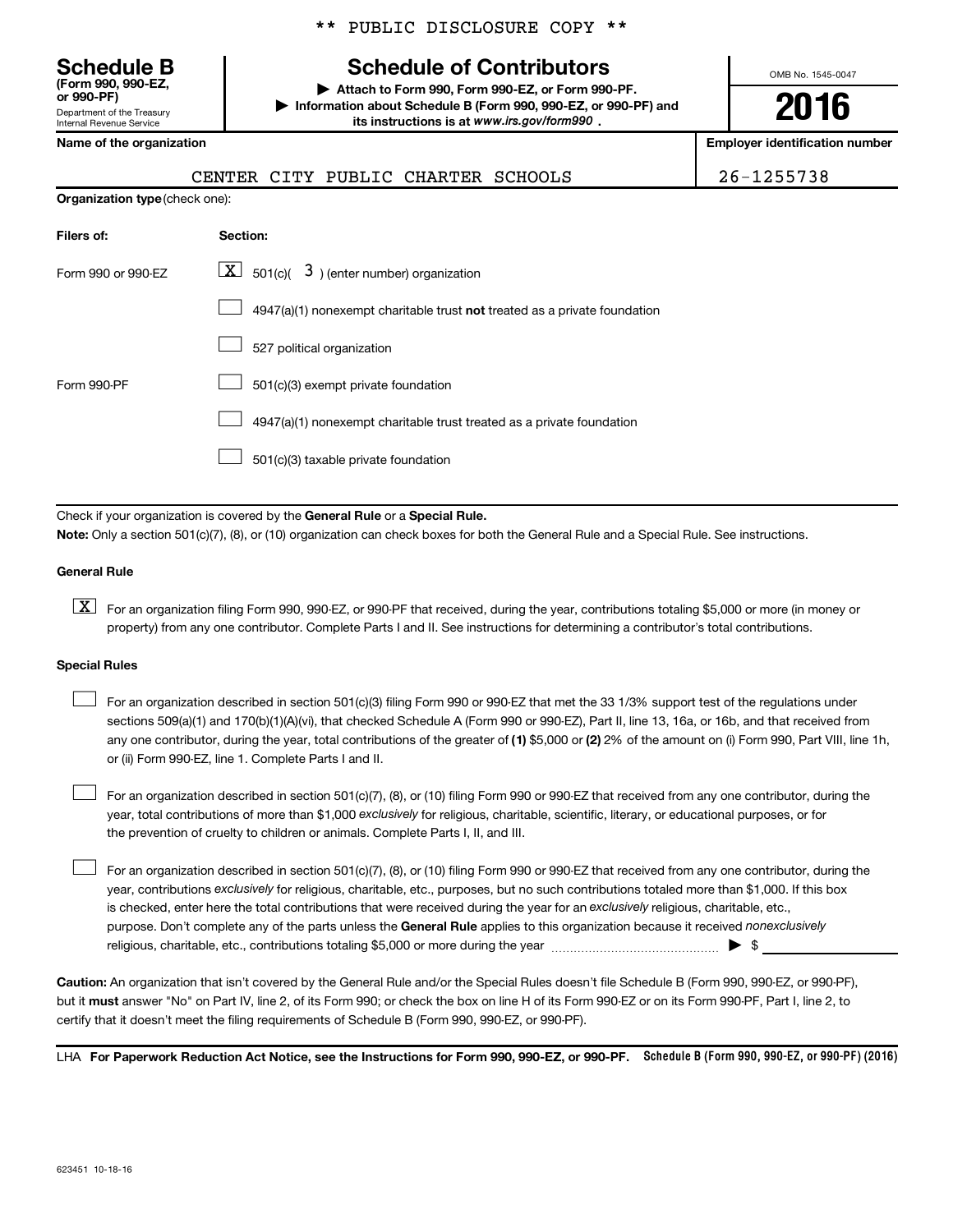**(Form 990, 990-EZ,**

Department of the Treasury Internal Revenue Service

**Organization type** (check one):

\*\* PUBLIC DISCLOSURE COPY \*\*

## **Schedule B Schedule of Contributors**

**or 990-PF) | Attach to Form 990, Form 990-EZ, or Form 990-PF. | Information about Schedule B (Form 990, 990-EZ, or 990-PF) and** its instructions is at www.irs.gov/form990.

OMB No. 1545-0047

**2016**

**Name of the organization Employer identification number**

|  | CENTER CITY PUBLIC CHARTER SCHOOLS |  |
|--|------------------------------------|--|
|  |                                    |  |

26-1255738

| Filers of:         | <b>Section:</b>                                                           |
|--------------------|---------------------------------------------------------------------------|
| Form 990 or 990-EZ | $\mathbf{X}$ 501(c)( 3) (enter number) organization                       |
|                    | 4947(a)(1) nonexempt charitable trust not treated as a private foundation |
|                    | 527 political organization                                                |
| Form 990-PF        | 501(c)(3) exempt private foundation                                       |
|                    | 4947(a)(1) nonexempt charitable trust treated as a private foundation     |
|                    | 501(c)(3) taxable private foundation                                      |

Check if your organization is covered by the General Rule or a Special Rule.

**Note:**  Only a section 501(c)(7), (8), or (10) organization can check boxes for both the General Rule and a Special Rule. See instructions.

#### **General Rule**

**K** For an organization filing Form 990, 990-EZ, or 990-PF that received, during the year, contributions totaling \$5,000 or more (in money or property) from any one contributor. Complete Parts I and II. See instructions for determining a contributor's total contributions.

#### **Special Rules**

 $\Box$ 

any one contributor, during the year, total contributions of the greater of **(1)** \$5,000 or **(2)** 2% of the amount on (i) Form 990, Part VIII, line 1h, For an organization described in section 501(c)(3) filing Form 990 or 990-EZ that met the 33 1/3% support test of the regulations under sections 509(a)(1) and 170(b)(1)(A)(vi), that checked Schedule A (Form 990 or 990-EZ), Part II, line 13, 16a, or 16b, and that received from or (ii) Form 990-EZ, line 1. Complete Parts I and II.  $\Box$ 

year, total contributions of more than \$1,000 *exclusively* for religious, charitable, scientific, literary, or educational purposes, or for For an organization described in section 501(c)(7), (8), or (10) filing Form 990 or 990-EZ that received from any one contributor, during the the prevention of cruelty to children or animals. Complete Parts I, II, and III.  $\Box$ 

purpose. Don't complete any of the parts unless the General Rule applies to this organization because it received nonexclusively year, contributions exclusively for religious, charitable, etc., purposes, but no such contributions totaled more than \$1,000. If this box is checked, enter here the total contributions that were received during the year for an exclusively religious, charitable, etc., For an organization described in section 501(c)(7), (8), or (10) filing Form 990 or 990-EZ that received from any one contributor, during the religious, charitable, etc., contributions totaling \$5,000 or more during the year  $\ldots$  $\ldots$  $\ldots$  $\ldots$  $\ldots$  $\ldots$ 

**Caution:**  An organization that isn't covered by the General Rule and/or the Special Rules doesn't file Schedule B (Form 990, 990-EZ, or 990-PF),  **must** but it answer "No" on Part IV, line 2, of its Form 990; or check the box on line H of its Form 990-EZ or on its Form 990-PF, Part I, line 2, to certify that it doesn't meet the filing requirements of Schedule B (Form 990, 990-EZ, or 990-PF).

LHA For Paperwork Reduction Act Notice, see the Instructions for Form 990, 990-EZ, or 990-PF. Schedule B (Form 990, 990-EZ, or 990-PF) (2016)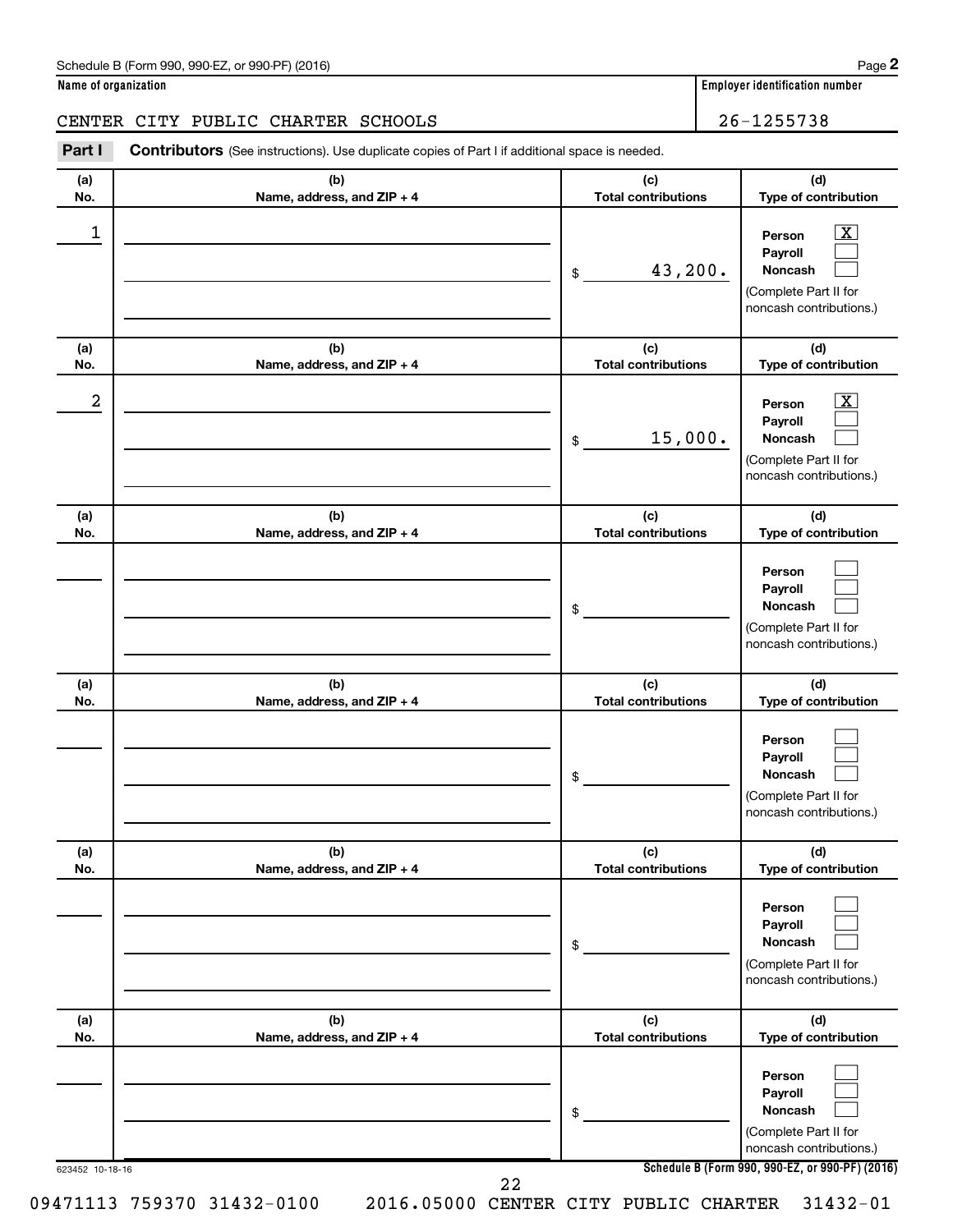#### Schedule B (Form 990, 990-EZ, or 990-PF) (2016)

#### **Name of organization Employer identification number**

#### CENTER CITY PUBLIC CHARTER SCHOOLS **26-1255738**

623452 10-18-16 **Schedule B (Form 990, 990-EZ, or 990-PF) (2016) (a) No. (b) Name, address, and ZIP + 4 (c) Total contributions (d) Type of contribution Person Payroll Noncash (a) No. (b) Name, address, and ZIP + 4 (c) Total contributions (d) Type of contribution Person Payroll Noncash (a) No. (b) Name, address, and ZIP + 4 (c) Total contributions (d) Type of contribution Person Payroll Noncash (a) No. (b) Name, address, and ZIP + 4 (c) Total contributions (d) Type of contribution Person Payroll Noncash (a) No. (b) Name, address, and ZIP + 4 (c) Total contributions (d) Type of contribution Person Payroll Noncash (a) No. (b) Name, address, and ZIP + 4 (c) Total contributions (d) Type of contribution Person Payroll Noncash Part I** Contributors (See instructions). Use duplicate copies of Part I if additional space is needed. \$ (Complete Part II for noncash contributions.) \$ (Complete Part II for noncash contributions.) \$ (Complete Part II for noncash contributions.) \$ (Complete Part II for noncash contributions.) \$ (Complete Part II for noncash contributions.) \$ (Complete Part II for noncash contributions.)  $\lfloor x \rfloor$  $\Box$  $\Box$  $\overline{\mathbf{X}}$  $\Box$  $\Box$  $\Box$  $\Box$  $\Box$  $\Box$  $\Box$  $\Box$  $\Box$  $\Box$  $\Box$  $\Box$  $\Box$  $\Box$  $\begin{array}{|c|c|c|c|c|}\hline \ \text{1} & \text{Person} & \text{X} \ \hline \end{array}$ 43,200.  $2$  Person  $\overline{\text{X}}$ 15,000. 22

**2**

09471113 759370 31432-0100 2016.05000 CENTER CITY PUBLIC CHARTER 31432-01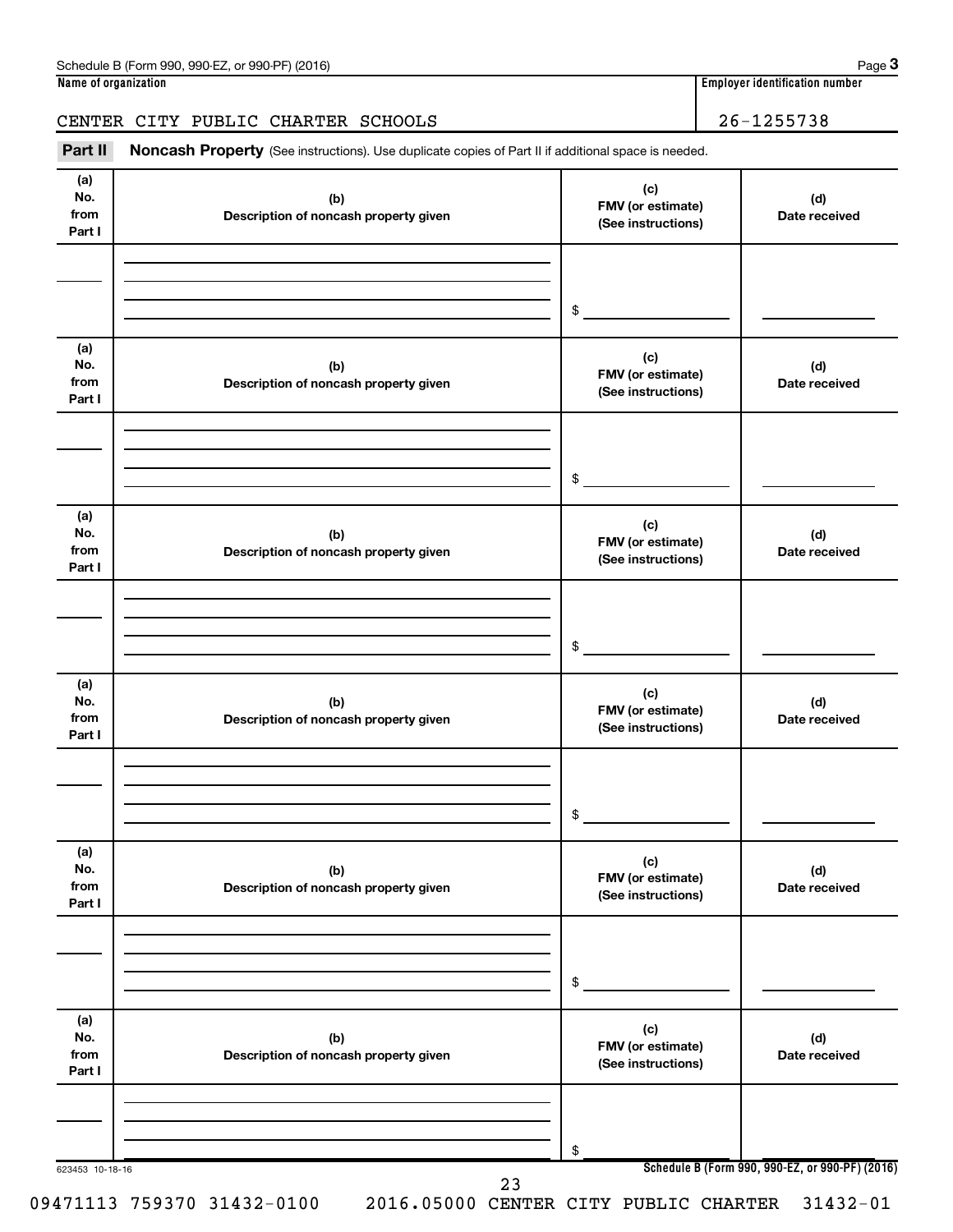### CENTER CITY PUBLIC CHARTER SCHOOLS | 26-1255738

Part II Noncash Property (See instructions). Use duplicate copies of Part II if additional space is needed.

| (a)<br>No.<br>from<br>Part I | (b)<br>Description of noncash property given | (c)<br>FMV (or estimate)<br>(See instructions) | (d)<br>Date received                            |
|------------------------------|----------------------------------------------|------------------------------------------------|-------------------------------------------------|
|                              |                                              | \$                                             |                                                 |
| (a)<br>No.<br>from<br>Part I | (b)<br>Description of noncash property given | (c)<br>FMV (or estimate)<br>(See instructions) | (d)<br>Date received                            |
|                              |                                              | \$                                             |                                                 |
| (a)<br>No.<br>from<br>Part I | (b)<br>Description of noncash property given | (c)<br>FMV (or estimate)<br>(See instructions) | (d)<br>Date received                            |
|                              |                                              | \$                                             |                                                 |
| (a)<br>No.<br>from<br>Part I | (b)<br>Description of noncash property given | (c)<br>FMV (or estimate)<br>(See instructions) | (d)<br>Date received                            |
|                              |                                              | \$                                             |                                                 |
| (a)<br>No.<br>from<br>Part I | (b)<br>Description of noncash property given | (c)<br>FMV (or estimate)<br>(See instructions) | (d)<br>Date received                            |
|                              |                                              | \$                                             |                                                 |
| (a)<br>No.<br>from<br>Part I | (b)<br>Description of noncash property given | (c)<br>FMV (or estimate)<br>(See instructions) | (d)<br>Date received                            |
|                              |                                              | \$                                             |                                                 |
| 623453 10-18-16              | 23                                           |                                                | Schedule B (Form 990, 990-EZ, or 990-PF) (2016) |

09471113 759370 31432-0100 2016.05000 CENTER CITY PUBLIC CHARTER 31432-01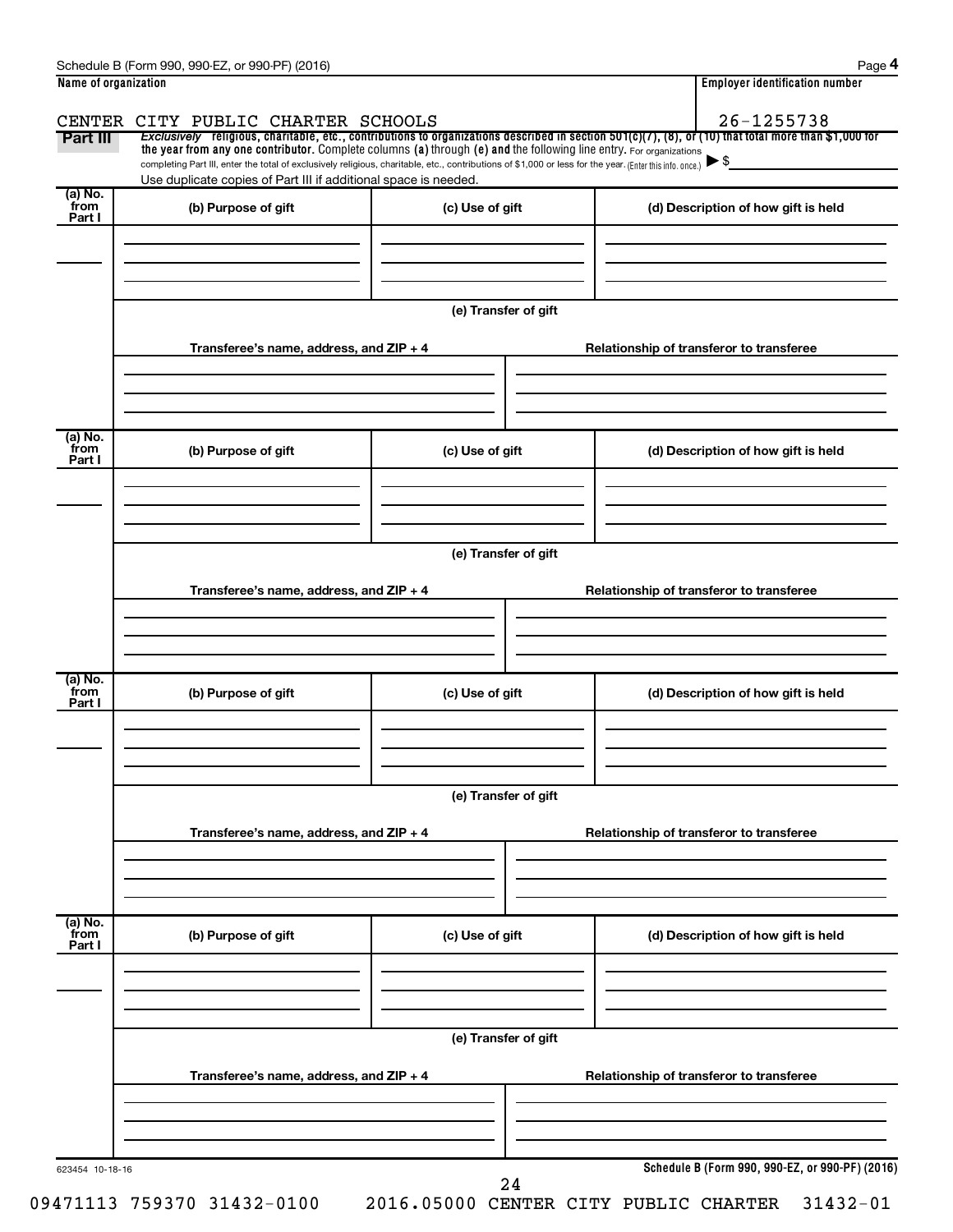| Name of organization      |                                                                                                                                                                                                                                                                                 |                      | <b>Employer identification number</b>           |  |
|---------------------------|---------------------------------------------------------------------------------------------------------------------------------------------------------------------------------------------------------------------------------------------------------------------------------|----------------------|-------------------------------------------------|--|
|                           | CENTER CITY PUBLIC CHARTER SCHOOLS                                                                                                                                                                                                                                              |                      | 26-1255738                                      |  |
| Part III                  | Exclusively religious, charitable, etc., contributions to organizations described in section $501(c)(7)$ , (8), or (10) that total more than \$1,000 for                                                                                                                        |                      |                                                 |  |
|                           | the year from any one contributor. Complete columns (a) through (e) and the following line entry. For organizations<br>completing Part III, enter the total of exclusively religious, charitable, etc., contributions of \$1,000 or less for the year. (Enter this info. once.) |                      |                                                 |  |
|                           | Use duplicate copies of Part III if additional space is needed.                                                                                                                                                                                                                 |                      |                                                 |  |
| (a) No.<br>from           | (b) Purpose of gift                                                                                                                                                                                                                                                             | (c) Use of gift      | (d) Description of how gift is held             |  |
| Part I                    |                                                                                                                                                                                                                                                                                 |                      |                                                 |  |
|                           |                                                                                                                                                                                                                                                                                 |                      |                                                 |  |
|                           |                                                                                                                                                                                                                                                                                 |                      |                                                 |  |
|                           |                                                                                                                                                                                                                                                                                 |                      |                                                 |  |
|                           |                                                                                                                                                                                                                                                                                 | (e) Transfer of gift |                                                 |  |
|                           |                                                                                                                                                                                                                                                                                 |                      |                                                 |  |
|                           | Transferee's name, address, and ZIP + 4                                                                                                                                                                                                                                         |                      | Relationship of transferor to transferee        |  |
|                           |                                                                                                                                                                                                                                                                                 |                      |                                                 |  |
|                           |                                                                                                                                                                                                                                                                                 |                      |                                                 |  |
|                           |                                                                                                                                                                                                                                                                                 |                      |                                                 |  |
| (a) No.<br>from           |                                                                                                                                                                                                                                                                                 |                      |                                                 |  |
| Part I                    | (b) Purpose of gift                                                                                                                                                                                                                                                             | (c) Use of gift      | (d) Description of how gift is held             |  |
|                           |                                                                                                                                                                                                                                                                                 |                      |                                                 |  |
|                           |                                                                                                                                                                                                                                                                                 |                      |                                                 |  |
|                           |                                                                                                                                                                                                                                                                                 |                      |                                                 |  |
|                           |                                                                                                                                                                                                                                                                                 | (e) Transfer of gift |                                                 |  |
|                           |                                                                                                                                                                                                                                                                                 |                      |                                                 |  |
|                           | Transferee's name, address, and ZIP + 4                                                                                                                                                                                                                                         |                      | Relationship of transferor to transferee        |  |
|                           |                                                                                                                                                                                                                                                                                 |                      |                                                 |  |
|                           |                                                                                                                                                                                                                                                                                 |                      |                                                 |  |
|                           |                                                                                                                                                                                                                                                                                 |                      |                                                 |  |
|                           |                                                                                                                                                                                                                                                                                 |                      |                                                 |  |
| (a) No.<br>from<br>Part I | (b) Purpose of gift                                                                                                                                                                                                                                                             | (c) Use of gift      | (d) Description of how gift is held             |  |
|                           |                                                                                                                                                                                                                                                                                 |                      |                                                 |  |
|                           |                                                                                                                                                                                                                                                                                 |                      |                                                 |  |
|                           |                                                                                                                                                                                                                                                                                 |                      |                                                 |  |
|                           |                                                                                                                                                                                                                                                                                 | (e) Transfer of gift |                                                 |  |
|                           |                                                                                                                                                                                                                                                                                 |                      |                                                 |  |
|                           | Transferee's name, address, and ZIP + 4                                                                                                                                                                                                                                         |                      | Relationship of transferor to transferee        |  |
|                           |                                                                                                                                                                                                                                                                                 |                      |                                                 |  |
|                           |                                                                                                                                                                                                                                                                                 |                      |                                                 |  |
|                           |                                                                                                                                                                                                                                                                                 |                      |                                                 |  |
| (a) No.<br>from           |                                                                                                                                                                                                                                                                                 |                      |                                                 |  |
| Part I                    | (b) Purpose of gift                                                                                                                                                                                                                                                             | (c) Use of gift      | (d) Description of how gift is held             |  |
|                           |                                                                                                                                                                                                                                                                                 |                      |                                                 |  |
|                           |                                                                                                                                                                                                                                                                                 |                      |                                                 |  |
|                           |                                                                                                                                                                                                                                                                                 |                      |                                                 |  |
|                           |                                                                                                                                                                                                                                                                                 | (e) Transfer of gift |                                                 |  |
|                           |                                                                                                                                                                                                                                                                                 |                      |                                                 |  |
|                           | Transferee's name, address, and ZIP + 4                                                                                                                                                                                                                                         |                      | Relationship of transferor to transferee        |  |
|                           |                                                                                                                                                                                                                                                                                 |                      |                                                 |  |
|                           |                                                                                                                                                                                                                                                                                 |                      |                                                 |  |
|                           |                                                                                                                                                                                                                                                                                 |                      |                                                 |  |
|                           |                                                                                                                                                                                                                                                                                 |                      |                                                 |  |
| 623454 10-18-16           |                                                                                                                                                                                                                                                                                 | 24                   | Schedule B (Form 990, 990-EZ, or 990-PF) (2016) |  |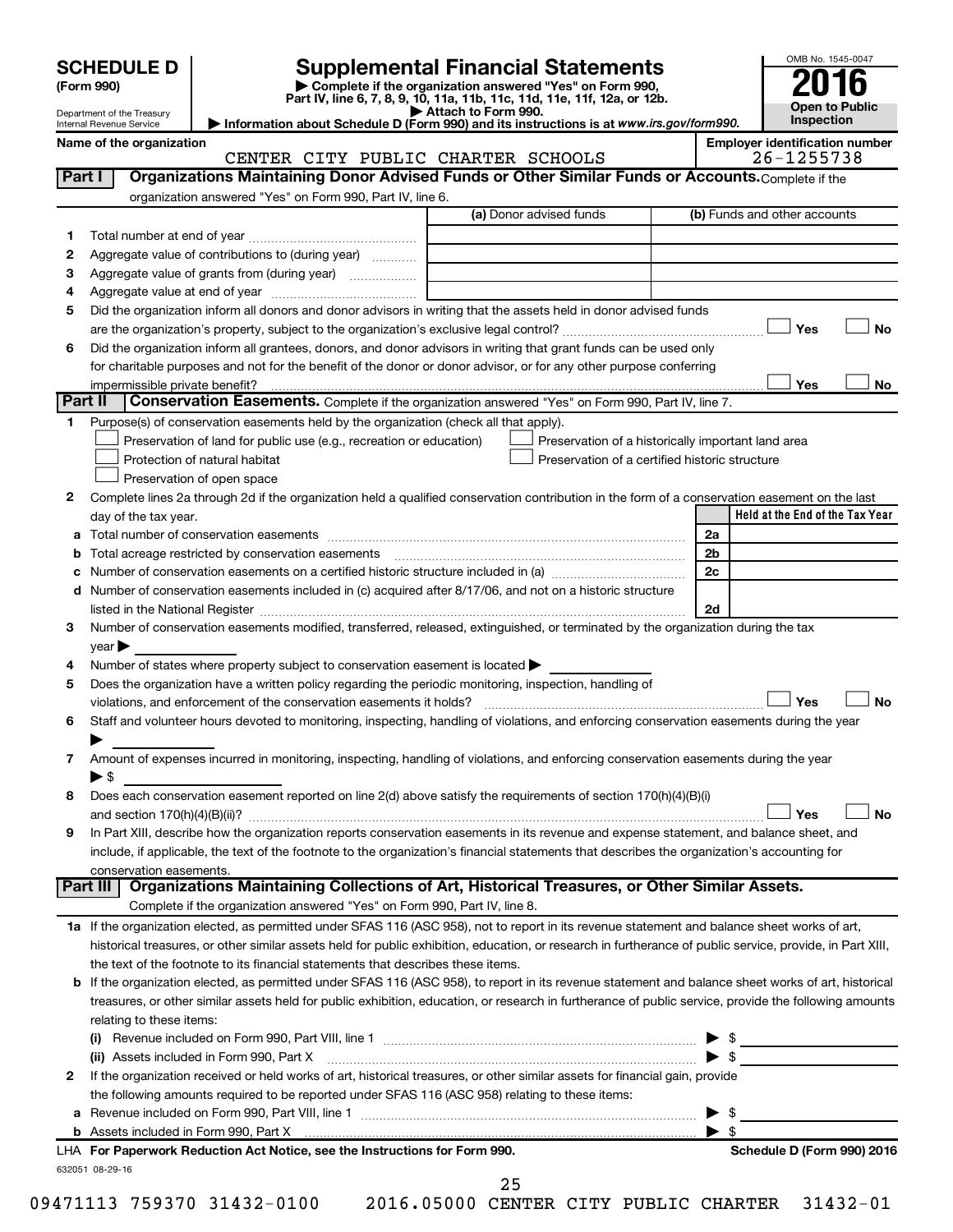| <b>SCHEDULE D</b> |  |  |
|-------------------|--|--|
|                   |  |  |

Department of the Treasury Internal Revenue Service

## **Supplemental Financial Statements**<br> **Examplete if the organization answered "Yes" on Form 990,**<br> **2016**

**(Form 990) | Complete if the organization answered "Yes" on Form 990, Part IV, line 6, 7, 8, 9, 10, 11a, 11b, 11c, 11d, 11e, 11f, 12a, or 12b.**<br>■ Attach to Form 990.

**| Attach to Form 990. | Information about Schedule D (Form 990) and its instructions is at**  *www.irs.gov/form990.*



**Yes No** † †

Yes

(b) Funds and other accounts

**Yes No**

**Name of the organization Employer identification number** (a) Donor advised funds **1 2 3 4 5 6 Part I** | Organizations Maintaining Donor Advised Funds or Other Similar Funds or Accounts. Complete if the organization answered "Yes" on Form 990, Part IV, line 6. Total number at end of year ~~~~~~~~~~~~~~~ Aggregate value of contributions to (during year)  $\quad \quad \ldots \ldots \ldots$ Aggregate value of grants from (during year) will contain the Aggregate value of grants from (during year) Aggregate value at end of year ~~~~~~~~~~~~~ Did the organization inform all donors and donor advisors in writing that the assets held in donor advised funds are the organization's property, subject to the organization's exclusive legal control?~~~~~~~~~~~~~~~~~~ Did the organization inform all grantees, donors, and donor advisors in writing that grant funds can be used only CENTER CITY PUBLIC CHARTER SCHOOLS 26-1255738

for charitable purposes and not for the benefit of the donor or donor advisor, or for any other purpose conferring impermissible private benefit? **Part II** Conservation Easements. Complete if the organization answered "Yes" on Form 990, Part IV, line 7.

| Purpose(s) of conservation easements held by the organization (check all that apply). |                                                    |  |  |  |  |
|---------------------------------------------------------------------------------------|----------------------------------------------------|--|--|--|--|
| $\Box$ Preservation of land for public use (e.g., recreation or education)            | Preservation of a historically important land area |  |  |  |  |
| $\Box$ Protection of natural habitat                                                  | Preservation of a certified historic structure     |  |  |  |  |
| Preservation of open space                                                            |                                                    |  |  |  |  |
|                                                                                       |                                                    |  |  |  |  |

| Complete lines 2a through 2d if the organization held a qualified conservation contribution in the form of a conservation easement on the last |                                 |
|------------------------------------------------------------------------------------------------------------------------------------------------|---------------------------------|
| day of the tax year.                                                                                                                           | Held at the End of the Tax Year |
|                                                                                                                                                |                                 |

|   | Total number of conservation easements                                                                                                                                                                                         | 2a               |
|---|--------------------------------------------------------------------------------------------------------------------------------------------------------------------------------------------------------------------------------|------------------|
|   | Total acreage restricted by conservation easements [11] [12] Total acreage restricted by conservation easements                                                                                                                | 2 <sub>b</sub>   |
|   | Number of conservation easements on a certified historic structure included in (a) manufacture included in (a)                                                                                                                 | 2c               |
|   | d Number of conservation easements included in (c) acquired after 8/17/06, and not on a historic structure                                                                                                                     |                  |
|   | listed in the National Register [111] [12] The Materian Control of the National Property of the National Register [11] [12] [12] The Material Anna Property of the National Register [11] [12] [12] The Material Anna Property | 2d               |
| 3 | Number of conservation easements modified, transferred, released, extinguished, or terminated by the organization during the tax                                                                                               |                  |
|   | $\vee$ ear $\blacktriangleright$                                                                                                                                                                                               |                  |
| 4 | Number of states where property subject to conservation easement is located $\blacktriangleright$                                                                                                                              |                  |
| 5 | Does the organization have a written policy regarding the periodic monitoring, inspection, handling of                                                                                                                         |                  |
|   | violations, and enforcement of the conservation easements it holds?                                                                                                                                                            | Yes<br><b>No</b> |
| 6 | Staff and volunteer hours devoted to monitoring, inspecting, handling of violations, and enforcing conservation easements during the year                                                                                      |                  |
|   |                                                                                                                                                                                                                                |                  |
| 7 | Amount of expenses incurred in monitoring, inspecting, handling of violations, and enforcing conservation easements during the year                                                                                            |                  |
|   | ► \$                                                                                                                                                                                                                           |                  |
| 8 | Does each conservation easement reported on line 2(d) above satisfy the requirements of section 170(h)(4)(B)(i)                                                                                                                |                  |
|   |                                                                                                                                                                                                                                | Yes<br><b>No</b> |
| 9 | In Part XIII, describe how the organization reports conservation easements in its revenue and expense statement, and balance sheet, and                                                                                        |                  |
|   | include, if applicable, the text of the footnote to the organization's financial statements that describes the organization's accounting for                                                                                   |                  |
|   | conservation easements.                                                                                                                                                                                                        |                  |
|   | Organizations Maintaining Collections of Art, Historical Treasures, or Other Similar Assets.<br>Part III                                                                                                                       |                  |
|   | Complete if the organization answered "Yes" on Form 990, Part IV, line 8.                                                                                                                                                      |                  |
|   | 1a If the organization elected, as permitted under SFAS 116 (ASC 958), not to report in its revenue statement and balance sheet works of art,                                                                                  |                  |
|   | historical treasures, or other similar assets held for public exhibition, education, or research in furtherance of public service, provide, in Part XIII,                                                                      |                  |
|   | the text of the footnote to its financial statements that describes these items.                                                                                                                                               |                  |
|   | <b>b</b> If the organization elected, as permitted under SFAS 116 (ASC 958), to report in its revenue statement and balance sheet works of art, historical                                                                     |                  |
|   | treasures, or other similar assets held for public exhibition, education, or research in furtherance of public service, provide the following amounts                                                                          |                  |
|   | relating to these items:                                                                                                                                                                                                       |                  |
|   | Revenue included on Form 990, Part VIII, line 1 [2000] [2000] [2000] [2000] [2000] [2000] [2000] [2000] [2000<br>(i)                                                                                                           |                  |
|   | (ii) Assets included in Form 990, Part X                                                                                                                                                                                       |                  |
|   | If the organization received or held works of art, historical treasures, or other similar assets for financial gain, provide                                                                                                   |                  |

**2** or held works of art, historical treasures, or other similar a the following amounts required to be reported under SFAS 116 (ASC 958) relating to these items:

| Revenue included on Form 990. Part VIII, line |  |
|-----------------------------------------------|--|
| Assets included in Form 990. Part X           |  |

| LHA For Paperwork Reduction Act Notice, see the Instructions for Form 990. |
|----------------------------------------------------------------------------|
| 632051 08-29-16                                                            |

25

09471113 759370 31432-0100 2016.05000 CENTER CITY PUBLIC CHARTER 31432-01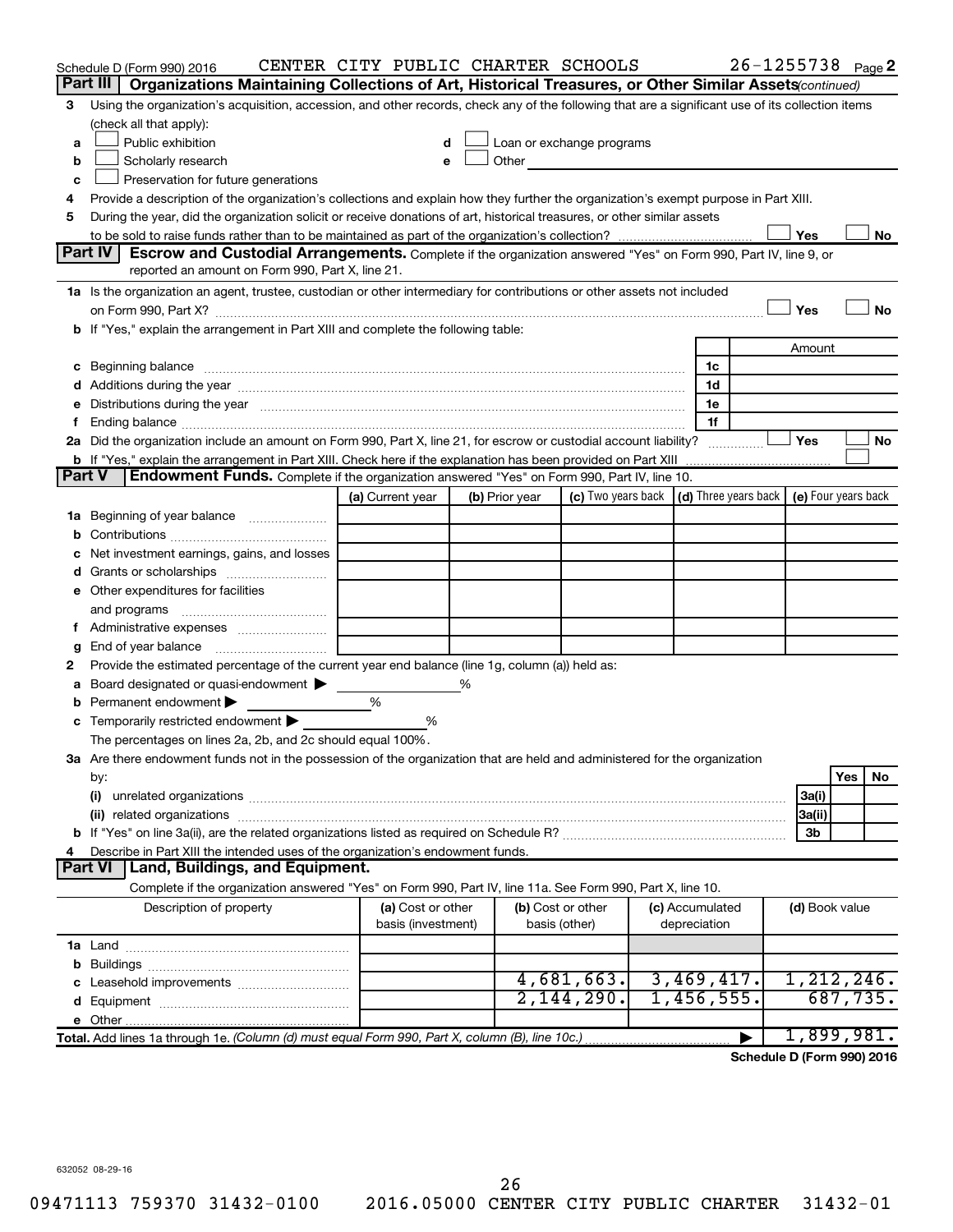|               | Schedule D (Form 990) 2016                                                                                                                                                                                                    | CENTER CITY PUBLIC CHARTER SCHOOLS |   |                |                                                                                                                                                                                                                               |                 | $26 - 1255738$ Page 2 |                |          |           |
|---------------|-------------------------------------------------------------------------------------------------------------------------------------------------------------------------------------------------------------------------------|------------------------------------|---|----------------|-------------------------------------------------------------------------------------------------------------------------------------------------------------------------------------------------------------------------------|-----------------|-----------------------|----------------|----------|-----------|
|               | Part III<br>Organizations Maintaining Collections of Art, Historical Treasures, or Other Similar Assets (continued)                                                                                                           |                                    |   |                |                                                                                                                                                                                                                               |                 |                       |                |          |           |
| З             | Using the organization's acquisition, accession, and other records, check any of the following that are a significant use of its collection items<br>(check all that apply):                                                  |                                    |   |                |                                                                                                                                                                                                                               |                 |                       |                |          |           |
| a             | Public exhibition                                                                                                                                                                                                             |                                    |   |                | Loan or exchange programs                                                                                                                                                                                                     |                 |                       |                |          |           |
| b             | Scholarly research                                                                                                                                                                                                            |                                    |   |                | Other and the contract of the contract of the contract of the contract of the contract of the contract of the contract of the contract of the contract of the contract of the contract of the contract of the contract of the |                 |                       |                |          |           |
| c             | Preservation for future generations                                                                                                                                                                                           |                                    |   |                |                                                                                                                                                                                                                               |                 |                       |                |          |           |
| 4             | Provide a description of the organization's collections and explain how they further the organization's exempt purpose in Part XIII.                                                                                          |                                    |   |                |                                                                                                                                                                                                                               |                 |                       |                |          |           |
| 5             | During the year, did the organization solicit or receive donations of art, historical treasures, or other similar assets                                                                                                      |                                    |   |                |                                                                                                                                                                                                                               |                 |                       |                |          |           |
|               |                                                                                                                                                                                                                               |                                    |   |                |                                                                                                                                                                                                                               |                 |                       | Yes            |          | No        |
|               | Part IV<br><b>Escrow and Custodial Arrangements.</b> Complete if the organization answered "Yes" on Form 990, Part IV, line 9, or                                                                                             |                                    |   |                |                                                                                                                                                                                                                               |                 |                       |                |          |           |
|               | reported an amount on Form 990, Part X, line 21.                                                                                                                                                                              |                                    |   |                |                                                                                                                                                                                                                               |                 |                       |                |          |           |
|               | 1a Is the organization an agent, trustee, custodian or other intermediary for contributions or other assets not included                                                                                                      |                                    |   |                |                                                                                                                                                                                                                               |                 |                       |                |          |           |
|               |                                                                                                                                                                                                                               |                                    |   |                |                                                                                                                                                                                                                               |                 |                       | Yes            |          | <b>No</b> |
|               | b If "Yes," explain the arrangement in Part XIII and complete the following table:                                                                                                                                            |                                    |   |                |                                                                                                                                                                                                                               |                 |                       |                |          |           |
|               |                                                                                                                                                                                                                               |                                    |   |                |                                                                                                                                                                                                                               |                 |                       | Amount         |          |           |
|               |                                                                                                                                                                                                                               |                                    |   |                |                                                                                                                                                                                                                               | 1c              |                       |                |          |           |
|               |                                                                                                                                                                                                                               |                                    |   |                |                                                                                                                                                                                                                               | 1d              |                       |                |          |           |
|               | e Distributions during the year manufactured and continuum control of the control of the control of the state of the control of the control of the control of the control of the control of the control of the control of the |                                    |   |                |                                                                                                                                                                                                                               | 1e              |                       |                |          |           |
| f.            |                                                                                                                                                                                                                               |                                    |   |                |                                                                                                                                                                                                                               | 1f              |                       | Yes            |          |           |
|               | 2a Did the organization include an amount on Form 990, Part X, line 21, for escrow or custodial account liability?                                                                                                            |                                    |   |                |                                                                                                                                                                                                                               |                 |                       |                |          | No        |
| <b>Part V</b> | <b>b</b> If "Yes," explain the arrangement in Part XIII. Check here if the explanation has been provided on Part XIII<br><b>Endowment Funds.</b> Complete if the organization answered "Yes" on Form 990, Part IV, line 10.   |                                    |   |                |                                                                                                                                                                                                                               |                 |                       |                |          |           |
|               |                                                                                                                                                                                                                               | (a) Current year                   |   | (b) Prior year | (c) Two years back $\vert$ (d) Three years back $\vert$ (e) Four years back                                                                                                                                                   |                 |                       |                |          |           |
|               | 1a Beginning of year balance                                                                                                                                                                                                  |                                    |   |                |                                                                                                                                                                                                                               |                 |                       |                |          |           |
| b             |                                                                                                                                                                                                                               |                                    |   |                |                                                                                                                                                                                                                               |                 |                       |                |          |           |
| c             | Net investment earnings, gains, and losses                                                                                                                                                                                    |                                    |   |                |                                                                                                                                                                                                                               |                 |                       |                |          |           |
|               |                                                                                                                                                                                                                               |                                    |   |                |                                                                                                                                                                                                                               |                 |                       |                |          |           |
|               | e Other expenditures for facilities                                                                                                                                                                                           |                                    |   |                |                                                                                                                                                                                                                               |                 |                       |                |          |           |
|               | and programs                                                                                                                                                                                                                  |                                    |   |                |                                                                                                                                                                                                                               |                 |                       |                |          |           |
|               |                                                                                                                                                                                                                               |                                    |   |                |                                                                                                                                                                                                                               |                 |                       |                |          |           |
| g             |                                                                                                                                                                                                                               |                                    |   |                |                                                                                                                                                                                                                               |                 |                       |                |          |           |
| 2             | Provide the estimated percentage of the current year end balance (line 1g, column (a)) held as:                                                                                                                               |                                    |   |                |                                                                                                                                                                                                                               |                 |                       |                |          |           |
| а             | Board designated or quasi-endowment >                                                                                                                                                                                         |                                    | % |                |                                                                                                                                                                                                                               |                 |                       |                |          |           |
| b             | Permanent endowment                                                                                                                                                                                                           | %                                  |   |                |                                                                                                                                                                                                                               |                 |                       |                |          |           |
|               | <b>c</b> Temporarily restricted endowment $\blacktriangleright$                                                                                                                                                               | %                                  |   |                |                                                                                                                                                                                                                               |                 |                       |                |          |           |
|               | The percentages on lines 2a, 2b, and 2c should equal 100%.                                                                                                                                                                    |                                    |   |                |                                                                                                                                                                                                                               |                 |                       |                |          |           |
|               | 3a Are there endowment funds not in the possession of the organization that are held and administered for the organization                                                                                                    |                                    |   |                |                                                                                                                                                                                                                               |                 |                       |                |          |           |
|               | by:                                                                                                                                                                                                                           |                                    |   |                |                                                                                                                                                                                                                               |                 |                       |                | Yes      | No        |
|               | (i)                                                                                                                                                                                                                           |                                    |   |                |                                                                                                                                                                                                                               |                 |                       | 3a(i)          |          |           |
|               |                                                                                                                                                                                                                               |                                    |   |                |                                                                                                                                                                                                                               |                 |                       | 3a(ii)         |          |           |
|               |                                                                                                                                                                                                                               |                                    |   |                |                                                                                                                                                                                                                               |                 |                       | 3b             |          |           |
| 4             | Describe in Part XIII the intended uses of the organization's endowment funds.<br>Land, Buildings, and Equipment.<br><b>Part VI</b>                                                                                           |                                    |   |                |                                                                                                                                                                                                                               |                 |                       |                |          |           |
|               | Complete if the organization answered "Yes" on Form 990, Part IV, line 11a. See Form 990, Part X, line 10.                                                                                                                    |                                    |   |                |                                                                                                                                                                                                                               |                 |                       |                |          |           |
|               | Description of property                                                                                                                                                                                                       | (a) Cost or other                  |   |                | (b) Cost or other                                                                                                                                                                                                             | (c) Accumulated |                       | (d) Book value |          |           |
|               |                                                                                                                                                                                                                               | basis (investment)                 |   |                | basis (other)                                                                                                                                                                                                                 | depreciation    |                       |                |          |           |
|               |                                                                                                                                                                                                                               |                                    |   |                |                                                                                                                                                                                                                               |                 |                       |                |          |           |
|               |                                                                                                                                                                                                                               |                                    |   |                |                                                                                                                                                                                                                               |                 |                       |                |          |           |
|               |                                                                                                                                                                                                                               |                                    |   |                | 4,681,663.                                                                                                                                                                                                                    | 3,469,417.      |                       | 1,212,246.     |          |           |
|               |                                                                                                                                                                                                                               |                                    |   |                | 2,144,290.                                                                                                                                                                                                                    | 1,456,555.      |                       |                | 687,735. |           |
|               |                                                                                                                                                                                                                               |                                    |   |                |                                                                                                                                                                                                                               |                 |                       |                |          |           |
|               | Total. Add lines 1a through 1e. (Column (d) must equal Form 990, Part X, column (B), line 10c.)                                                                                                                               |                                    |   |                |                                                                                                                                                                                                                               |                 |                       | 1,899,981.     |          |           |
|               |                                                                                                                                                                                                                               |                                    |   |                |                                                                                                                                                                                                                               |                 |                       |                |          |           |

**Schedule D (Form 990) 2016**

632052 08-29-16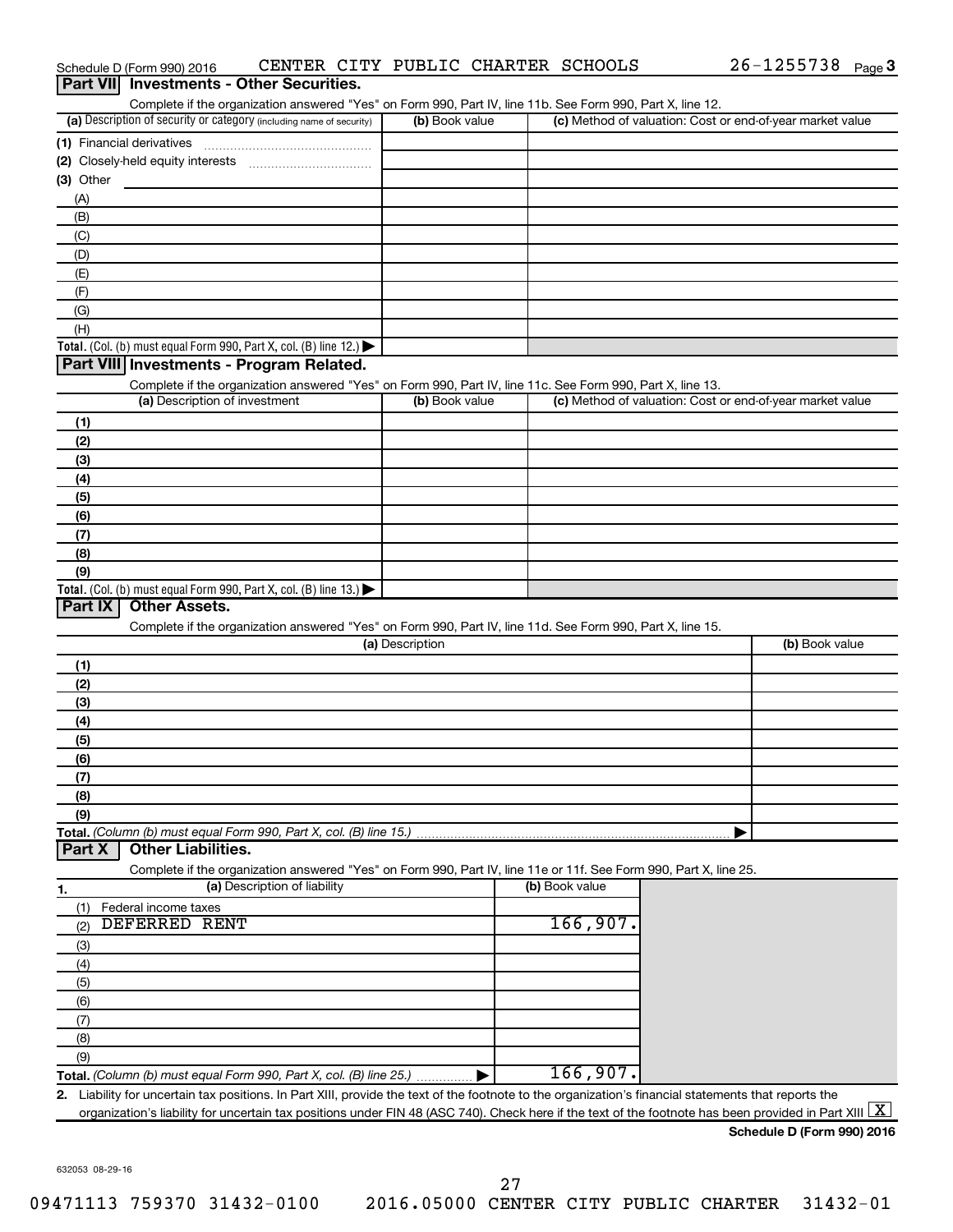|                | Schedule D (Form 990) 2016                                                                                                                                                         |                              |                 | CENTER CITY PUBLIC CHARTER SCHOOLS | $26 - 1255738$ Page 3                                     |  |
|----------------|------------------------------------------------------------------------------------------------------------------------------------------------------------------------------------|------------------------------|-----------------|------------------------------------|-----------------------------------------------------------|--|
|                | <b>Part VII</b> Investments - Other Securities.                                                                                                                                    |                              |                 |                                    |                                                           |  |
|                | Complete if the organization answered "Yes" on Form 990, Part IV, line 11b. See Form 990, Part X, line 12.<br>(a) Description of security or category (including name of security) |                              | (b) Book value  |                                    | (c) Method of valuation: Cost or end-of-year market value |  |
|                |                                                                                                                                                                                    |                              |                 |                                    |                                                           |  |
|                | (1) Financial derivatives                                                                                                                                                          |                              |                 |                                    |                                                           |  |
| (3) Other      |                                                                                                                                                                                    |                              |                 |                                    |                                                           |  |
| (A)            |                                                                                                                                                                                    |                              |                 |                                    |                                                           |  |
| (B)            |                                                                                                                                                                                    |                              |                 |                                    |                                                           |  |
| (C)            |                                                                                                                                                                                    |                              |                 |                                    |                                                           |  |
| (D)            |                                                                                                                                                                                    |                              |                 |                                    |                                                           |  |
| (E)            |                                                                                                                                                                                    |                              |                 |                                    |                                                           |  |
| (F)            |                                                                                                                                                                                    |                              |                 |                                    |                                                           |  |
| (G)            |                                                                                                                                                                                    |                              |                 |                                    |                                                           |  |
| (H)            |                                                                                                                                                                                    |                              |                 |                                    |                                                           |  |
|                | Total. (Col. (b) must equal Form 990, Part X, col. (B) line 12.) $\blacktriangleright$                                                                                             |                              |                 |                                    |                                                           |  |
|                | Part VIII Investments - Program Related.                                                                                                                                           |                              |                 |                                    |                                                           |  |
|                | Complete if the organization answered "Yes" on Form 990, Part IV, line 11c. See Form 990, Part X, line 13.                                                                         |                              |                 |                                    |                                                           |  |
|                | (a) Description of investment                                                                                                                                                      |                              | (b) Book value  |                                    | (c) Method of valuation: Cost or end-of-year market value |  |
| (1)            |                                                                                                                                                                                    |                              |                 |                                    |                                                           |  |
| (2)            |                                                                                                                                                                                    |                              |                 |                                    |                                                           |  |
| (3)            |                                                                                                                                                                                    |                              |                 |                                    |                                                           |  |
| (4)            |                                                                                                                                                                                    |                              |                 |                                    |                                                           |  |
| (5)            |                                                                                                                                                                                    |                              |                 |                                    |                                                           |  |
| (6)            |                                                                                                                                                                                    |                              |                 |                                    |                                                           |  |
| (7)            |                                                                                                                                                                                    |                              |                 |                                    |                                                           |  |
| (8)<br>(9)     |                                                                                                                                                                                    |                              |                 |                                    |                                                           |  |
|                | Total. (Col. (b) must equal Form 990, Part X, col. (B) line 13.)                                                                                                                   |                              |                 |                                    |                                                           |  |
| <b>Part IX</b> | <b>Other Assets.</b>                                                                                                                                                               |                              |                 |                                    |                                                           |  |
|                | Complete if the organization answered "Yes" on Form 990, Part IV, line 11d. See Form 990, Part X, line 15.                                                                         |                              |                 |                                    |                                                           |  |
|                |                                                                                                                                                                                    |                              | (a) Description |                                    | (b) Book value                                            |  |
| (1)            |                                                                                                                                                                                    |                              |                 |                                    |                                                           |  |
| (2)            |                                                                                                                                                                                    |                              |                 |                                    |                                                           |  |
| (3)            |                                                                                                                                                                                    |                              |                 |                                    |                                                           |  |
| (4)            |                                                                                                                                                                                    |                              |                 |                                    |                                                           |  |
| (5)            |                                                                                                                                                                                    |                              |                 |                                    |                                                           |  |
| (6)            |                                                                                                                                                                                    |                              |                 |                                    |                                                           |  |
| (7)            |                                                                                                                                                                                    |                              |                 |                                    |                                                           |  |
| (8)            |                                                                                                                                                                                    |                              |                 |                                    |                                                           |  |
| (9)            |                                                                                                                                                                                    |                              |                 |                                    |                                                           |  |
| <b>Part X</b>  | Total. (Column (b) must equal Form 990, Part X, col. (B) line 15.)<br><b>Other Liabilities.</b>                                                                                    |                              |                 |                                    |                                                           |  |
|                |                                                                                                                                                                                    |                              |                 |                                    |                                                           |  |
|                | Complete if the organization answered "Yes" on Form 990, Part IV, line 11e or 11f. See Form 990, Part X, line 25.                                                                  | (a) Description of liability |                 | (b) Book value                     |                                                           |  |
| 1.<br>(1)      | Federal income taxes                                                                                                                                                               |                              |                 |                                    |                                                           |  |
| (2)            | <b>DEFERRED RENT</b>                                                                                                                                                               |                              |                 | 166,907.                           |                                                           |  |
| (3)            |                                                                                                                                                                                    |                              |                 |                                    |                                                           |  |
| (4)            |                                                                                                                                                                                    |                              |                 |                                    |                                                           |  |
| (5)            |                                                                                                                                                                                    |                              |                 |                                    |                                                           |  |
| (6)            |                                                                                                                                                                                    |                              |                 |                                    |                                                           |  |
| (7)            |                                                                                                                                                                                    |                              |                 |                                    |                                                           |  |
| (8)            |                                                                                                                                                                                    |                              |                 |                                    |                                                           |  |
| (9)            |                                                                                                                                                                                    |                              |                 |                                    |                                                           |  |
|                | Total. (Column (b) must equal Form 990, Part X, col. (B) line 25.)                                                                                                                 |                              |                 | 166,907.                           |                                                           |  |
|                | 2. Liability for uncertain tax positions. In Part XIII, provide the text of the footnote to the organization's financial statements that reports the                               |                              |                 |                                    |                                                           |  |
|                | organization's liability for uncertain tax positions under FIN 48 (ASC 740). Check here if the text of the footnote has been provided in Part XIII                                 |                              |                 |                                    |                                                           |  |
|                |                                                                                                                                                                                    |                              |                 |                                    |                                                           |  |

**Schedule D (Form 990) 2016**

632053 08-29-16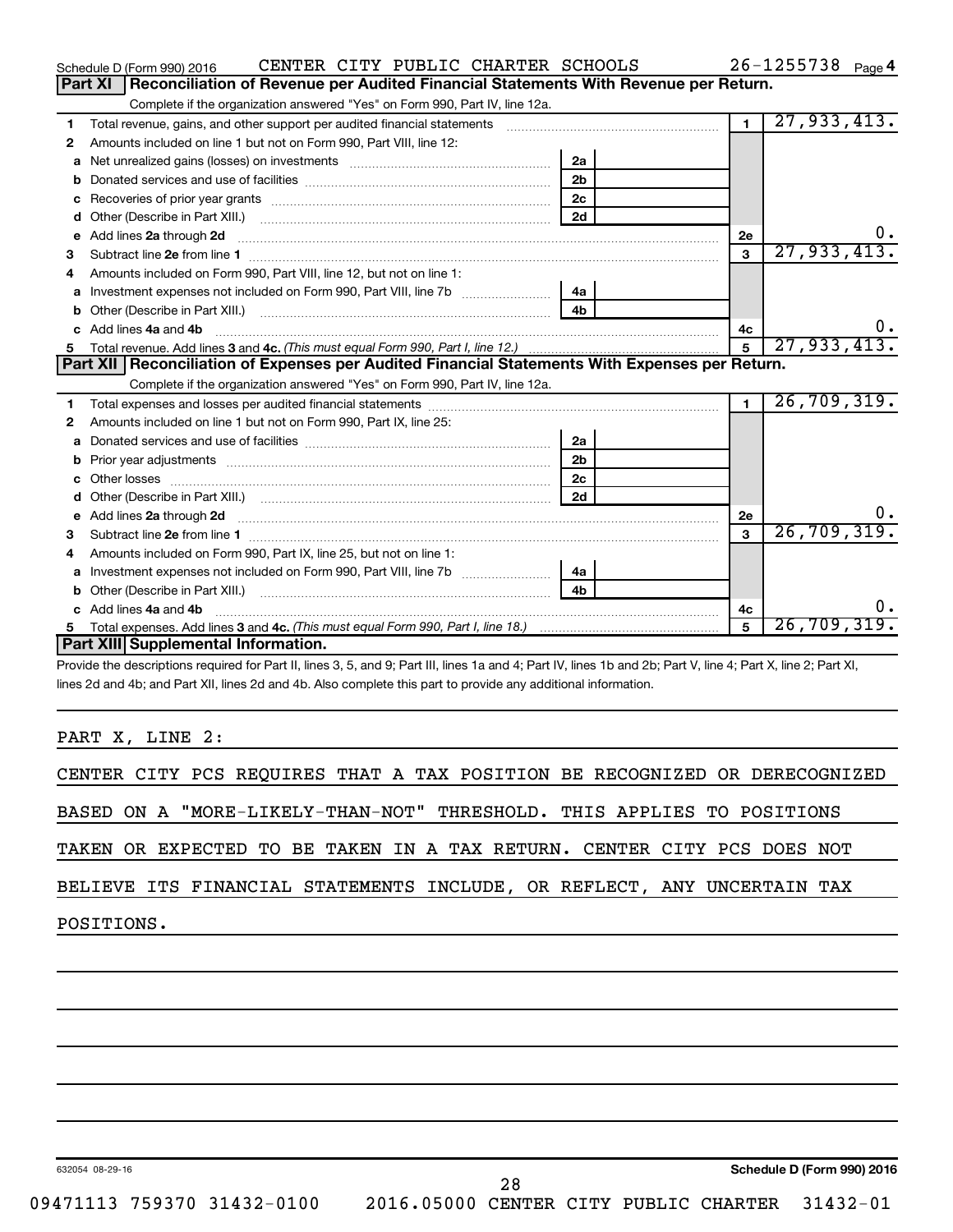|   | CENTER CITY PUBLIC CHARTER SCHOOLS<br>Schedule D (Form 990) 2016                                                        |                |                | $26 - 1255738$ Page 4 |
|---|-------------------------------------------------------------------------------------------------------------------------|----------------|----------------|-----------------------|
|   | Part XI<br>Reconciliation of Revenue per Audited Financial Statements With Revenue per Return.                          |                |                |                       |
|   | Complete if the organization answered "Yes" on Form 990, Part IV, line 12a.                                             |                |                |                       |
| 1 | Total revenue, gains, and other support per audited financial statements                                                |                | $\overline{1}$ | 27,933,413.           |
| 2 | Amounts included on line 1 but not on Form 990, Part VIII, line 12:                                                     |                |                |                       |
| a |                                                                                                                         | 2a             |                |                       |
|   |                                                                                                                         | 2 <sub>b</sub> |                |                       |
|   |                                                                                                                         | 2c             |                |                       |
| d |                                                                                                                         | 2d             |                |                       |
| e | Add lines 2a through 2d                                                                                                 |                | <b>2e</b>      |                       |
| 3 |                                                                                                                         |                | 3              | 27,933,413.           |
| 4 | Amounts included on Form 990, Part VIII, line 12, but not on line 1:                                                    |                |                |                       |
| a |                                                                                                                         |                |                |                       |
|   |                                                                                                                         | 4 <sub>b</sub> |                |                       |
| c | Add lines 4a and 4b                                                                                                     |                | 4c             |                       |
|   |                                                                                                                         |                | 5              | 27,933,413.           |
|   |                                                                                                                         |                |                |                       |
|   | Part XII   Reconciliation of Expenses per Audited Financial Statements With Expenses per Return.                        |                |                |                       |
|   | Complete if the organization answered "Yes" on Form 990, Part IV, line 12a.                                             |                |                |                       |
| 1 |                                                                                                                         |                | $\blacksquare$ | 26, 709, 319.         |
| 2 | Amounts included on line 1 but not on Form 990, Part IX, line 25:                                                       |                |                |                       |
| a |                                                                                                                         | 2a             |                |                       |
| b |                                                                                                                         | 2 <sub>b</sub> |                |                       |
|   | Other losses                                                                                                            | 2 <sub>c</sub> |                |                       |
| d |                                                                                                                         | 2d             |                |                       |
| е | Add lines 2a through 2d <b>continuum contract and all contract and all contract and all contract and all contract a</b> |                | 2e             |                       |
| з |                                                                                                                         |                | $\mathbf{a}$   | 26, 709, 319.         |
| 4 | Amounts included on Form 990, Part IX, line 25, but not on line 1:                                                      |                |                |                       |
| a |                                                                                                                         | 4a             |                |                       |
| b |                                                                                                                         | 4 <sub>h</sub> |                |                       |
| c | Add lines 4a and 4b                                                                                                     |                | 4c             | υ.                    |
| 5 | Part XIII Supplemental Information.                                                                                     |                | 5              | 26,709,319.           |

Provide the descriptions required for Part II, lines 3, 5, and 9; Part III, lines 1a and 4; Part IV, lines 1b and 2b; Part V, line 4; Part X, line 2; Part XI, lines 2d and 4b; and Part XII, lines 2d and 4b. Also complete this part to provide any additional information.

PART X, LINE 2:

|  |  |  |  |                                                                        | CENTER CITY PCS REQUIRES THAT A TAX POSITION BE RECOGNIZED OR DERECOGNIZED |
|--|--|--|--|------------------------------------------------------------------------|----------------------------------------------------------------------------|
|  |  |  |  |                                                                        |                                                                            |
|  |  |  |  | BASED ON A "MORE-LIKELY-THAN-NOT" THRESHOLD. THIS APPLIES TO POSITIONS |                                                                            |
|  |  |  |  |                                                                        |                                                                            |

TAKEN OR EXPECTED TO BE TAKEN IN A TAX RETURN. CENTER CITY PCS DOES NOT

BELIEVE ITS FINANCIAL STATEMENTS INCLUDE, OR REFLECT, ANY UNCERTAIN TAX

POSITIONS.

632054 08-29-16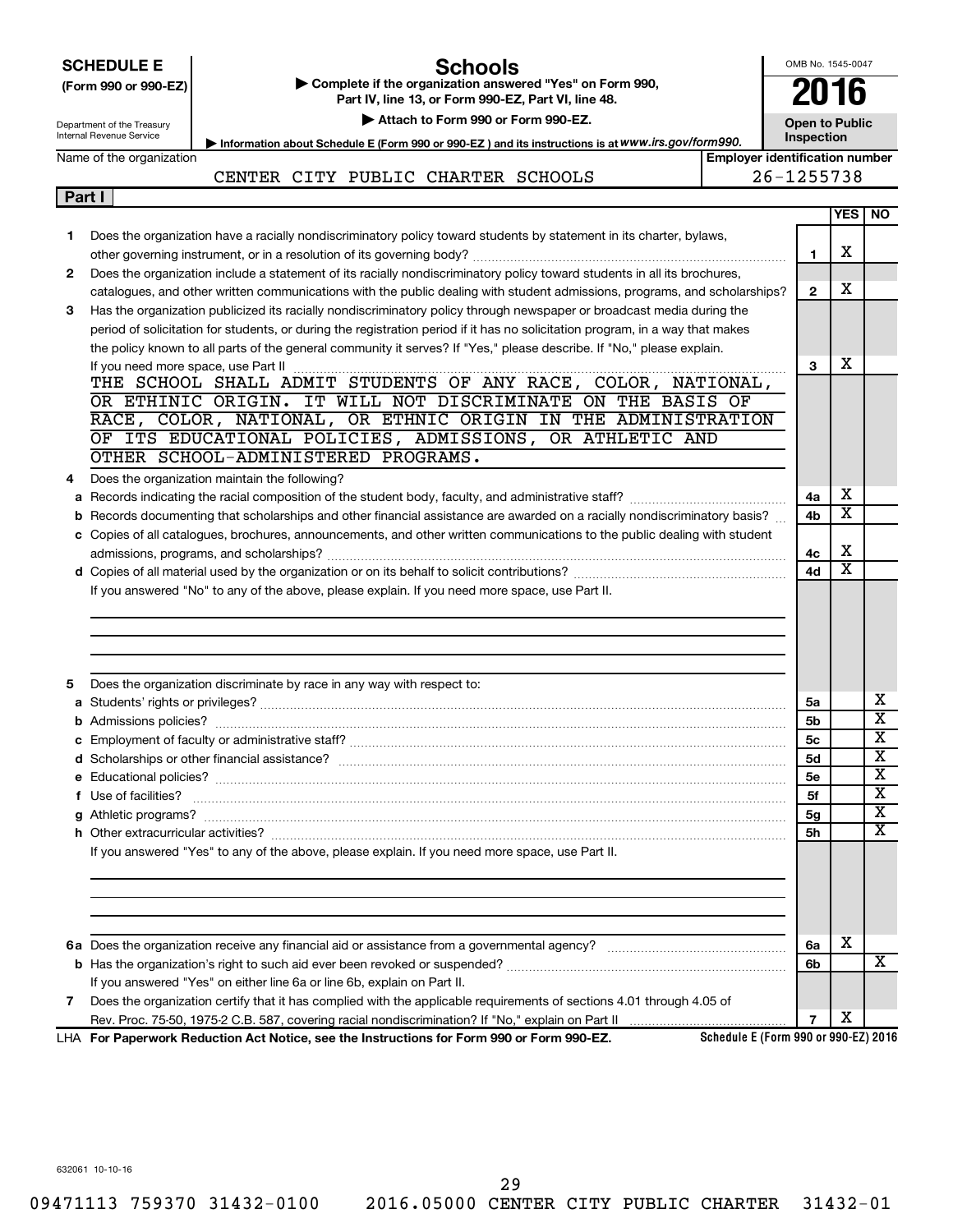|   | <b>SCHEDULE E</b><br><b>Schools</b><br>Complete if the organization answered "Yes" on Form 990,<br>(Form 990 or 990-EZ)<br>Part IV, line 13, or Form 990-EZ, Part VI, line 48.<br>Attach to Form 990 or Form 990-EZ.<br>Department of the Treasury<br>Internal Revenue Service<br>Information about Schedule E (Form 990 or 990-EZ) and its instructions is at WWW.irs.gov/form990. |                                       |                |                         |                         |
|---|-------------------------------------------------------------------------------------------------------------------------------------------------------------------------------------------------------------------------------------------------------------------------------------------------------------------------------------------------------------------------------------|---------------------------------------|----------------|-------------------------|-------------------------|
|   | Name of the organization                                                                                                                                                                                                                                                                                                                                                            | <b>Employer identification number</b> | Inspection     |                         |                         |
|   | CENTER CITY PUBLIC CHARTER SCHOOLS                                                                                                                                                                                                                                                                                                                                                  |                                       | 26-1255738     |                         |                         |
|   | Part I                                                                                                                                                                                                                                                                                                                                                                              |                                       |                |                         |                         |
|   |                                                                                                                                                                                                                                                                                                                                                                                     |                                       |                | <b>YES</b>              | <b>NO</b>               |
| 1 | Does the organization have a racially nondiscriminatory policy toward students by statement in its charter, bylaws,                                                                                                                                                                                                                                                                 |                                       |                |                         |                         |
|   |                                                                                                                                                                                                                                                                                                                                                                                     |                                       | 1              | х                       |                         |
| 2 | Does the organization include a statement of its racially nondiscriminatory policy toward students in all its brochures,                                                                                                                                                                                                                                                            |                                       |                |                         |                         |
|   | catalogues, and other written communications with the public dealing with student admissions, programs, and scholarships?                                                                                                                                                                                                                                                           |                                       | $\overline{2}$ | х                       |                         |
| 3 | Has the organization publicized its racially nondiscriminatory policy through newspaper or broadcast media during the                                                                                                                                                                                                                                                               |                                       |                |                         |                         |
|   | period of solicitation for students, or during the registration period if it has no solicitation program, in a way that makes                                                                                                                                                                                                                                                       |                                       |                |                         |                         |
|   | the policy known to all parts of the general community it serves? If "Yes," please describe. If "No," please explain.                                                                                                                                                                                                                                                               |                                       |                |                         |                         |
|   |                                                                                                                                                                                                                                                                                                                                                                                     |                                       | 3              | х                       |                         |
|   |                                                                                                                                                                                                                                                                                                                                                                                     |                                       |                |                         |                         |
|   | OR ETHINIC ORIGIN. IT WILL NOT DISCRIMINATE ON THE BASIS OF                                                                                                                                                                                                                                                                                                                         |                                       |                |                         |                         |
|   | RACE, COLOR, NATIONAL, OR ETHNIC ORIGIN IN THE ADMINISTRATION                                                                                                                                                                                                                                                                                                                       |                                       |                |                         |                         |
|   | OF ITS EDUCATIONAL POLICIES, ADMISSIONS, OR ATHLETIC AND                                                                                                                                                                                                                                                                                                                            |                                       |                |                         |                         |
|   | OTHER SCHOOL-ADMINISTERED PROGRAMS.                                                                                                                                                                                                                                                                                                                                                 |                                       |                |                         |                         |
| 4 | Does the organization maintain the following?                                                                                                                                                                                                                                                                                                                                       |                                       |                |                         |                         |
|   |                                                                                                                                                                                                                                                                                                                                                                                     |                                       | 4a             | х                       |                         |
|   | b Records documenting that scholarships and other financial assistance are awarded on a racially nondiscriminatory basis?                                                                                                                                                                                                                                                           |                                       | 4b             | $\overline{\text{x}}$   |                         |
|   | c Copies of all catalogues, brochures, announcements, and other written communications to the public dealing with student                                                                                                                                                                                                                                                           |                                       |                |                         |                         |
|   |                                                                                                                                                                                                                                                                                                                                                                                     |                                       | 4с             | х                       |                         |
|   |                                                                                                                                                                                                                                                                                                                                                                                     |                                       | 4d             | $\overline{\mathtt{x}}$ |                         |
|   | If you answered "No" to any of the above, please explain. If you need more space, use Part II.                                                                                                                                                                                                                                                                                      |                                       |                |                         |                         |
|   |                                                                                                                                                                                                                                                                                                                                                                                     |                                       |                |                         |                         |
|   |                                                                                                                                                                                                                                                                                                                                                                                     |                                       |                |                         |                         |
|   |                                                                                                                                                                                                                                                                                                                                                                                     |                                       |                |                         |                         |
|   |                                                                                                                                                                                                                                                                                                                                                                                     |                                       |                |                         |                         |
| 5 | Does the organization discriminate by race in any way with respect to:                                                                                                                                                                                                                                                                                                              |                                       |                |                         |                         |
|   |                                                                                                                                                                                                                                                                                                                                                                                     |                                       | 5a             |                         | х                       |
|   |                                                                                                                                                                                                                                                                                                                                                                                     |                                       | 5b             |                         | $\overline{\mathtt{x}}$ |
|   |                                                                                                                                                                                                                                                                                                                                                                                     |                                       | 5с             |                         | x                       |
|   |                                                                                                                                                                                                                                                                                                                                                                                     |                                       | <b>5d</b>      |                         | $\overline{\textbf{x}}$ |
|   |                                                                                                                                                                                                                                                                                                                                                                                     |                                       | 5е             |                         | X                       |
|   | f Use of facilities? <b>www.communities.</b> We can be a series of the contract of the contract of the contract of the contract of the contract of the contract of the contract of the contract of the contract of the contract of                                                                                                                                                  |                                       | 5f             |                         | $\overline{\textbf{X}}$ |
|   |                                                                                                                                                                                                                                                                                                                                                                                     |                                       | 5g             |                         | X                       |
|   |                                                                                                                                                                                                                                                                                                                                                                                     |                                       | 5h             |                         | $\overline{\text{X}}$   |
|   | If you answered "Yes" to any of the above, please explain. If you need more space, use Part II.                                                                                                                                                                                                                                                                                     |                                       |                |                         |                         |
|   |                                                                                                                                                                                                                                                                                                                                                                                     |                                       |                |                         |                         |
|   |                                                                                                                                                                                                                                                                                                                                                                                     |                                       |                |                         |                         |
|   |                                                                                                                                                                                                                                                                                                                                                                                     |                                       |                |                         |                         |
|   |                                                                                                                                                                                                                                                                                                                                                                                     |                                       |                |                         |                         |
|   |                                                                                                                                                                                                                                                                                                                                                                                     |                                       | 6a             | х                       |                         |
|   |                                                                                                                                                                                                                                                                                                                                                                                     |                                       | 6b             |                         | X                       |
|   | If you answered "Yes" on either line 6a or line 6b, explain on Part II.                                                                                                                                                                                                                                                                                                             |                                       |                |                         |                         |
| 7 | Does the organization certify that it has complied with the applicable requirements of sections 4.01 through 4.05 of                                                                                                                                                                                                                                                                |                                       |                |                         |                         |
|   |                                                                                                                                                                                                                                                                                                                                                                                     | Schedule E (Form 990 or 990-EZ) 2016  | $\overline{7}$ | х                       |                         |

632061 10-10-16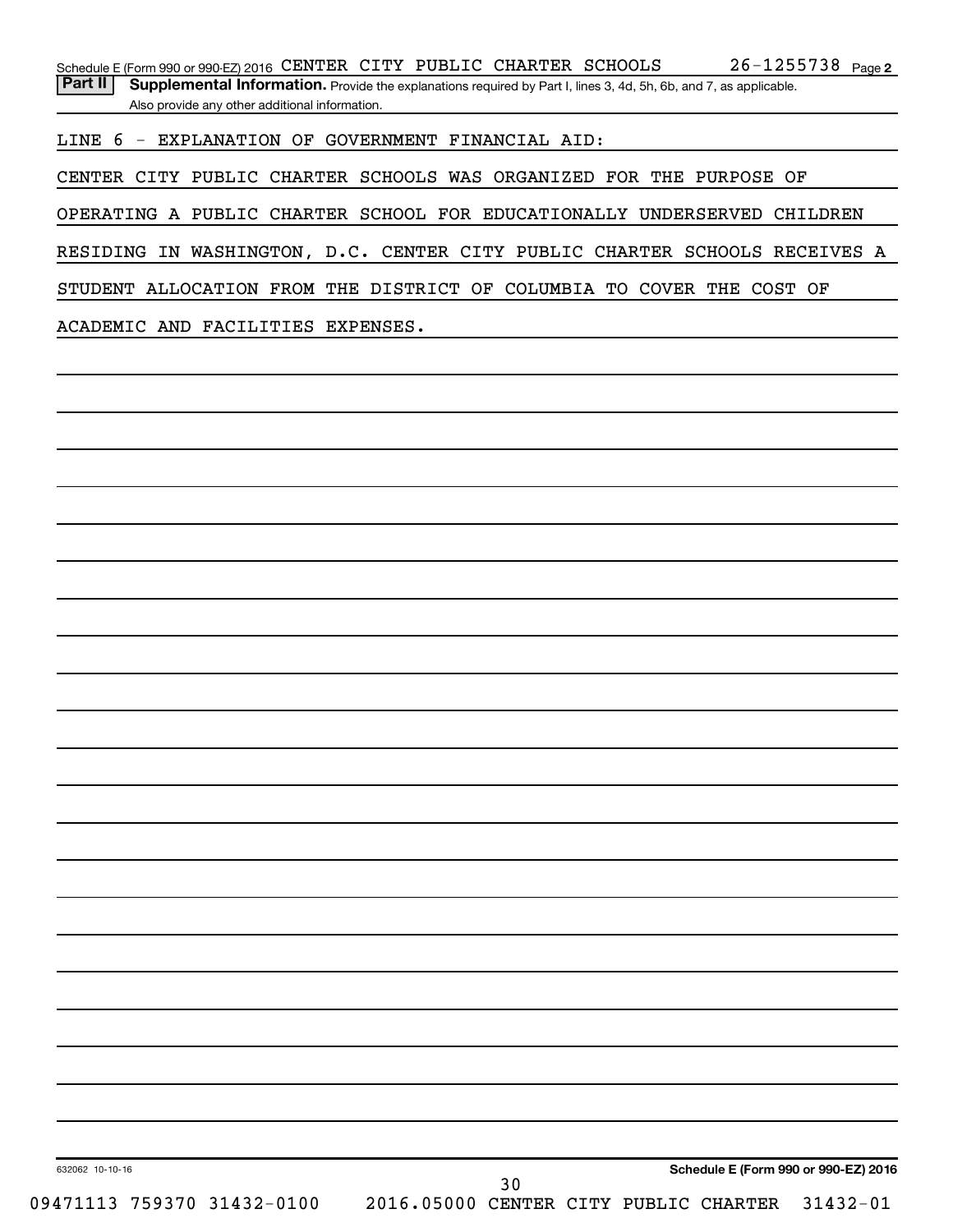Part II | Supplemental Information. Provide the explanations required by Part I, lines 3, 4d, 5h, 6b, and 7, as applicable. Also provide any other additional information.

LINE 6 - EXPLANATION OF GOVERNMENT FINANCIAL AID:

CENTER CITY PUBLIC CHARTER SCHOOLS WAS ORGANIZED FOR THE PURPOSE OF

OPERATING A PUBLIC CHARTER SCHOOL FOR EDUCATIONALLY UNDERSERVED CHILDREN

RESIDING IN WASHINGTON, D.C. CENTER CITY PUBLIC CHARTER SCHOOLS RECEIVES A

STUDENT ALLOCATION FROM THE DISTRICT OF COLUMBIA TO COVER THE COST OF

ACADEMIC AND FACILITIES EXPENSES.

**Schedule E (Form 990 or 990-EZ) 2016**

632062 10-10-16

30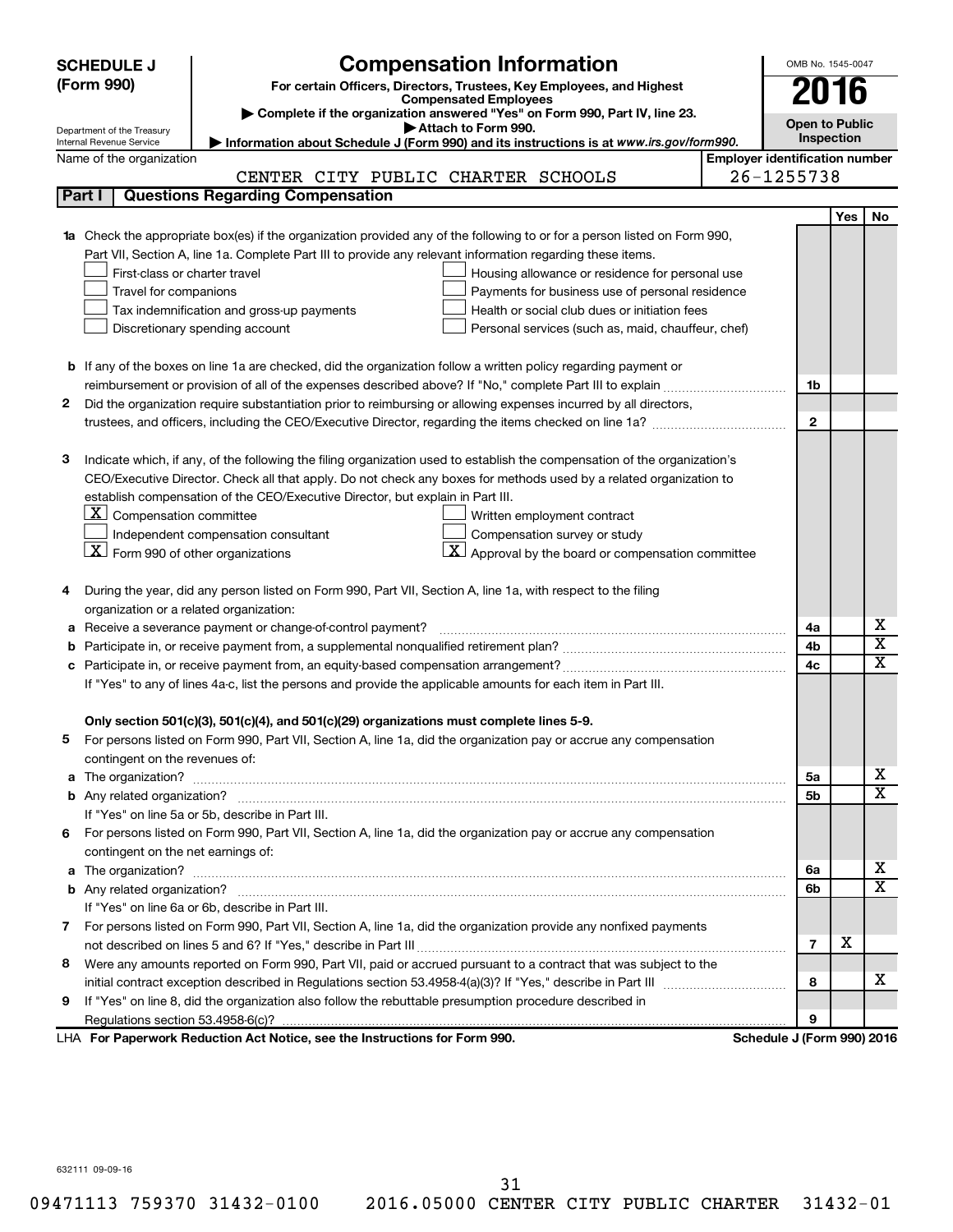|    | <b>SCHEDULE J</b>                                      | <b>Compensation Information</b>                                                                                           | OMB No. 1545-0047                     |     |                              |
|----|--------------------------------------------------------|---------------------------------------------------------------------------------------------------------------------------|---------------------------------------|-----|------------------------------|
|    | (Form 990)                                             | For certain Officers, Directors, Trustees, Key Employees, and Highest                                                     | 2016                                  |     |                              |
|    |                                                        | <b>Compensated Employees</b><br>Complete if the organization answered "Yes" on Form 990, Part IV, line 23.                |                                       |     |                              |
|    | Department of the Treasury                             | Attach to Form 990.                                                                                                       | <b>Open to Public</b>                 |     |                              |
|    | Internal Revenue Service                               | Information about Schedule J (Form 990) and its instructions is at www.irs.gov/form990.                                   | Inspection                            |     |                              |
|    | Name of the organization                               |                                                                                                                           | <b>Employer identification number</b> |     |                              |
|    |                                                        | CENTER CITY PUBLIC CHARTER SCHOOLS                                                                                        | 26-1255738                            |     |                              |
|    | Part I                                                 | <b>Questions Regarding Compensation</b>                                                                                   |                                       |     |                              |
|    |                                                        |                                                                                                                           |                                       | Yes | No                           |
| 1a |                                                        | Check the appropriate box(es) if the organization provided any of the following to or for a person listed on Form 990,    |                                       |     |                              |
|    |                                                        | Part VII, Section A, line 1a. Complete Part III to provide any relevant information regarding these items.                |                                       |     |                              |
|    | First-class or charter travel                          | Housing allowance or residence for personal use                                                                           |                                       |     |                              |
|    | Travel for companions                                  | Payments for business use of personal residence                                                                           |                                       |     |                              |
|    |                                                        | Health or social club dues or initiation fees<br>Tax indemnification and gross-up payments                                |                                       |     |                              |
|    |                                                        | Discretionary spending account<br>Personal services (such as, maid, chauffeur, chef)                                      |                                       |     |                              |
|    |                                                        |                                                                                                                           |                                       |     |                              |
|    |                                                        | <b>b</b> If any of the boxes on line 1a are checked, did the organization follow a written policy regarding payment or    |                                       |     |                              |
|    |                                                        |                                                                                                                           | 1b                                    |     |                              |
| 2  |                                                        | Did the organization require substantiation prior to reimbursing or allowing expenses incurred by all directors,          | $\mathbf{2}$                          |     |                              |
|    |                                                        |                                                                                                                           |                                       |     |                              |
| З  |                                                        | Indicate which, if any, of the following the filing organization used to establish the compensation of the organization's |                                       |     |                              |
|    |                                                        | CEO/Executive Director. Check all that apply. Do not check any boxes for methods used by a related organization to        |                                       |     |                              |
|    |                                                        | establish compensation of the CEO/Executive Director, but explain in Part III.                                            |                                       |     |                              |
|    | $\lfloor \underline{x} \rfloor$ Compensation committee | Written employment contract                                                                                               |                                       |     |                              |
|    |                                                        | Independent compensation consultant<br>Compensation survey or study                                                       |                                       |     |                              |
|    | $\lfloor x \rfloor$ Form 990 of other organizations    | $\vert X \vert$ Approval by the board or compensation committee                                                           |                                       |     |                              |
|    |                                                        |                                                                                                                           |                                       |     |                              |
| 4  |                                                        | During the year, did any person listed on Form 990, Part VII, Section A, line 1a, with respect to the filing              |                                       |     |                              |
|    | organization or a related organization:                |                                                                                                                           |                                       |     |                              |
| а  |                                                        | Receive a severance payment or change-of-control payment?                                                                 | 4a                                    |     | х                            |
| b  |                                                        |                                                                                                                           | 4b                                    |     | $\overline{\text{x}}$        |
| c  |                                                        |                                                                                                                           | 4c                                    |     | $\overline{\textbf{x}}$      |
|    |                                                        | If "Yes" to any of lines 4a-c, list the persons and provide the applicable amounts for each item in Part III.             |                                       |     |                              |
|    |                                                        |                                                                                                                           |                                       |     |                              |
|    |                                                        | Only section 501(c)(3), 501(c)(4), and 501(c)(29) organizations must complete lines 5-9.                                  |                                       |     |                              |
|    |                                                        | For persons listed on Form 990, Part VII, Section A, line 1a, did the organization pay or accrue any compensation         |                                       |     |                              |
|    | contingent on the revenues of:                         |                                                                                                                           |                                       |     |                              |
|    |                                                        |                                                                                                                           | 5a                                    |     | х<br>$\overline{\mathbf{X}}$ |
|    |                                                        |                                                                                                                           | 5b                                    |     |                              |
|    |                                                        | If "Yes" on line 5a or 5b, describe in Part III.                                                                          |                                       |     |                              |
|    |                                                        | 6 For persons listed on Form 990, Part VII, Section A, line 1a, did the organization pay or accrue any compensation       |                                       |     |                              |
|    | contingent on the net earnings of:                     |                                                                                                                           |                                       |     | х                            |
|    |                                                        |                                                                                                                           | 6a                                    |     | $\overline{\mathbf{X}}$      |
|    |                                                        | If "Yes" on line 6a or 6b, describe in Part III.                                                                          | 6b                                    |     |                              |
|    |                                                        | 7 For persons listed on Form 990, Part VII, Section A, line 1a, did the organization provide any nonfixed payments        |                                       |     |                              |
|    |                                                        |                                                                                                                           | $\overline{7}$                        | х   |                              |
| 8  |                                                        | Were any amounts reported on Form 990, Part VII, paid or accrued pursuant to a contract that was subject to the           |                                       |     |                              |
|    |                                                        |                                                                                                                           | 8                                     |     | х                            |
| 9  |                                                        | If "Yes" on line 8, did the organization also follow the rebuttable presumption procedure described in                    |                                       |     |                              |
|    |                                                        |                                                                                                                           | 9                                     |     |                              |
|    |                                                        | LHA For Paperwork Reduction Act Notice, see the Instructions for Form 990.                                                | Schedule J (Form 990) 2016            |     |                              |
|    |                                                        |                                                                                                                           |                                       |     |                              |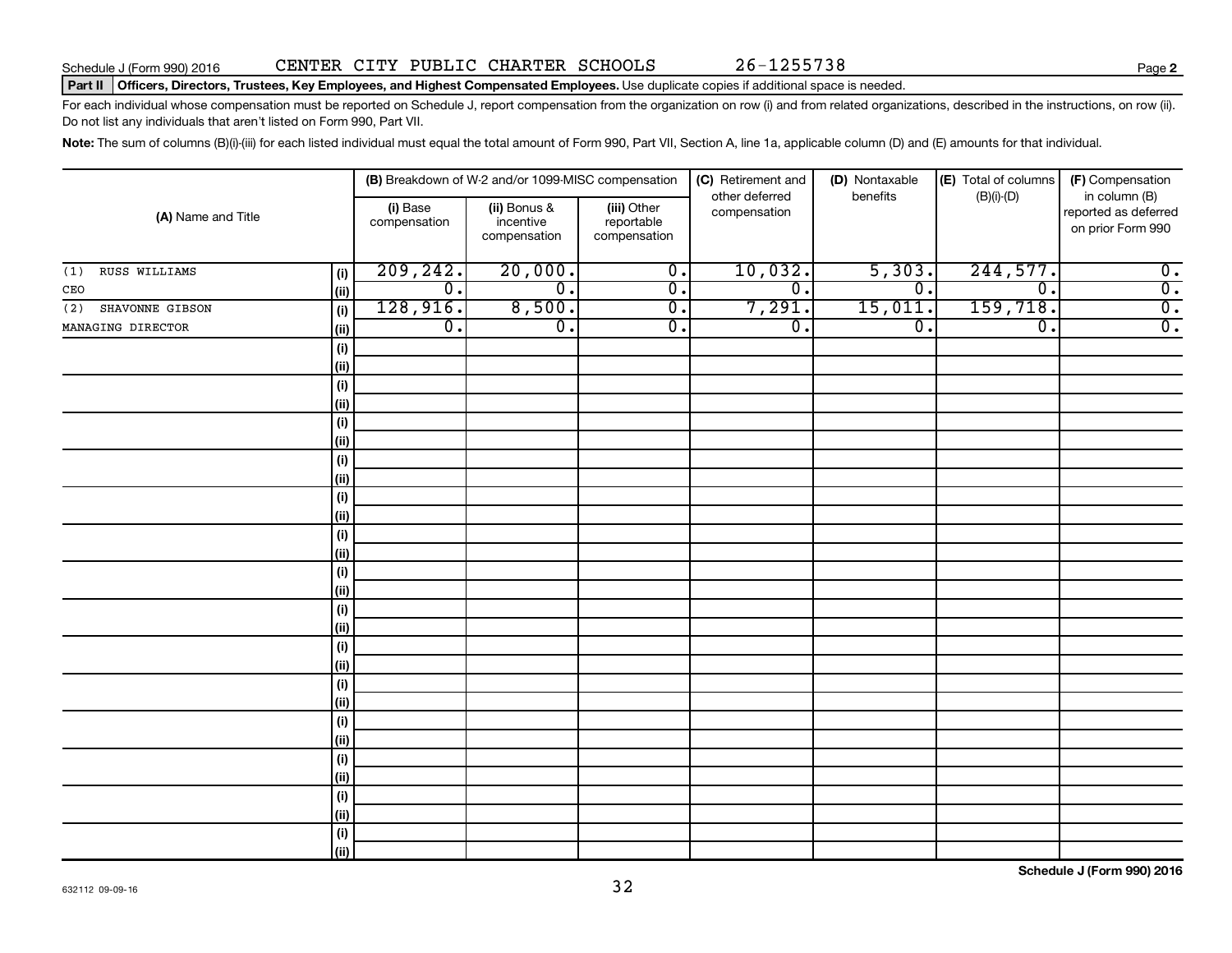#### Part II | Officers, Directors, Trustees, Key Employees, and Highest Compensated Employees. Use duplicate copies if additional space is needed.

For each individual whose compensation must be reported on Schedule J, report compensation from the organization on row (i) and from related organizations, described in the instructions, on row (ii). Do not list any individuals that aren't listed on Form 990, Part VII.

Note: The sum of columns (B)(i)-(iii) for each listed individual must equal the total amount of Form 990, Part VII, Section A, line 1a, applicable column (D) and (E) amounts for that individual.

| (A) Name and Title     |                              |                          | (B) Breakdown of W-2 and/or 1099-MISC compensation |                                           | (C) Retirement and             | (D) Nontaxable              | (E) Total of columns | (F) Compensation                                           |
|------------------------|------------------------------|--------------------------|----------------------------------------------------|-------------------------------------------|--------------------------------|-----------------------------|----------------------|------------------------------------------------------------|
|                        |                              | (i) Base<br>compensation | (ii) Bonus &<br>incentive<br>compensation          | (iii) Other<br>reportable<br>compensation | other deferred<br>compensation | benefits                    | $(B)(i)-(D)$         | in column (B)<br>reported as deferred<br>on prior Form 990 |
| RUSS WILLIAMS<br>(1)   | (i)                          | 209, 242.                | 20,000.                                            | $\overline{0}$ .                          | 10,032.                        | 5,303.                      | 244,577.             | $\overline{0}$ .                                           |
| CEO                    | (ii)                         | $\overline{0}$ .         | $\overline{0}$ .                                   | $\overline{0}$ .                          | $\overline{0}$ .               | $\overline{\mathfrak{o}}$ . | $\overline{0}$ .     | $\overline{0}$ .                                           |
| SHAVONNE GIBSON<br>(2) | (i)                          | 128,916.                 | 8,500.                                             | $\overline{0}$ .                          | 7,291.                         | 15,011.                     | 159, 718.            | $\overline{0}$ .                                           |
| MANAGING DIRECTOR      | (ii)                         | $\overline{0}$ .         | $\overline{0}$ .                                   | $\overline{0}$ .                          | $\overline{0}$ .               | $\overline{\mathfrak{o}}$ . | $\overline{0}$ .     | $\overline{0}$ .                                           |
|                        | $\qquad \qquad \textbf{(i)}$ |                          |                                                    |                                           |                                |                             |                      |                                                            |
|                        | (ii)                         |                          |                                                    |                                           |                                |                             |                      |                                                            |
|                        | $(\sf{i})$                   |                          |                                                    |                                           |                                |                             |                      |                                                            |
|                        | (ii)                         |                          |                                                    |                                           |                                |                             |                      |                                                            |
|                        | (i)                          |                          |                                                    |                                           |                                |                             |                      |                                                            |
|                        | (ii)                         |                          |                                                    |                                           |                                |                             |                      |                                                            |
|                        | (i)                          |                          |                                                    |                                           |                                |                             |                      |                                                            |
|                        | (ii)                         |                          |                                                    |                                           |                                |                             |                      |                                                            |
|                        | $(\sf{i})$                   |                          |                                                    |                                           |                                |                             |                      |                                                            |
|                        | (ii)                         |                          |                                                    |                                           |                                |                             |                      |                                                            |
|                        | $(\sf{i})$                   |                          |                                                    |                                           |                                |                             |                      |                                                            |
|                        | (ii)                         |                          |                                                    |                                           |                                |                             |                      |                                                            |
|                        | $(\sf{i})$                   |                          |                                                    |                                           |                                |                             |                      |                                                            |
|                        | (ii)                         |                          |                                                    |                                           |                                |                             |                      |                                                            |
|                        | $(\sf{i})$<br>(i)            |                          |                                                    |                                           |                                |                             |                      |                                                            |
|                        | $(\sf{i})$                   |                          |                                                    |                                           |                                |                             |                      |                                                            |
|                        | (ii)                         |                          |                                                    |                                           |                                |                             |                      |                                                            |
|                        | $(\sf{i})$                   |                          |                                                    |                                           |                                |                             |                      |                                                            |
|                        | (ii)                         |                          |                                                    |                                           |                                |                             |                      |                                                            |
|                        | $(\sf{i})$                   |                          |                                                    |                                           |                                |                             |                      |                                                            |
|                        | (ii)                         |                          |                                                    |                                           |                                |                             |                      |                                                            |
|                        | $(\sf{i})$                   |                          |                                                    |                                           |                                |                             |                      |                                                            |
|                        | (ii)                         |                          |                                                    |                                           |                                |                             |                      |                                                            |
|                        | $(\sf{i})$                   |                          |                                                    |                                           |                                |                             |                      |                                                            |
|                        | (ii)                         |                          |                                                    |                                           |                                |                             |                      |                                                            |
|                        | $(\sf{i})$                   |                          |                                                    |                                           |                                |                             |                      |                                                            |
|                        | (ii)                         |                          |                                                    |                                           |                                |                             |                      |                                                            |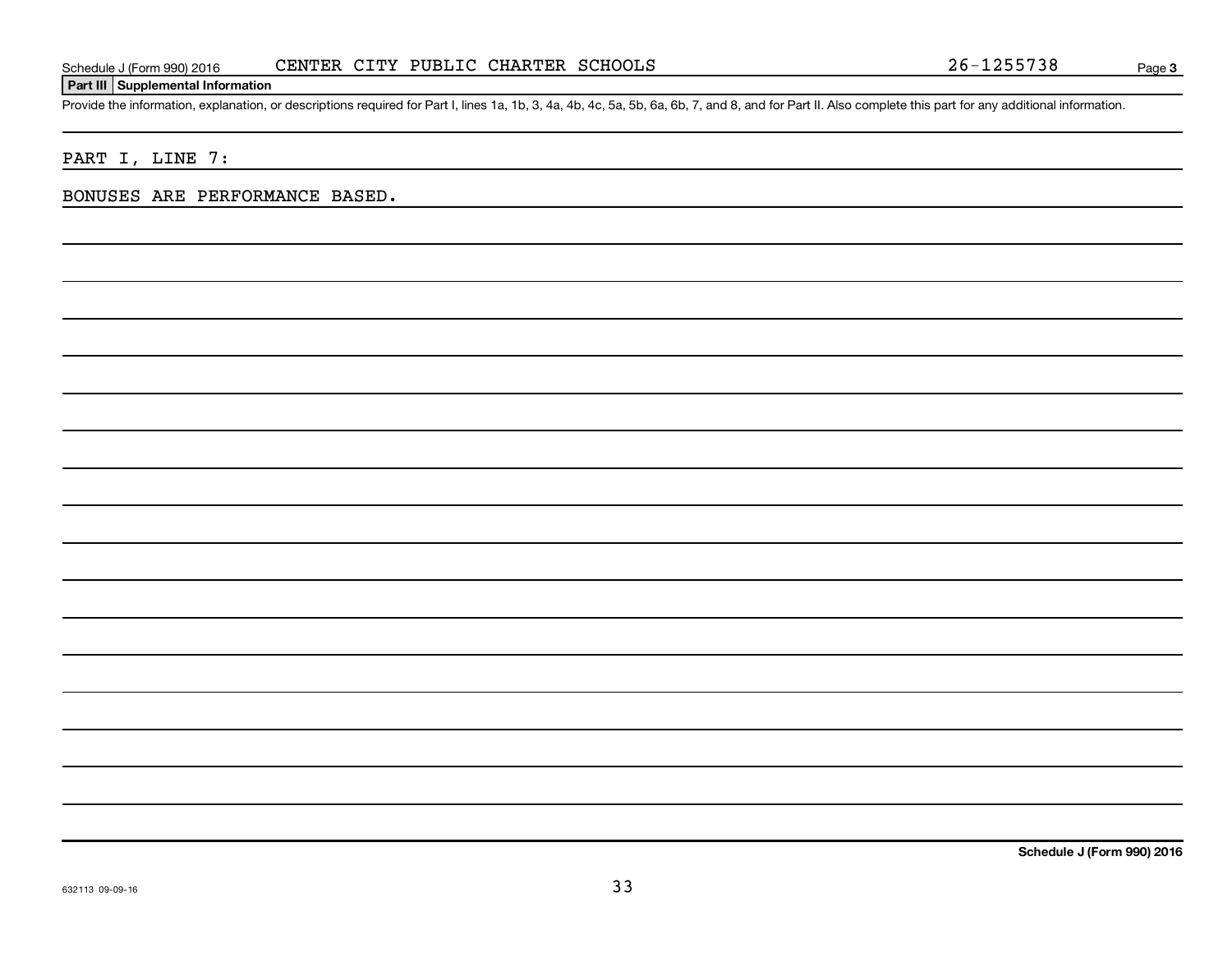#### **Part III Supplemental Information**

Provide the information, explanation, or descriptions required for Part I, lines 1a, 1b, 3, 4a, 4b, 4c, 5a, 5b, 6a, 6b, 7, and 8, and for Part II. Also complete this part for any additional information.

#### PART I, LINE 7:

#### BONUSES ARE PERFORMANCE BASED.

**Schedule J (Form 990) 2016**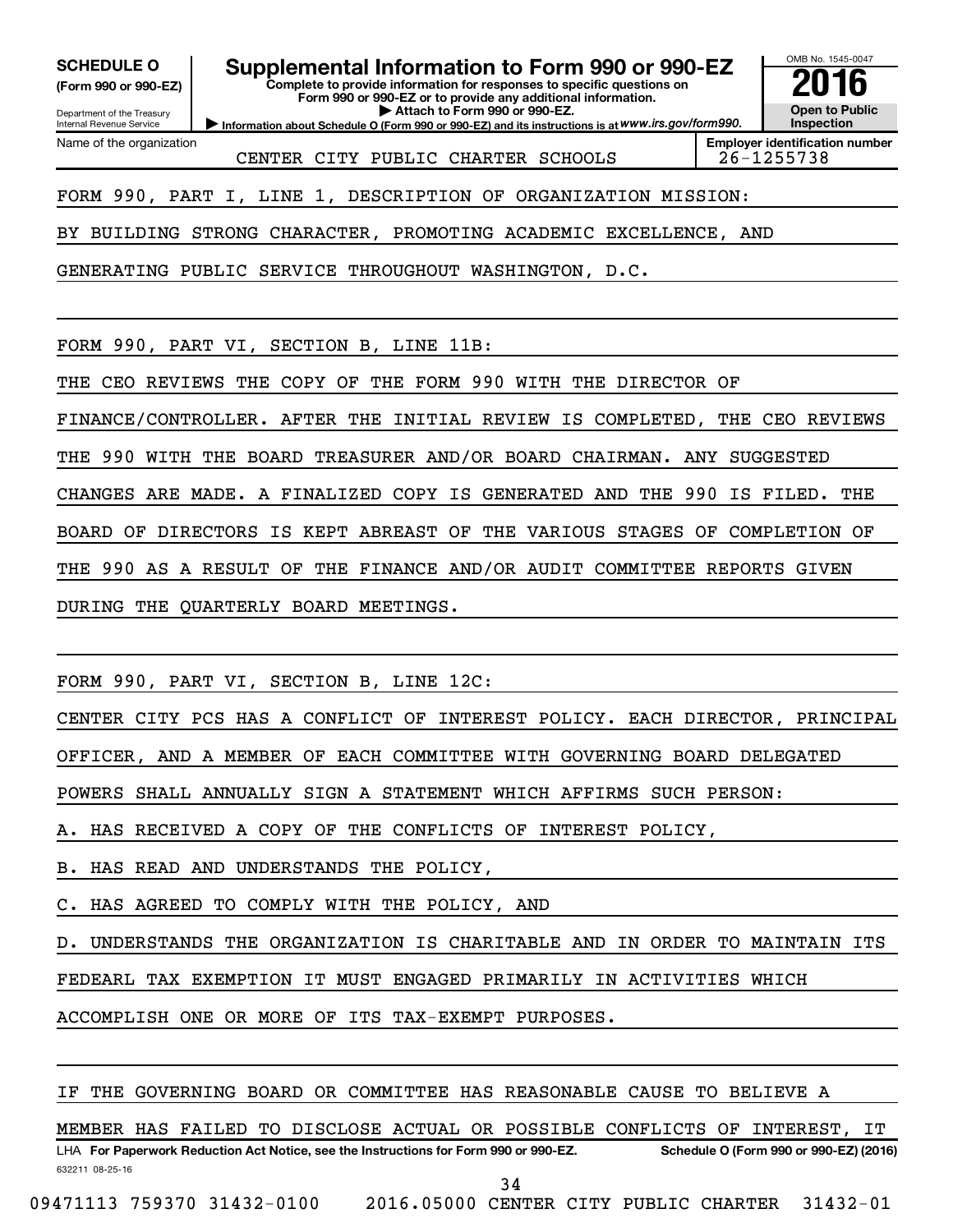**(Form 990 or 990-EZ)**

Department of the Treasury Internal Revenue Service

Name of the organization

## **SCHEDULE O Supplemental Information to Form 990 or 990-EZ 2016**

**Complete to provide information for responses to specific questions on Form 990 or 990-EZ or to provide any additional information. | Attach to Form 990 or 990-EZ.**

**Information about Schedule O (Form 990 or 990-EZ) and its instructions is at WWW.irs.gov/form990.** 

OMB No. 1545-0047 **Open to Public Inspection**

CENTER CITY PUBLIC CHARTER SCHOOLS | 26-1255738

**Employer identification number**

FORM 990, PART I, LINE 1, DESCRIPTION OF ORGANIZATION MISSION:

BY BUILDING STRONG CHARACTER, PROMOTING ACADEMIC EXCELLENCE, AND

GENERATING PUBLIC SERVICE THROUGHOUT WASHINGTON, D.C.

FORM 990, PART VI, SECTION B, LINE 11B:

THE CEO REVIEWS THE COPY OF THE FORM 990 WITH THE DIRECTOR OF

FINANCE/CONTROLLER. AFTER THE INITIAL REVIEW IS COMPLETED, THE CEO REVIEWS

THE 990 WITH THE BOARD TREASURER AND/OR BOARD CHAIRMAN. ANY SUGGESTED

CHANGES ARE MADE. A FINALIZED COPY IS GENERATED AND THE 990 IS FILED. THE

BOARD OF DIRECTORS IS KEPT ABREAST OF THE VARIOUS STAGES OF COMPLETION OF

THE 990 AS A RESULT OF THE FINANCE AND/OR AUDIT COMMITTEE REPORTS GIVEN

DURING THE QUARTERLY BOARD MEETINGS.

FORM 990, PART VI, SECTION B, LINE 12C:

CENTER CITY PCS HAS A CONFLICT OF INTEREST POLICY. EACH DIRECTOR, PRINCIPAL

OFFICER, AND A MEMBER OF EACH COMMITTEE WITH GOVERNING BOARD DELEGATED

POWERS SHALL ANNUALLY SIGN A STATEMENT WHICH AFFIRMS SUCH PERSON:

A. HAS RECEIVED A COPY OF THE CONFLICTS OF INTEREST POLICY,

B. HAS READ AND UNDERSTANDS THE POLICY,

C. HAS AGREED TO COMPLY WITH THE POLICY, AND

D. UNDERSTANDS THE ORGANIZATION IS CHARITABLE AND IN ORDER TO MAINTAIN ITS

FEDEARL TAX EXEMPTION IT MUST ENGAGED PRIMARILY IN ACTIVITIES WHICH

ACCOMPLISH ONE OR MORE OF ITS TAX-EXEMPT PURPOSES.

IF THE GOVERNING BOARD OR COMMITTEE HAS REASONABLE CAUSE TO BELIEVE A

632211 08-25-16 LHA For Paperwork Reduction Act Notice, see the Instructions for Form 990 or 990-EZ. Schedule O (Form 990 or 990-EZ) (2016) MEMBER HAS FAILED TO DISCLOSE ACTUAL OR POSSIBLE CONFLICTS OF INTEREST, IT

34

09471113 759370 31432-0100 2016.05000 CENTER CITY PUBLIC CHARTER 31432-01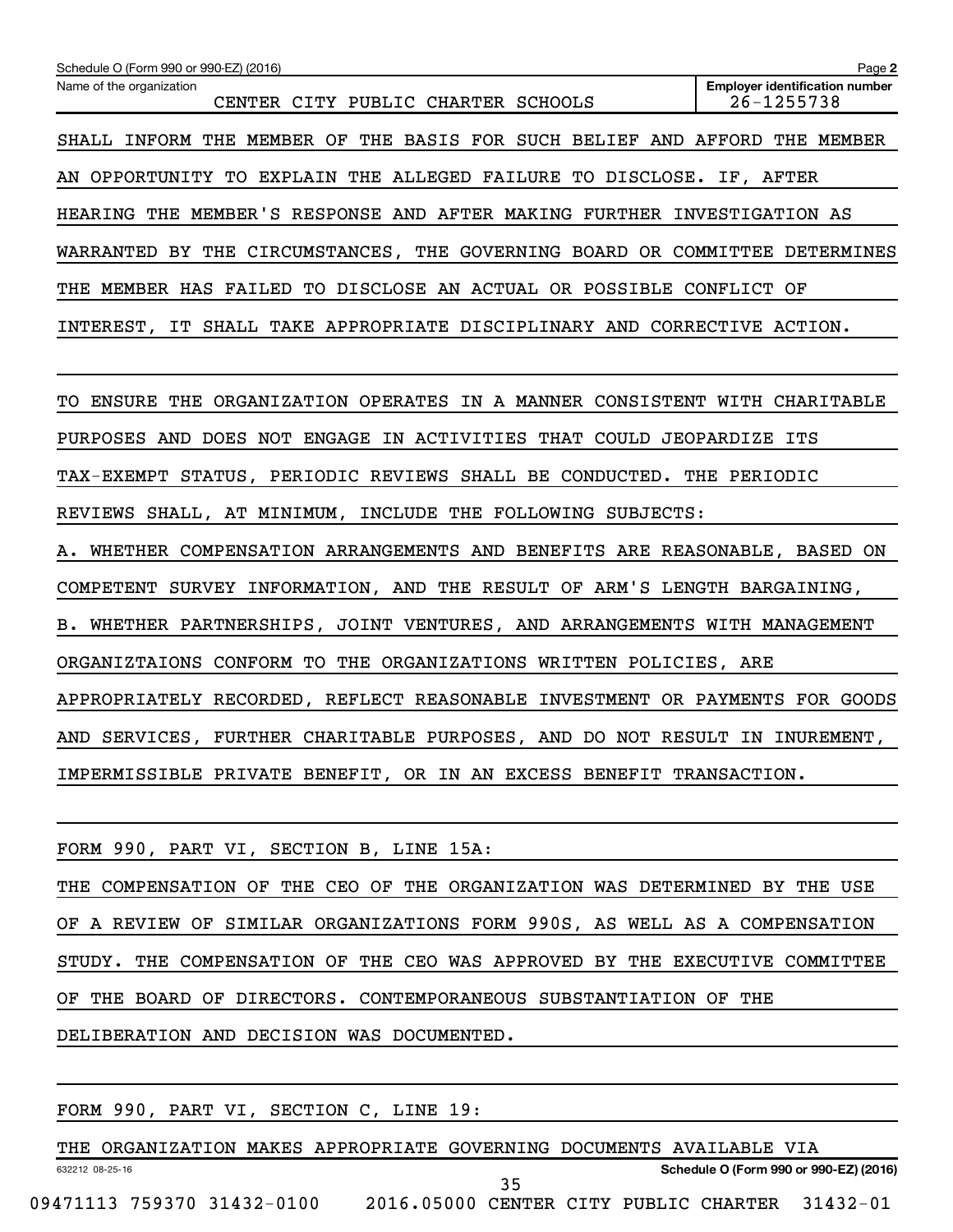| Schedule O (Form 990 or 990-EZ) (2016)                                      | Page 2                                              |
|-----------------------------------------------------------------------------|-----------------------------------------------------|
| Name of the organization<br>CENTER CITY PUBLIC CHARTER SCHOOLS              | <b>Employer identification number</b><br>26-1255738 |
| SHALL INFORM THE MEMBER OF THE BASIS FOR SUCH BELIEF AND AFFORD THE MEMBER  |                                                     |
| AN OPPORTUNITY TO EXPLAIN THE ALLEGED FAILURE TO DISCLOSE. IF, AFTER        |                                                     |
| HEARING THE MEMBER'S RESPONSE AND AFTER MAKING FURTHER INVESTIGATION AS     |                                                     |
| WARRANTED BY THE CIRCUMSTANCES, THE GOVERNING BOARD OR COMMITTEE DETERMINES |                                                     |
| THE MEMBER HAS FAILED TO DISCLOSE AN ACTUAL OR POSSIBLE CONFLICT OF         |                                                     |
| INTEREST, IT SHALL TAKE APPROPRIATE DISCIPLINARY AND CORRECTIVE ACTION.     |                                                     |
| TO ENSURE THE ORGANIZATION OPERATES IN A MANNER CONSISTENT WITH CHARITABLE  |                                                     |
| PURPOSES AND DOES NOT ENGAGE IN ACTIVITIES THAT COULD JEOPARDIZE ITS        |                                                     |
| TAX-EXEMPT STATUS, PERIODIC REVIEWS SHALL BE CONDUCTED. THE PERIODIC        |                                                     |
| REVIEWS SHALL, AT MINIMUM, INCLUDE THE FOLLOWING SUBJECTS:                  |                                                     |
| A. WHETHER COMPENSATION ARRANGEMENTS AND BENEFITS ARE REASONABLE, BASED ON  |                                                     |
| COMPETENT SURVEY INFORMATION, AND THE RESULT OF ARM'S LENGTH BARGAINING,    |                                                     |
| B. WHETHER PARTNERSHIPS, JOINT VENTURES, AND ARRANGEMENTS WITH MANAGEMENT   |                                                     |
| ORGANIZTAIONS CONFORM TO THE ORGANIZATIONS WRITTEN POLICIES, ARE            |                                                     |
| APPROPRIATELY RECORDED, REFLECT REASONABLE INVESTMENT OR PAYMENTS FOR GOODS |                                                     |
| AND SERVICES, FURTHER CHARITABLE PURPOSES, AND DO NOT RESULT IN INUREMENT,  |                                                     |
| IMPERMISSIBLE PRIVATE BENEFIT, OR IN AN EXCESS BENEFIT TRANSACTION.         |                                                     |
|                                                                             |                                                     |
| FORM 990, PART VI, SECTION B, LINE 15A:                                     |                                                     |
| THE COMPENSATION OF THE CEO OF THE ORGANIZATION WAS DETERMINED BY THE USE   |                                                     |
| OF A REVIEW OF SIMILAR ORGANIZATIONS FORM 990S, AS WELL AS A COMPENSATION   |                                                     |

STUDY. THE COMPENSATION OF THE CEO WAS APPROVED BY THE EXECUTIVE COMMITTEE

OF THE BOARD OF DIRECTORS. CONTEMPORANEOUS SUBSTANTIATION OF THE

DELIBERATION AND DECISION WAS DOCUMENTED.

|  |  |  |  | FORM 990, PART VI, SECTION C, LINE 19: |  |  |  |
|--|--|--|--|----------------------------------------|--|--|--|
|--|--|--|--|----------------------------------------|--|--|--|

632212 08-25-16 **Schedule O (Form 990 or 990-EZ) (2016)** THE ORGANIZATION MAKES APPROPRIATE GOVERNING DOCUMENTS AVAILABLE VIA 09471113 759370 31432-0100 2016.05000 CENTER CITY PUBLIC CHARTER 31432-01 35